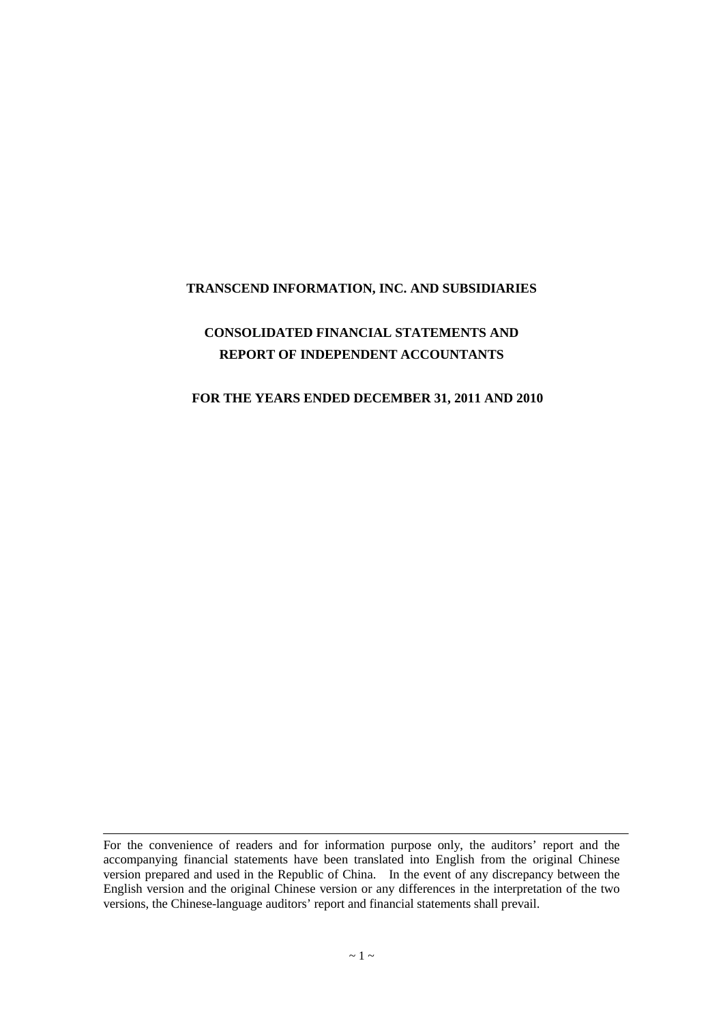#### **TRANSCEND INFORMATION, INC. AND SUBSIDIARIES**

# **CONSOLIDATED FINANCIAL STATEMENTS AND REPORT OF INDEPENDENT ACCOUNTANTS**

#### **FOR THE YEARS ENDED DECEMBER 31, 2011 AND 2010**

For the convenience of readers and for information purpose only, the auditors' report and the accompanying financial statements have been translated into English from the original Chinese version prepared and used in the Republic of China. In the event of any discrepancy between the English version and the original Chinese version or any differences in the interpretation of the two versions, the Chinese-language auditors' report and financial statements shall prevail.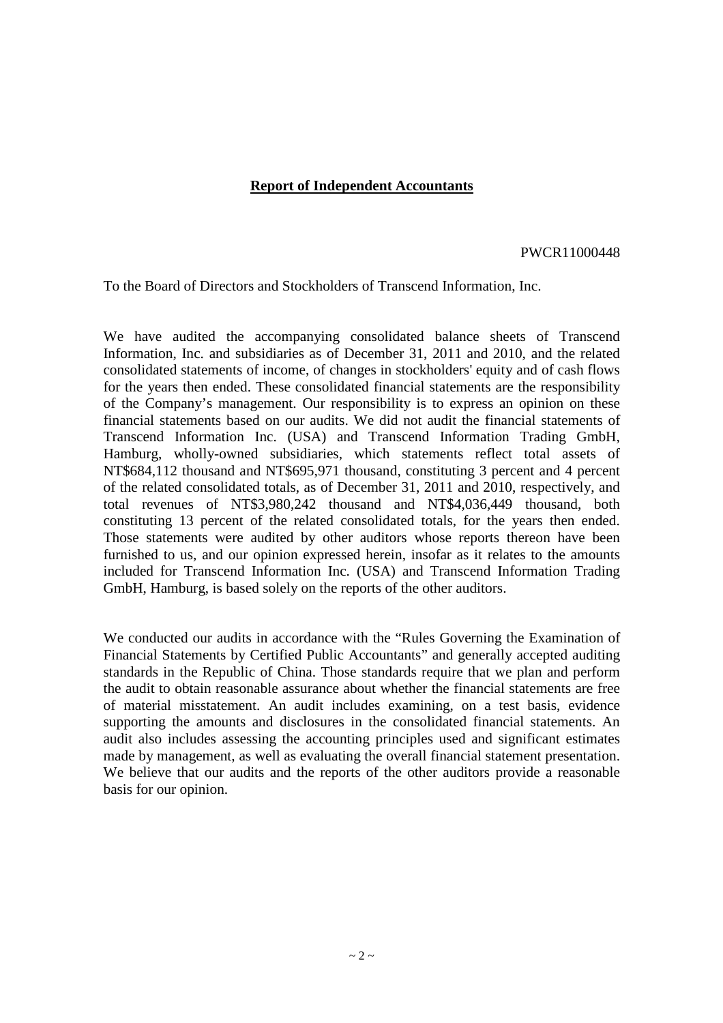#### **Report of Independent Accountants**

#### PWCR11000448

To the Board of Directors and Stockholders of Transcend Information, Inc.

We have audited the accompanying consolidated balance sheets of Transcend Information, Inc. and subsidiaries as of December 31, 2011 and 2010, and the related consolidated statements of income, of changes in stockholders' equity and of cash flows for the years then ended. These consolidated financial statements are the responsibility of the Company's management. Our responsibility is to express an opinion on these financial statements based on our audits. We did not audit the financial statements of Transcend Information Inc. (USA) and Transcend Information Trading GmbH, Hamburg, wholly-owned subsidiaries, which statements reflect total assets of NT\$684,112 thousand and NT\$695,971 thousand, constituting 3 percent and 4 percent of the related consolidated totals, as of December 31, 2011 and 2010, respectively, and total revenues of NT\$3,980,242 thousand and NT\$4,036,449 thousand, both constituting 13 percent of the related consolidated totals, for the years then ended. Those statements were audited by other auditors whose reports thereon have been furnished to us, and our opinion expressed herein, insofar as it relates to the amounts included for Transcend Information Inc. (USA) and Transcend Information Trading GmbH, Hamburg, is based solely on the reports of the other auditors.

We conducted our audits in accordance with the "Rules Governing the Examination of Financial Statements by Certified Public Accountants" and generally accepted auditing standards in the Republic of China. Those standards require that we plan and perform the audit to obtain reasonable assurance about whether the financial statements are free of material misstatement. An audit includes examining, on a test basis, evidence supporting the amounts and disclosures in the consolidated financial statements. An audit also includes assessing the accounting principles used and significant estimates made by management, as well as evaluating the overall financial statement presentation. We believe that our audits and the reports of the other auditors provide a reasonable basis for our opinion.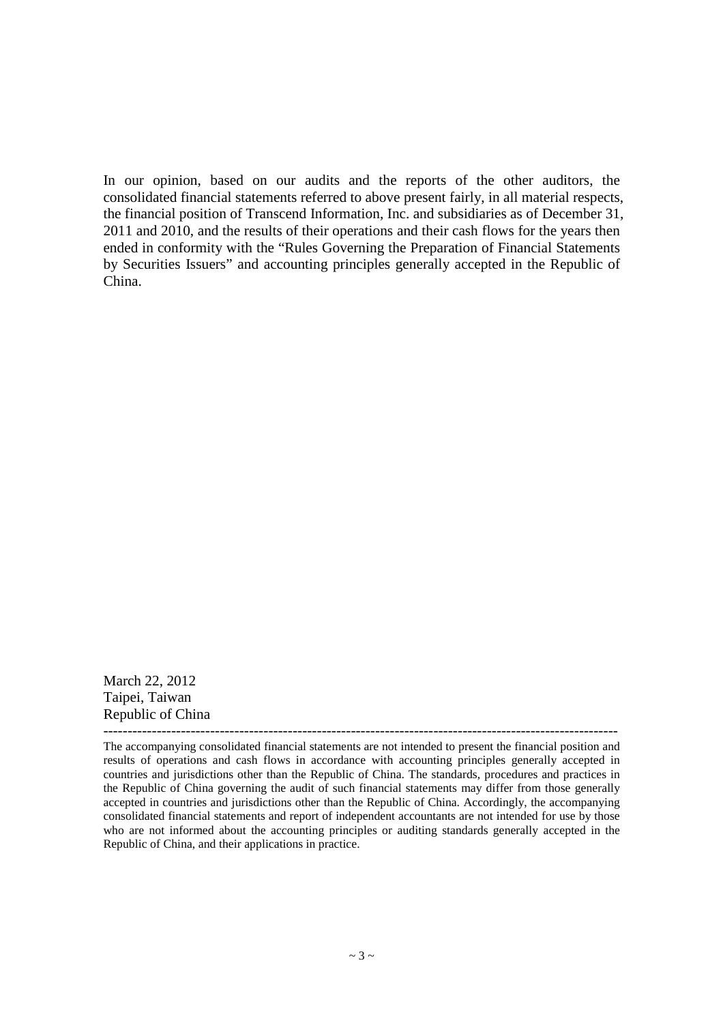In our opinion, based on our audits and the reports of the other auditors, the consolidated financial statements referred to above present fairly, in all material respects, the financial position of Transcend Information, Inc. and subsidiaries as of December 31, 2011 and 2010, and the results of their operations and their cash flows for the years then ended in conformity with the "Rules Governing the Preparation of Financial Statements by Securities Issuers" and accounting principles generally accepted in the Republic of China.

March 22, 2012 Taipei, Taiwan Republic of China

---------------------------------------------------------------------------------------------------------- The accompanying consolidated financial statements are not intended to present the financial position and results of operations and cash flows in accordance with accounting principles generally accepted in countries and jurisdictions other than the Republic of China. The standards, procedures and practices in the Republic of China governing the audit of such financial statements may differ from those generally accepted in countries and jurisdictions other than the Republic of China. Accordingly, the accompanying consolidated financial statements and report of independent accountants are not intended for use by those who are not informed about the accounting principles or auditing standards generally accepted in the Republic of China, and their applications in practice.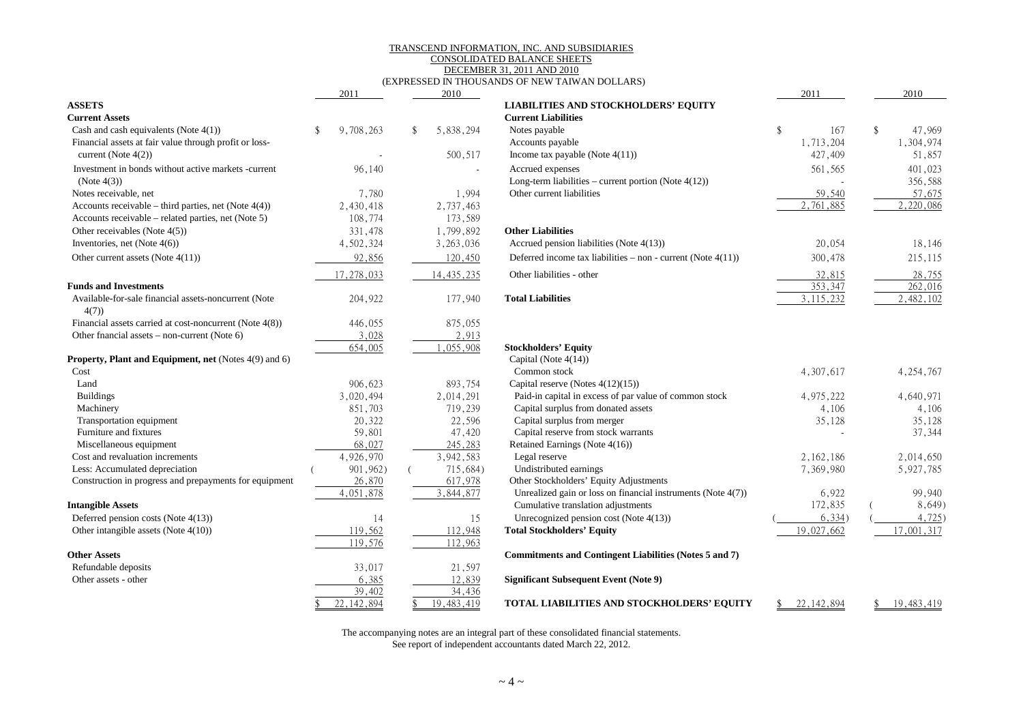#### TRANSCEND INFORMATION, INC. AND SUBSIDIARIES

#### CONSOLIDATED BALANCE SHEETS DECEMBER 31, 2011 AND 2010

#### (EXPRESSED IN THOUSANDS OF NEW TAIWAN DOLLARS)

|                                                              | 2011         | 2010            |                                                                 | 2011         | 2010         |
|--------------------------------------------------------------|--------------|-----------------|-----------------------------------------------------------------|--------------|--------------|
| <b>ASSETS</b>                                                |              |                 | <b>LIABILITIES AND STOCKHOLDERS' EQUITY</b>                     |              |              |
| <b>Current Assets</b>                                        |              |                 | <b>Current Liabilities</b>                                      |              |              |
| Cash and cash equivalents (Note 4(1))                        | 9,708,263    | 5,838,294<br>\$ | Notes payable                                                   | \$<br>167    | \$<br>47,969 |
| Financial assets at fair value through profit or loss-       |              |                 | Accounts payable                                                | 1,713,204    | 1,304,974    |
| current (Note $4(2)$ )                                       |              | 500,517         | Income tax payable (Note $4(11)$ )                              | 427,409      | 51,857       |
| Investment in bonds without active markets -current          | 96,140       |                 | Accrued expenses                                                | 561,565      | 401,023      |
| (Note 4(3))                                                  |              |                 | Long-term liabilities – current portion (Note $4(12)$ )         |              | 356,588      |
| Notes receivable, net                                        | 7,780        | 1,994           | Other current liabilities                                       | 59,540       | 57,675       |
| Accounts receivable – third parties, net (Note $4(4)$ )      | 2,430,418    | 2,737,463       |                                                                 | 2,761,885    | 2,220,086    |
| Accounts receivable - related parties, net (Note 5)          | 108,774      | 173,589         |                                                                 |              |              |
| Other receivables (Note 4(5))                                | 331,478      | 1,799,892       | <b>Other Liabilities</b>                                        |              |              |
| Inventories, net (Note $4(6)$ )                              | 4,502,324    | 3, 263, 036     | Accrued pension liabilities (Note 4(13))                        | 20,054       | 18,146       |
| Other current assets (Note 4(11))                            | 92,856       | 120,450         | Deferred income tax liabilities – non - current (Note $4(11)$ ) | 300,478      | 215,115      |
|                                                              | 17,278,033   | 14, 435, 235    | Other liabilities - other                                       | 32,815       | 28,755       |
| <b>Funds and Investments</b>                                 |              |                 |                                                                 | 353,347      | 262,016      |
| Available-for-sale financial assets-noncurrent (Note<br>4(7) | 204,922      | 177,940         | <b>Total Liabilities</b>                                        | 3, 115, 232  | 2,482,102    |
| Financial assets carried at cost-noncurrent (Note 4(8))      | 446,055      | 875,055         |                                                                 |              |              |
| Other fnancial assets $-$ non-current (Note 6)               | 3,028        | 2,913           |                                                                 |              |              |
|                                                              | 654,005      | 1,055,908       | <b>Stockholders' Equity</b>                                     |              |              |
| <b>Property, Plant and Equipment, net (Notes 4(9) and 6)</b> |              |                 | Capital (Note $4(14)$ )                                         |              |              |
| Cost                                                         |              |                 | Common stock                                                    | 4,307,617    | 4, 254, 767  |
| Land                                                         | 906,623      | 893,754         | Capital reserve (Notes $4(12)(15)$ )                            |              |              |
| <b>Buildings</b>                                             | 3,020,494    | 2,014,291       | Paid-in capital in excess of par value of common stock          | 4,975,222    | 4,640,971    |
| Machinery                                                    | 851,703      | 719,239         | Capital surplus from donated assets                             | 4,106        | 4,106        |
| Transportation equipment                                     | 20,322       | 22,596          | Capital surplus from merger                                     | 35,128       | 35,128       |
| Furniture and fixtures                                       | 59,801       | 47,420          | Capital reserve from stock warrants                             |              | 37,344       |
| Miscellaneous equipment                                      | 68,027       | 245,283         | Retained Earnings (Note 4(16))                                  |              |              |
| Cost and revaluation increments                              | 4,926,970    | 3,942,583       | Legal reserve                                                   | 2, 162, 186  | 2,014,650    |
| Less: Accumulated depreciation                               | 901, 962)    | 715,684)        | Undistributed earnings                                          | 7,369,980    | 5,927,785    |
| Construction in progress and prepayments for equipment       | 26,870       | 617,978         | Other Stockholders' Equity Adjustments                          |              |              |
|                                                              | 4,051,878    | 3,844,877       | Unrealized gain or loss on financial instruments (Note 4(7))    | 6,922        | 99,940       |
| <b>Intangible Assets</b>                                     |              |                 | Cumulative translation adjustments                              | 172,835      | 8,649)       |
| Deferred pension costs (Note 4(13))                          | 14           | 15              | Unrecognized pension cost (Note 4(13))                          | 6,334)       | 4,725        |
| Other intangible assets (Note 4(10))                         | 119,562      | 112,948         | <b>Total Stockholders' Equity</b>                               | 19,027,662   | 17,001,317   |
|                                                              | 119,576      | 112,963         |                                                                 |              |              |
| <b>Other Assets</b>                                          |              |                 | Commitments and Contingent Liabilities (Notes 5 and 7)          |              |              |
| Refundable deposits                                          | 33,017       | 21,597          |                                                                 |              |              |
| Other assets - other                                         | 6,385        | 12,839          | <b>Significant Subsequent Event (Note 9)</b>                    |              |              |
|                                                              | 39,402       | 34,436          |                                                                 |              |              |
|                                                              | 22, 142, 894 | 19, 483, 419    | <b>TOTAL LIABILITIES AND STOCKHOLDERS' EQUITY</b>               | 22, 142, 894 | 19, 483, 419 |

The accompanying notes are an integral part of these consolidated financial statements. See report of independent accountants dated March 22, 2012.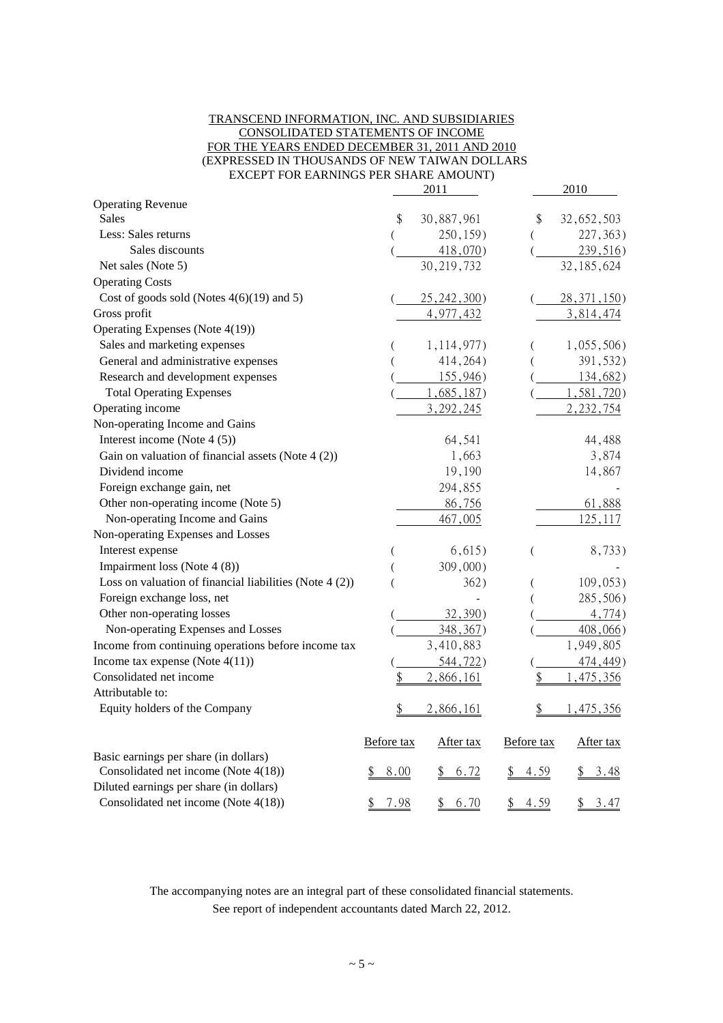#### TRANSCEND INFORMATION, INC. AND SUBSIDIARIES CONSOLIDATED STATEMENTS OF INCOME FOR THE YEARS ENDED DECEMBER 31, 2011 AND 2010 (EXPRESSED IN THOUSANDS OF NEW TAIWAN DOLLARS EXCEPT FOR EARNINGS PER SHARE AMOUNT)

|                                                           |            | 2011         |            | 2010           |
|-----------------------------------------------------------|------------|--------------|------------|----------------|
| <b>Operating Revenue</b>                                  |            |              |            |                |
| <b>Sales</b>                                              | \$         | 30,887,961   | \$         | 32,652,503     |
| Less: Sales returns                                       |            | 250,159)     | (          | 227, 363)      |
| Sales discounts                                           |            | $418,070$ )  |            | 239,516        |
| Net sales (Note 5)                                        |            | 30, 219, 732 |            | 32, 185, 624   |
| <b>Operating Costs</b>                                    |            |              |            |                |
| Cost of goods sold (Notes $4(6)(19)$ and 5)               |            | 25, 242, 300 |            | $28,371,150$ ) |
| Gross profit                                              |            | 4,977,432    |            | 3,814,474      |
| Operating Expenses (Note 4(19))                           |            |              |            |                |
| Sales and marketing expenses                              |            | 1, 114, 977) |            | 1,055,506      |
| General and administrative expenses                       |            | 414, 264)    |            | 391,532)       |
| Research and development expenses                         |            | 155,946      |            | 134,682        |
| <b>Total Operating Expenses</b>                           |            | 1,685,187    |            | 1,581,720      |
| Operating income                                          |            | 3, 292, 245  |            | 2, 232, 754    |
| Non-operating Income and Gains                            |            |              |            |                |
| Interest income (Note $4(5)$ )                            |            | 64,541       |            | 44,488         |
| Gain on valuation of financial assets (Note $4(2)$ )      |            | 1,663        |            | 3,874          |
| Dividend income                                           |            | 19,190       |            | 14,867         |
| Foreign exchange gain, net                                |            | 294,855      |            |                |
| Other non-operating income (Note 5)                       |            | 86,756       |            | 61,888         |
| Non-operating Income and Gains                            |            | 467,005      |            | 125, 117       |
| Non-operating Expenses and Losses                         |            |              |            |                |
| Interest expense                                          |            | 6,615)       | (          | 8,733)         |
| Impairment loss (Note 4 (8))                              |            | 309,000)     |            |                |
| Loss on valuation of financial liabilities (Note $4(2)$ ) |            | 362)         |            | 109,053)       |
| Foreign exchange loss, net                                |            |              |            | 285,506)       |
| Other non-operating losses                                |            | 32,390)      |            | 4,774)         |
| Non-operating Expenses and Losses                         |            | 348, 367)    |            | 408,066)       |
| Income from continuing operations before income tax       |            | 3,410,883    |            | 1,949,805      |
| Income tax expense (Note $4(11)$ )                        |            | 544, 722     |            | 474,449)       |
| Consolidated net income                                   | \$         | 2,866,161    | \$         | ,475,356       |
| Attributable to:                                          |            |              |            |                |
| Equity holders of the Company                             | \$         | 2,866,161    | \$         | 1,475,356      |
|                                                           | Before tax | After tax    | Before tax | After tax      |
| Basic earnings per share (in dollars)                     |            |              |            |                |
| Consolidated net income (Note 4(18))                      | 8.00<br>\$ | 6.72         | 4.59       | 3.48           |
| Diluted earnings per share (in dollars)                   |            |              |            |                |
| Consolidated net income (Note 4(18))                      | \$<br>7.98 | \$<br>6.70   | \$<br>4.59 | \$<br>3.47     |

The accompanying notes are an integral part of these consolidated financial statements. See report of independent accountants dated March 22, 2012.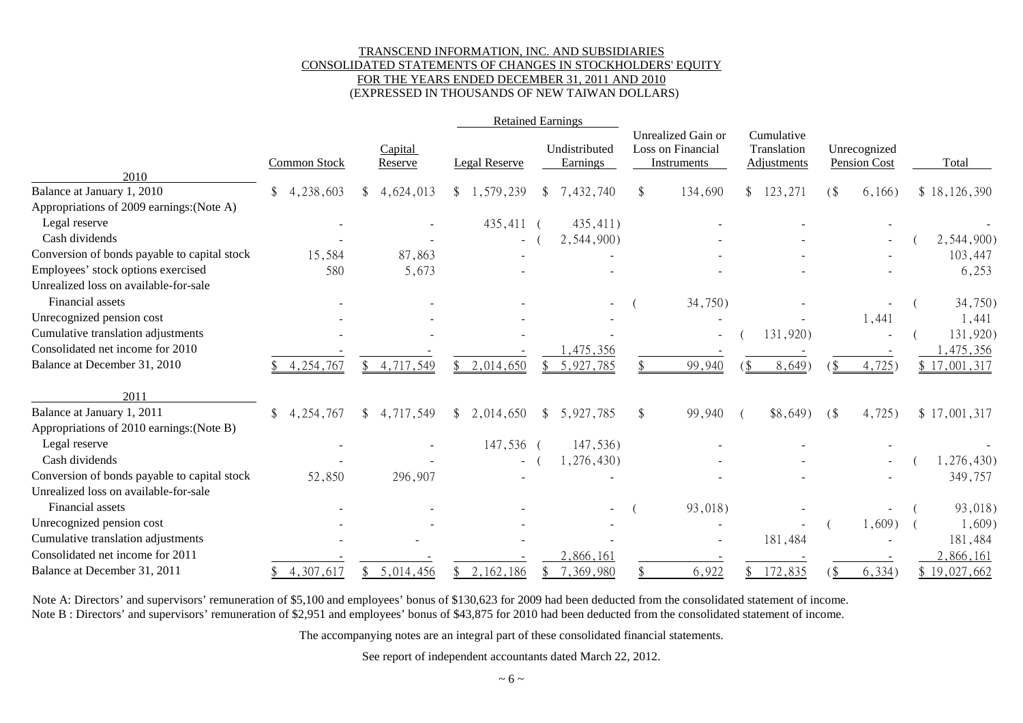#### TRANSCEND INFORMATION, INC. AND SUBSIDIARIES CONSOLIDATED STATEMENTS OF CHANGES IN STOCKHOLDERS' EQUITY FOR THE YEARS ENDED DECEMBER 31, 2011 AND 2010 (EXPRESSED IN THOUSANDS OF NEW TAIWAN DOLLARS)

|                                                                             |                               |                    | <b>Retained Earnings</b> |               |                                  |                                                               |     |                                          |        |                                     |              |
|-----------------------------------------------------------------------------|-------------------------------|--------------------|--------------------------|---------------|----------------------------------|---------------------------------------------------------------|-----|------------------------------------------|--------|-------------------------------------|--------------|
|                                                                             | <b>Common Stock</b>           | Capital<br>Reserve | <b>Legal Reserve</b>     |               | Undistributed<br><b>Earnings</b> | Unrealized Gain or<br>Loss on Financial<br><b>Instruments</b> |     | Cumulative<br>Translation<br>Adjustments |        | Unrecognized<br><b>Pension Cost</b> | Total        |
| 2010<br>Balance at January 1, 2010                                          | 4,238,603<br>\$               | 4,624,013<br>\$    | \$1,579,239              | \$            | 7,432,740                        | \$<br>134,690                                                 | \$  | 123,271                                  | $($ \$ | 6,166)                              | \$18,126,390 |
| Appropriations of 2009 earnings: (Note A)                                   |                               |                    |                          |               |                                  |                                                               |     |                                          |        |                                     |              |
| Legal reserve                                                               |                               |                    | 435,411 (                |               | ,435,411)                        |                                                               |     |                                          |        |                                     |              |
| Cash dividends                                                              |                               |                    |                          |               | 2,544,900)                       |                                                               |     |                                          |        |                                     | 2,544,900)   |
| Conversion of bonds payable to capital stock                                | 15,584                        | 87,863             |                          |               |                                  |                                                               |     |                                          |        |                                     | 103,447      |
| Employees' stock options exercised<br>Unrealized loss on available-for-sale | 580                           | 5,673              |                          |               |                                  |                                                               |     |                                          |        |                                     | 6,253        |
| Financial assets                                                            |                               |                    |                          |               |                                  | 34,750)                                                       |     |                                          |        |                                     | 34,750)      |
| Unrecognized pension cost                                                   |                               |                    |                          |               |                                  |                                                               |     |                                          |        | 1,441                               | 1,441        |
| Cumulative translation adjustments                                          |                               |                    |                          |               |                                  |                                                               |     | 131,920)                                 |        |                                     | 131,920)     |
| Consolidated net income for 2010                                            |                               |                    |                          |               | , 475, 356                       |                                                               |     |                                          |        |                                     | , 475, 356   |
| Balance at December 31, 2010                                                | 4, 254, 767                   | 4,717,549<br>\$    | 2,014,650                |               | 5,927,785                        | 99,940                                                        | `\$ | 8,649)                                   |        | 4,725                               | \$17,001,317 |
| 2011                                                                        |                               |                    |                          |               |                                  |                                                               |     |                                          |        |                                     |              |
| Balance at January 1, 2011                                                  | $\mathbb{S}^-$<br>4, 254, 767 | 4,717,549<br>\$.   | \$2,014,650              | <sup>\$</sup> | 5,927,785                        | \$<br>99,940                                                  |     | $$8,649$ )                               | $($ \$ | 4,725                               | \$17,001,317 |
| Appropriations of 2010 earnings: (Note B)                                   |                               |                    |                          |               |                                  |                                                               |     |                                          |        |                                     |              |
| Legal reserve                                                               |                               |                    | 147,536 (                |               | ,147,536)                        |                                                               |     |                                          |        |                                     |              |
| Cash dividends                                                              |                               |                    |                          |               | 1,276,430                        |                                                               |     |                                          |        |                                     | ,276,430)    |
| Conversion of bonds payable to capital stock                                | 52,850                        | 296,907            |                          |               |                                  |                                                               |     |                                          |        |                                     | 349,757      |
| Unrealized loss on available-for-sale                                       |                               |                    |                          |               |                                  |                                                               |     |                                          |        |                                     |              |
| Financial assets                                                            |                               |                    |                          |               |                                  | 93,018)                                                       |     |                                          |        |                                     | 93,018)      |
| Unrecognized pension cost                                                   |                               |                    |                          |               |                                  |                                                               |     |                                          |        | 1,609)                              | 1,609)       |
| Cumulative translation adjustments                                          |                               |                    |                          |               |                                  |                                                               |     | 181,484                                  |        |                                     | 181,484      |
| Consolidated net income for 2011                                            |                               |                    |                          |               | 2,866,161                        |                                                               |     |                                          |        |                                     | 2,866,161    |
| Balance at December 31, 2011                                                | 4,307,617                     | 5,014,456<br>\$.   | 2, 162, 186              |               | 7,369,980                        | 6,922                                                         |     | 172,835                                  |        | 6,334)                              | \$19,027,662 |

Note A: Directors' and supervisors' remuneration of \$5,100 and employees' bonus of \$130,623 for 2009 had been deducted from the consolidated statement of income. Note B : Directors' and supervisors' remuneration of \$2,951 and employees' bonus of \$43,875 for 2010 had been deducted from the consolidated statement of income.

The accompanying notes are an integral part of these consolidated financial statements.

See report of independent accountants dated March 22, 2012.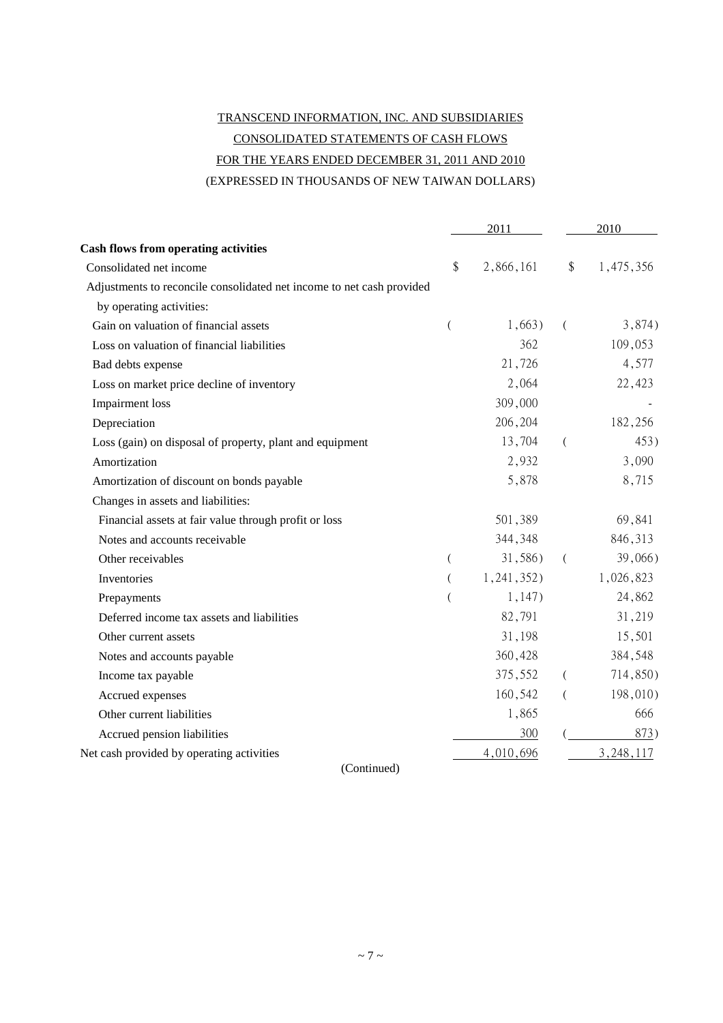# TRANSCEND INFORMATION, INC. AND SUBSIDIARIES CONSOLIDATED STATEMENTS OF CASH FLOWS FOR THE YEARS ENDED DECEMBER 31, 2011 AND 2010

(EXPRESSED IN THOUSANDS OF NEW TAIWAN DOLLARS)

|                                                                       | 2011           |            | 2010     |           |  |
|-----------------------------------------------------------------------|----------------|------------|----------|-----------|--|
| <b>Cash flows from operating activities</b>                           |                |            |          |           |  |
| Consolidated net income                                               | \$             | 2,866,161  | \$       | 1,475,356 |  |
| Adjustments to reconcile consolidated net income to net cash provided |                |            |          |           |  |
| by operating activities:                                              |                |            |          |           |  |
| Gain on valuation of financial assets                                 | $\overline{(}$ | 1,663)     | $\left($ | 3,874)    |  |
| Loss on valuation of financial liabilities                            |                | 362        |          | 109,053   |  |
| Bad debts expense                                                     |                | 21,726     |          | 4,577     |  |
| Loss on market price decline of inventory                             |                | 2,064      |          | 22,423    |  |
| Impairment loss                                                       |                | 309,000    |          |           |  |
| Depreciation                                                          |                | 206,204    |          | 182,256   |  |
| Loss (gain) on disposal of property, plant and equipment              |                | 13,704     | (        | 453)      |  |
| Amortization                                                          |                | 2,932      |          | 3,090     |  |
| Amortization of discount on bonds payable                             |                | 5,878      |          | 8,715     |  |
| Changes in assets and liabilities:                                    |                |            |          |           |  |
| Financial assets at fair value through profit or loss                 |                | 501,389    |          | 69,841    |  |
| Notes and accounts receivable                                         |                | 344,348    |          | 846,313   |  |
| Other receivables                                                     | (              | 31,586)    | $\left($ | 39,066)   |  |
| Inventories                                                           | $\left($       | 1,241,352) |          | 1,026,823 |  |
| Prepayments                                                           |                | 1,147)     |          | 24,862    |  |
| Deferred income tax assets and liabilities                            |                | 82,791     |          | 31,219    |  |
| Other current assets                                                  |                | 31,198     |          | 15,501    |  |
| Notes and accounts payable                                            |                | 360,428    |          | 384,548   |  |
| Income tax payable                                                    |                | 375,552    | $\left($ | 714,850)  |  |
| Accrued expenses                                                      |                | 160,542    | (        | 198,010)  |  |
| Other current liabilities                                             |                | 1,865      |          | 666       |  |
| Accrued pension liabilities                                           |                | 300        |          | 873)      |  |
| Net cash provided by operating activities                             |                | 4,010,696  |          | 3,248,117 |  |
|                                                                       |                |            |          |           |  |

(Continued)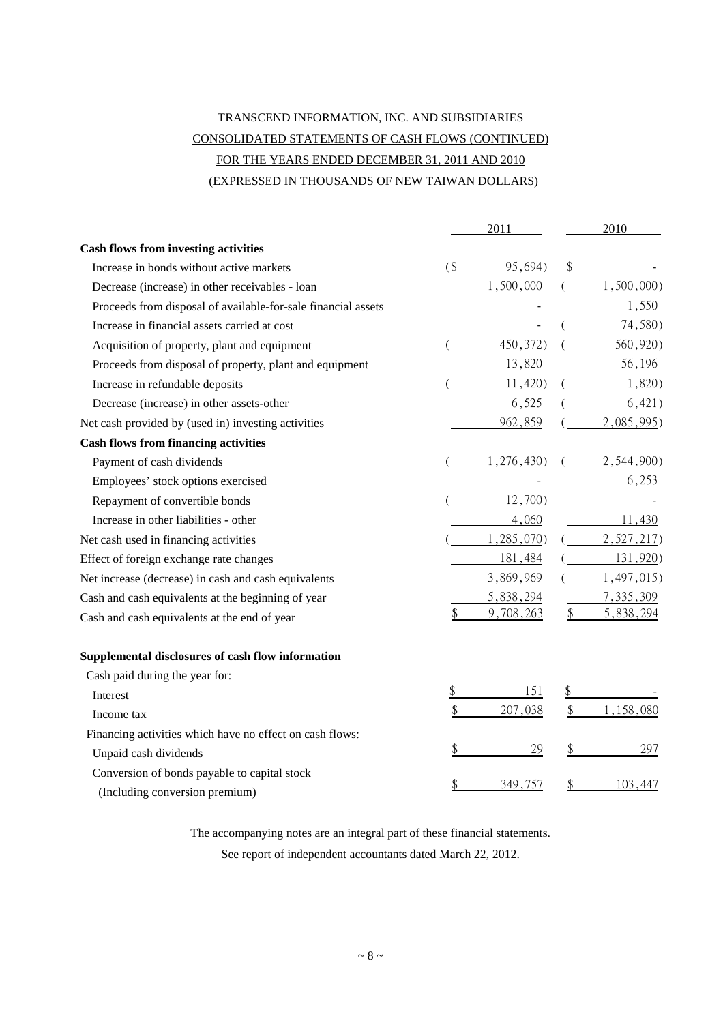# TRANSCEND INFORMATION, INC. AND SUBSIDIARIES CONSOLIDATED STATEMENTS OF CASH FLOWS (CONTINUED) FOR THE YEARS ENDED DECEMBER 31, 2011 AND 2010 (EXPRESSED IN THOUSANDS OF NEW TAIWAN DOLLARS)

|                                                               |    | 2011       | 2010            |  |
|---------------------------------------------------------------|----|------------|-----------------|--|
| <b>Cash flows from investing activities</b>                   |    |            |                 |  |
| Increase in bonds without active markets                      | (  | 95,694)    | \$              |  |
| Decrease (increase) in other receivables - loan               |    | 1,500,000  | 1,500,000       |  |
| Proceeds from disposal of available-for-sale financial assets |    |            | 1,550           |  |
| Increase in financial assets carried at cost                  |    |            | 74,580)         |  |
| Acquisition of property, plant and equipment                  | (  | 450,372)   | 560,920)        |  |
| Proceeds from disposal of property, plant and equipment       |    | 13,820     | 56,196          |  |
| Increase in refundable deposits                               |    | $11,420$ ) | 1,820)          |  |
| Decrease (increase) in other assets-other                     |    | 6,525      | 6,421)          |  |
| Net cash provided by (used in) investing activities           |    | 962,859    | 2,085,995       |  |
| <b>Cash flows from financing activities</b>                   |    |            |                 |  |
| Payment of cash dividends                                     | €  | 1,276,430  | 2,544,900)      |  |
| Employees' stock options exercised                            |    |            | 6,253           |  |
| Repayment of convertible bonds                                |    | 12,700)    |                 |  |
| Increase in other liabilities - other                         |    | 4,060      | 11,430          |  |
| Net cash used in financing activities                         |    | 1,285,070) | 2,527,217)      |  |
| Effect of foreign exchange rate changes                       |    | 181,484    | 131,920)        |  |
| Net increase (decrease) in cash and cash equivalents          |    | 3,869,969  | 1,497,015)      |  |
| Cash and cash equivalents at the beginning of year            |    | 5,838,294  | 7,335,309       |  |
| Cash and cash equivalents at the end of year                  | \$ | 9,708,263  | \$<br>5,838,294 |  |
| Supplemental disclosures of cash flow information             |    |            |                 |  |
| Cash paid during the year for:                                |    |            |                 |  |
| Interest                                                      | \$ | 151        | \$              |  |
| Income tax                                                    | \$ | 207,038    | 1,158,080       |  |
| Financing activities which have no effect on cash flows:      |    |            |                 |  |
| Unpaid cash dividends                                         | \$ | 29         | 297             |  |
| Conversion of bonds payable to capital stock                  | \$ | 349,757    | 103,447         |  |
| (Including conversion premium)                                |    |            |                 |  |

The accompanying notes are an integral part of these financial statements.

See report of independent accountants dated March 22, 2012.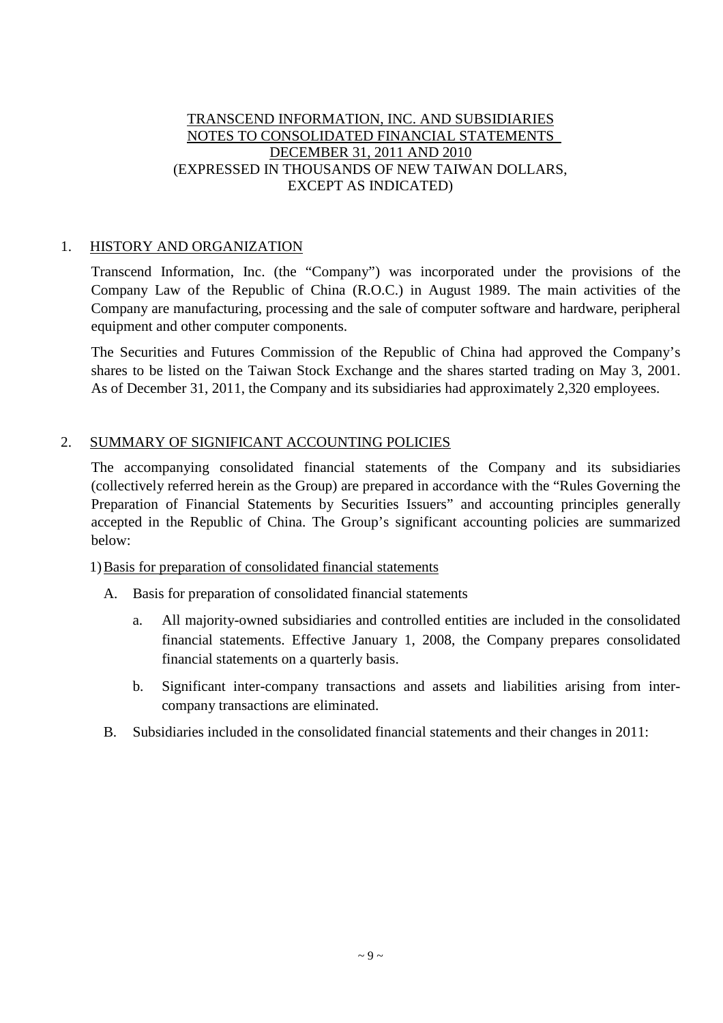## TRANSCEND INFORMATION, INC. AND SUBSIDIARIES NOTES TO CONSOLIDATED FINANCIAL STATEMENTS DECEMBER 31, 2011 AND 2010 (EXPRESSED IN THOUSANDS OF NEW TAIWAN DOLLARS, EXCEPT AS INDICATED)

## 1. HISTORY AND ORGANIZATION

Transcend Information, Inc. (the "Company") was incorporated under the provisions of the Company Law of the Republic of China (R.O.C.) in August 1989. The main activities of the Company are manufacturing, processing and the sale of computer software and hardware, peripheral equipment and other computer components.

The Securities and Futures Commission of the Republic of China had approved the Company's shares to be listed on the Taiwan Stock Exchange and the shares started trading on May 3, 2001. As of December 31, 2011, the Company and its subsidiaries had approximately 2,320 employees.

## 2. SUMMARY OF SIGNIFICANT ACCOUNTING POLICIES

The accompanying consolidated financial statements of the Company and its subsidiaries (collectively referred herein as the Group) are prepared in accordance with the "Rules Governing the Preparation of Financial Statements by Securities Issuers" and accounting principles generally accepted in the Republic of China. The Group's significant accounting policies are summarized below:

1)Basis for preparation of consolidated financial statements

- A. Basis for preparation of consolidated financial statements
	- a. All majority-owned subsidiaries and controlled entities are included in the consolidated financial statements. Effective January 1, 2008, the Company prepares consolidated financial statements on a quarterly basis.
	- b. Significant inter-company transactions and assets and liabilities arising from intercompany transactions are eliminated.
- B. Subsidiaries included in the consolidated financial statements and their changes in 2011: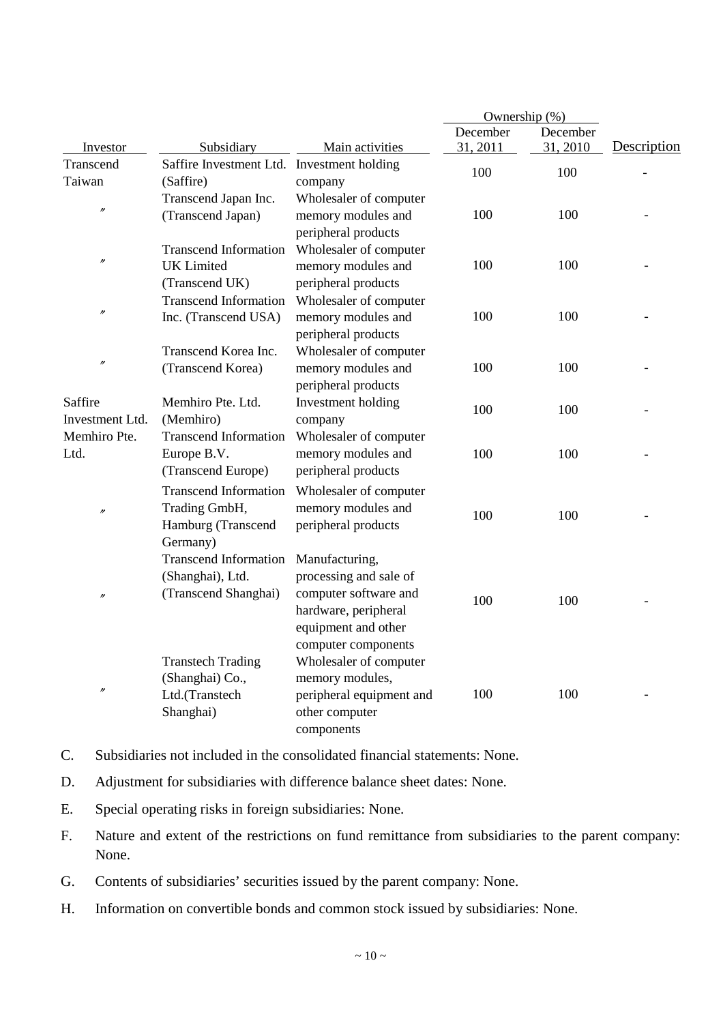|                   |                              |                          | Ownership $(\%)$ |          |             |
|-------------------|------------------------------|--------------------------|------------------|----------|-------------|
|                   |                              |                          | December         | December |             |
| Investor          | Subsidiary                   | Main activities          | 31, 2011         | 31, 2010 | Description |
| Transcend         | Saffire Investment Ltd.      | Investment holding       | 100              | 100      |             |
| Taiwan            | (Saffire)                    | company                  |                  |          |             |
| $^{\prime\prime}$ | Transcend Japan Inc.         | Wholesaler of computer   |                  |          |             |
|                   | (Transcend Japan)            | memory modules and       | 100              | 100      |             |
|                   |                              | peripheral products      |                  |          |             |
|                   | <b>Transcend Information</b> | Wholesaler of computer   |                  |          |             |
| $^{\prime\prime}$ | <b>UK</b> Limited            | memory modules and       | 100              | 100      |             |
|                   | (Transcend UK)               | peripheral products      |                  |          |             |
|                   | <b>Transcend Information</b> | Wholesaler of computer   |                  |          |             |
| $\prime\prime$    | Inc. (Transcend USA)         | memory modules and       | 100              | 100      |             |
|                   |                              | peripheral products      |                  |          |             |
|                   | Transcend Korea Inc.         | Wholesaler of computer   |                  |          |             |
| $\prime$          | (Transcend Korea)            | memory modules and       | 100              | 100      |             |
|                   |                              | peripheral products      |                  |          |             |
| Saffire           | Memhiro Pte. Ltd.            | Investment holding       | 100              | 100      |             |
| Investment Ltd.   | (Memhiro)                    | company                  |                  |          |             |
| Memhiro Pte.      | <b>Transcend Information</b> | Wholesaler of computer   |                  |          |             |
| Ltd.              | Europe B.V.                  | memory modules and       | 100              | 100      |             |
|                   | (Transcend Europe)           | peripheral products      |                  |          |             |
|                   | <b>Transcend Information</b> | Wholesaler of computer   |                  |          |             |
| $\prime$          | Trading GmbH,                | memory modules and       |                  |          |             |
|                   | Hamburg (Transcend           | peripheral products      | 100              | 100      |             |
|                   | Germany)                     |                          |                  |          |             |
|                   | <b>Transcend Information</b> | Manufacturing,           |                  |          |             |
|                   | (Shanghai), Ltd.             | processing and sale of   |                  |          |             |
|                   | (Transcend Shanghai)         | computer software and    |                  |          |             |
| $^{\prime\prime}$ |                              | hardware, peripheral     | 100              | 100      |             |
|                   |                              | equipment and other      |                  |          |             |
|                   |                              | computer components      |                  |          |             |
|                   | <b>Transtech Trading</b>     | Wholesaler of computer   |                  |          |             |
|                   | (Shanghai) Co.,              | memory modules,          |                  |          |             |
| $^{\prime\prime}$ | Ltd.(Transtech               | peripheral equipment and | 100              | 100      |             |
|                   | Shanghai)                    | other computer           |                  |          |             |
|                   |                              |                          |                  |          |             |
|                   |                              | components               |                  |          |             |

- C. Subsidiaries not included in the consolidated financial statements: None.
- D. Adjustment for subsidiaries with difference balance sheet dates: None.
- E. Special operating risks in foreign subsidiaries: None.
- F. Nature and extent of the restrictions on fund remittance from subsidiaries to the parent company: None.
- G. Contents of subsidiaries' securities issued by the parent company: None.
- H. Information on convertible bonds and common stock issued by subsidiaries: None.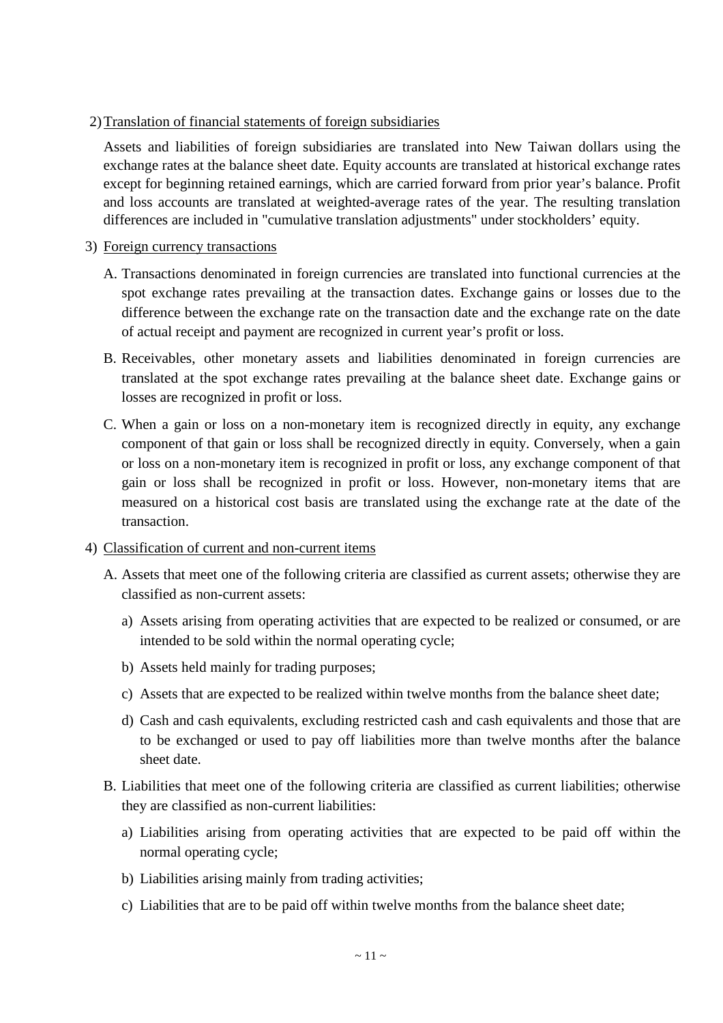## 2)Translation of financial statements of foreign subsidiaries

Assets and liabilities of foreign subsidiaries are translated into New Taiwan dollars using the exchange rates at the balance sheet date. Equity accounts are translated at historical exchange rates except for beginning retained earnings, which are carried forward from prior year's balance. Profit and loss accounts are translated at weighted-average rates of the year. The resulting translation differences are included in "cumulative translation adjustments" under stockholders' equity.

## 3) Foreign currency transactions

- A. Transactions denominated in foreign currencies are translated into functional currencies at the spot exchange rates prevailing at the transaction dates. Exchange gains or losses due to the difference between the exchange rate on the transaction date and the exchange rate on the date of actual receipt and payment are recognized in current year's profit or loss.
- B. Receivables, other monetary assets and liabilities denominated in foreign currencies are translated at the spot exchange rates prevailing at the balance sheet date. Exchange gains or losses are recognized in profit or loss.
- C. When a gain or loss on a non-monetary item is recognized directly in equity, any exchange component of that gain or loss shall be recognized directly in equity. Conversely, when a gain or loss on a non-monetary item is recognized in profit or loss, any exchange component of that gain or loss shall be recognized in profit or loss. However, non-monetary items that are measured on a historical cost basis are translated using the exchange rate at the date of the transaction.

## 4) Classification of current and non-current items

- A. Assets that meet one of the following criteria are classified as current assets; otherwise they are classified as non-current assets:
	- a) Assets arising from operating activities that are expected to be realized or consumed, or are intended to be sold within the normal operating cycle;
	- b) Assets held mainly for trading purposes;
	- c) Assets that are expected to be realized within twelve months from the balance sheet date;
	- d) Cash and cash equivalents, excluding restricted cash and cash equivalents and those that are to be exchanged or used to pay off liabilities more than twelve months after the balance sheet date.
- B. Liabilities that meet one of the following criteria are classified as current liabilities; otherwise they are classified as non-current liabilities:
	- a) Liabilities arising from operating activities that are expected to be paid off within the normal operating cycle;
	- b) Liabilities arising mainly from trading activities;
	- c) Liabilities that are to be paid off within twelve months from the balance sheet date;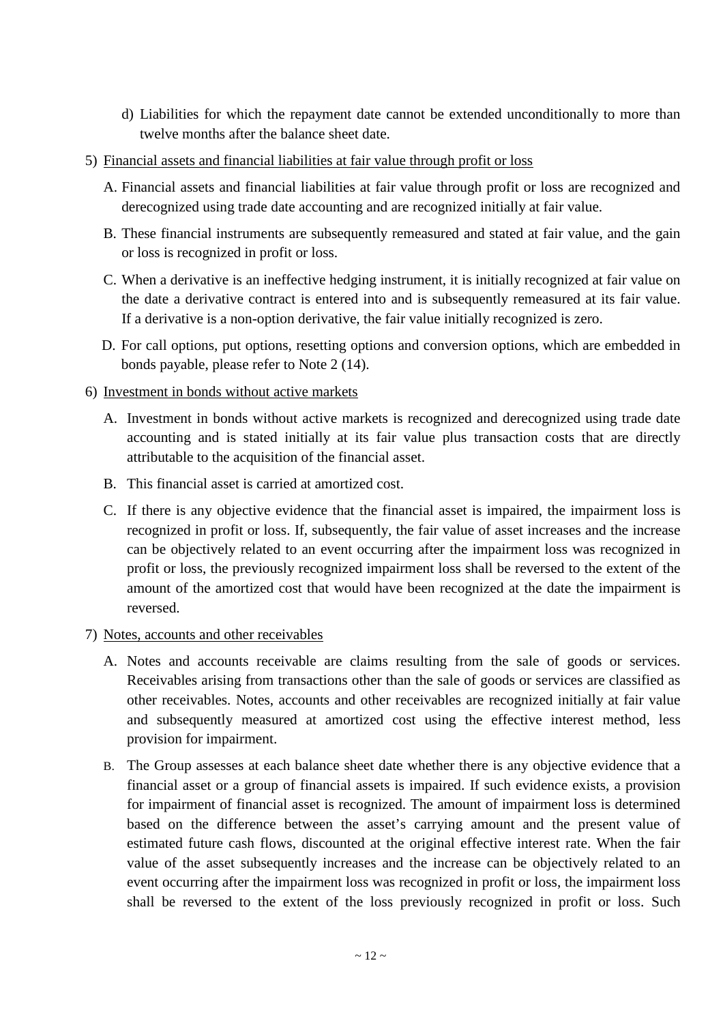- d) Liabilities for which the repayment date cannot be extended unconditionally to more than twelve months after the balance sheet date.
- 5) Financial assets and financial liabilities at fair value through profit or loss
	- A. Financial assets and financial liabilities at fair value through profit or loss are recognized and derecognized using trade date accounting and are recognized initially at fair value.
	- B. These financial instruments are subsequently remeasured and stated at fair value, and the gain or loss is recognized in profit or loss.
	- C. When a derivative is an ineffective hedging instrument, it is initially recognized at fair value on the date a derivative contract is entered into and is subsequently remeasured at its fair value. If a derivative is a non-option derivative, the fair value initially recognized is zero.
	- D. For call options, put options, resetting options and conversion options, which are embedded in bonds payable, please refer to Note 2 (14).

## 6) Investment in bonds without active markets

- A. Investment in bonds without active markets is recognized and derecognized using trade date accounting and is stated initially at its fair value plus transaction costs that are directly attributable to the acquisition of the financial asset.
- B. This financial asset is carried at amortized cost.
- C. If there is any objective evidence that the financial asset is impaired, the impairment loss is recognized in profit or loss. If, subsequently, the fair value of asset increases and the increase can be objectively related to an event occurring after the impairment loss was recognized in profit or loss, the previously recognized impairment loss shall be reversed to the extent of the amount of the amortized cost that would have been recognized at the date the impairment is reversed.

## 7) Notes, accounts and other receivables

- A. Notes and accounts receivable are claims resulting from the sale of goods or services. Receivables arising from transactions other than the sale of goods or services are classified as other receivables. Notes, accounts and other receivables are recognized initially at fair value and subsequently measured at amortized cost using the effective interest method, less provision for impairment.
- B. The Group assesses at each balance sheet date whether there is any objective evidence that a financial asset or a group of financial assets is impaired. If such evidence exists, a provision for impairment of financial asset is recognized. The amount of impairment loss is determined based on the difference between the asset's carrying amount and the present value of estimated future cash flows, discounted at the original effective interest rate. When the fair value of the asset subsequently increases and the increase can be objectively related to an event occurring after the impairment loss was recognized in profit or loss, the impairment loss shall be reversed to the extent of the loss previously recognized in profit or loss. Such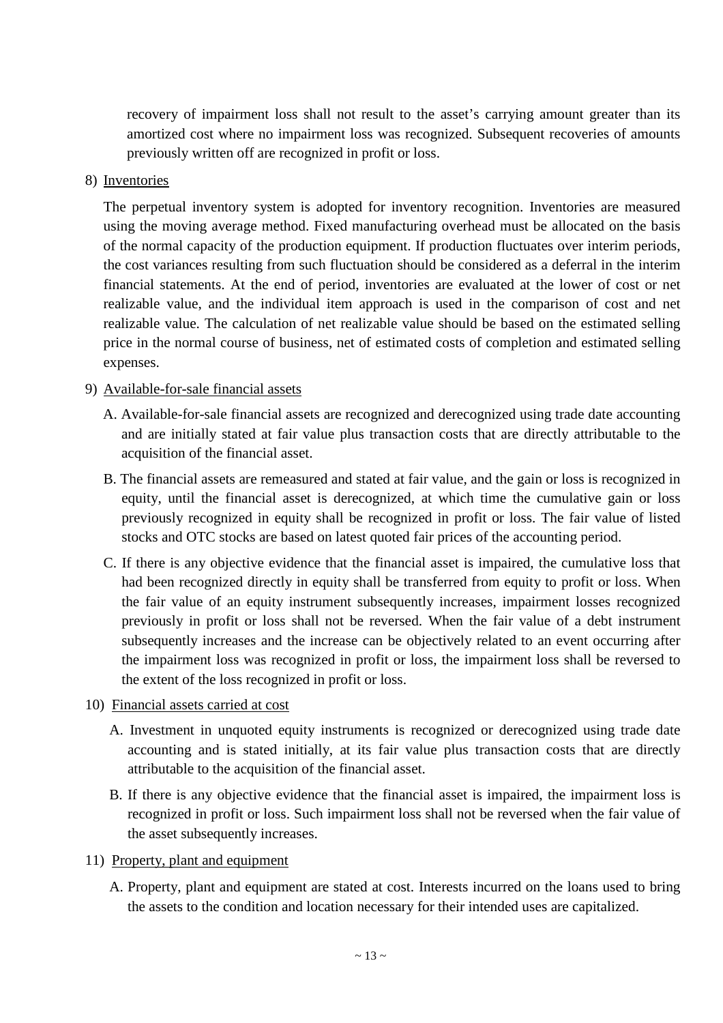recovery of impairment loss shall not result to the asset's carrying amount greater than its amortized cost where no impairment loss was recognized. Subsequent recoveries of amounts previously written off are recognized in profit or loss.

8) Inventories

The perpetual inventory system is adopted for inventory recognition. Inventories are measured using the moving average method. Fixed manufacturing overhead must be allocated on the basis of the normal capacity of the production equipment. If production fluctuates over interim periods, the cost variances resulting from such fluctuation should be considered as a deferral in the interim financial statements. At the end of period, inventories are evaluated at the lower of cost or net realizable value, and the individual item approach is used in the comparison of cost and net realizable value. The calculation of net realizable value should be based on the estimated selling price in the normal course of business, net of estimated costs of completion and estimated selling expenses.

#### 9) Available-for-sale financial assets

- A. Available-for-sale financial assets are recognized and derecognized using trade date accounting and are initially stated at fair value plus transaction costs that are directly attributable to the acquisition of the financial asset.
- B. The financial assets are remeasured and stated at fair value, and the gain or loss is recognized in equity, until the financial asset is derecognized, at which time the cumulative gain or loss previously recognized in equity shall be recognized in profit or loss. The fair value of listed stocks and OTC stocks are based on latest quoted fair prices of the accounting period.
- C. If there is any objective evidence that the financial asset is impaired, the cumulative loss that had been recognized directly in equity shall be transferred from equity to profit or loss. When the fair value of an equity instrument subsequently increases, impairment losses recognized previously in profit or loss shall not be reversed. When the fair value of a debt instrument subsequently increases and the increase can be objectively related to an event occurring after the impairment loss was recognized in profit or loss, the impairment loss shall be reversed to the extent of the loss recognized in profit or loss.
- 10) Financial assets carried at cost
	- A. Investment in unquoted equity instruments is recognized or derecognized using trade date accounting and is stated initially, at its fair value plus transaction costs that are directly attributable to the acquisition of the financial asset.
	- B. If there is any objective evidence that the financial asset is impaired, the impairment loss is recognized in profit or loss. Such impairment loss shall not be reversed when the fair value of the asset subsequently increases.
- 11) Property, plant and equipment
	- A. Property, plant and equipment are stated at cost. Interests incurred on the loans used to bring the assets to the condition and location necessary for their intended uses are capitalized.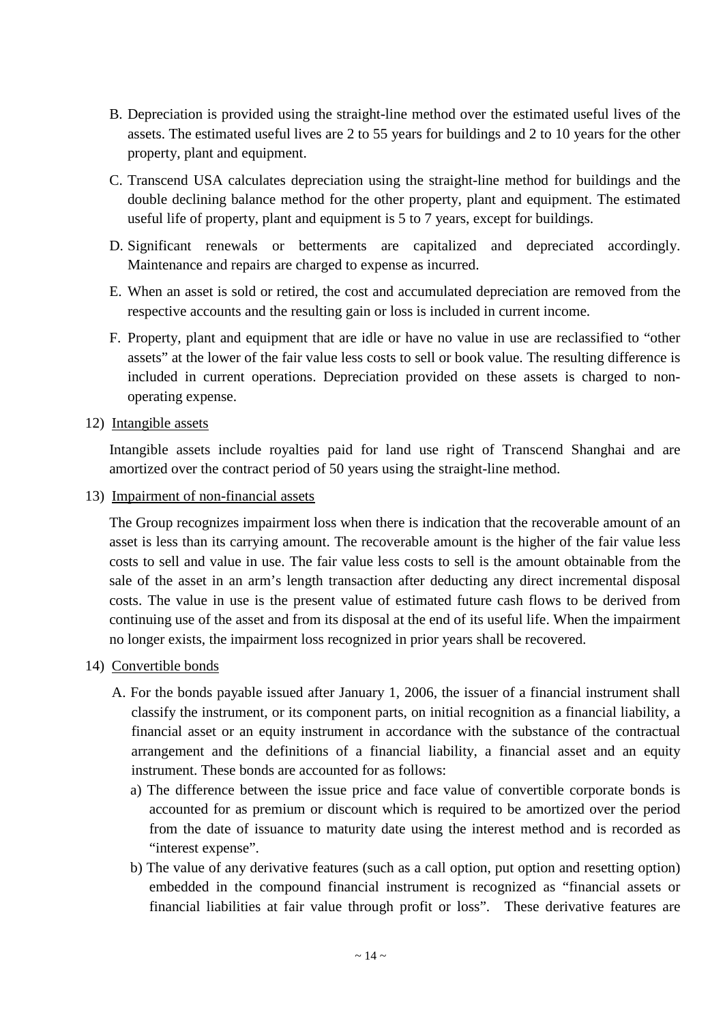- B. Depreciation is provided using the straight-line method over the estimated useful lives of the assets. The estimated useful lives are 2 to 55 years for buildings and 2 to 10 years for the other property, plant and equipment.
- C. Transcend USA calculates depreciation using the straight-line method for buildings and the double declining balance method for the other property, plant and equipment. The estimated useful life of property, plant and equipment is 5 to 7 years, except for buildings.
- D. Significant renewals or betterments are capitalized and depreciated accordingly. Maintenance and repairs are charged to expense as incurred.
- E. When an asset is sold or retired, the cost and accumulated depreciation are removed from the respective accounts and the resulting gain or loss is included in current income.
- F. Property, plant and equipment that are idle or have no value in use are reclassified to "other assets" at the lower of the fair value less costs to sell or book value. The resulting difference is included in current operations. Depreciation provided on these assets is charged to nonoperating expense.
- 12) Intangible assets

Intangible assets include royalties paid for land use right of Transcend Shanghai and are amortized over the contract period of 50 years using the straight-line method.

13) Impairment of non-financial assets

The Group recognizes impairment loss when there is indication that the recoverable amount of an asset is less than its carrying amount. The recoverable amount is the higher of the fair value less costs to sell and value in use. The fair value less costs to sell is the amount obtainable from the sale of the asset in an arm's length transaction after deducting any direct incremental disposal costs. The value in use is the present value of estimated future cash flows to be derived from continuing use of the asset and from its disposal at the end of its useful life. When the impairment no longer exists, the impairment loss recognized in prior years shall be recovered.

- 14) Convertible bonds
	- A. For the bonds payable issued after January 1, 2006, the issuer of a financial instrument shall classify the instrument, or its component parts, on initial recognition as a financial liability, a financial asset or an equity instrument in accordance with the substance of the contractual arrangement and the definitions of a financial liability, a financial asset and an equity instrument. These bonds are accounted for as follows:
		- a) The difference between the issue price and face value of convertible corporate bonds is accounted for as premium or discount which is required to be amortized over the period from the date of issuance to maturity date using the interest method and is recorded as "interest expense".
		- b) The value of any derivative features (such as a call option, put option and resetting option) embedded in the compound financial instrument is recognized as "financial assets or financial liabilities at fair value through profit or loss". These derivative features are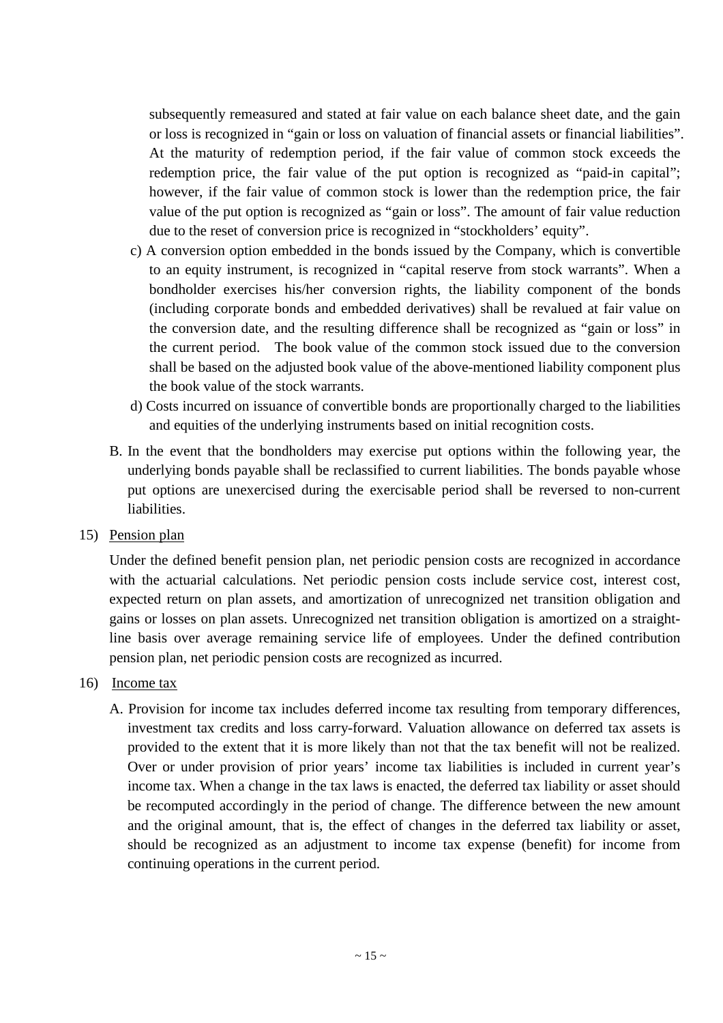subsequently remeasured and stated at fair value on each balance sheet date, and the gain or loss is recognized in "gain or loss on valuation of financial assets or financial liabilities". At the maturity of redemption period, if the fair value of common stock exceeds the redemption price, the fair value of the put option is recognized as "paid-in capital"; however, if the fair value of common stock is lower than the redemption price, the fair value of the put option is recognized as "gain or loss". The amount of fair value reduction due to the reset of conversion price is recognized in "stockholders' equity".

- c) A conversion option embedded in the bonds issued by the Company, which is convertible to an equity instrument, is recognized in "capital reserve from stock warrants". When a bondholder exercises his/her conversion rights, the liability component of the bonds (including corporate bonds and embedded derivatives) shall be revalued at fair value on the conversion date, and the resulting difference shall be recognized as "gain or loss" in the current period. The book value of the common stock issued due to the conversion shall be based on the adjusted book value of the above-mentioned liability component plus the book value of the stock warrants.
- d) Costs incurred on issuance of convertible bonds are proportionally charged to the liabilities and equities of the underlying instruments based on initial recognition costs.
- B. In the event that the bondholders may exercise put options within the following year, the underlying bonds payable shall be reclassified to current liabilities. The bonds payable whose put options are unexercised during the exercisable period shall be reversed to non-current liabilities.

## 15) Pension plan

Under the defined benefit pension plan, net periodic pension costs are recognized in accordance with the actuarial calculations. Net periodic pension costs include service cost, interest cost, expected return on plan assets, and amortization of unrecognized net transition obligation and gains or losses on plan assets. Unrecognized net transition obligation is amortized on a straightline basis over average remaining service life of employees. Under the defined contribution pension plan, net periodic pension costs are recognized as incurred.

#### 16) Income tax

A. Provision for income tax includes deferred income tax resulting from temporary differences, investment tax credits and loss carry-forward. Valuation allowance on deferred tax assets is provided to the extent that it is more likely than not that the tax benefit will not be realized. Over or under provision of prior years' income tax liabilities is included in current year's income tax. When a change in the tax laws is enacted, the deferred tax liability or asset should be recomputed accordingly in the period of change. The difference between the new amount and the original amount, that is, the effect of changes in the deferred tax liability or asset, should be recognized as an adjustment to income tax expense (benefit) for income from continuing operations in the current period.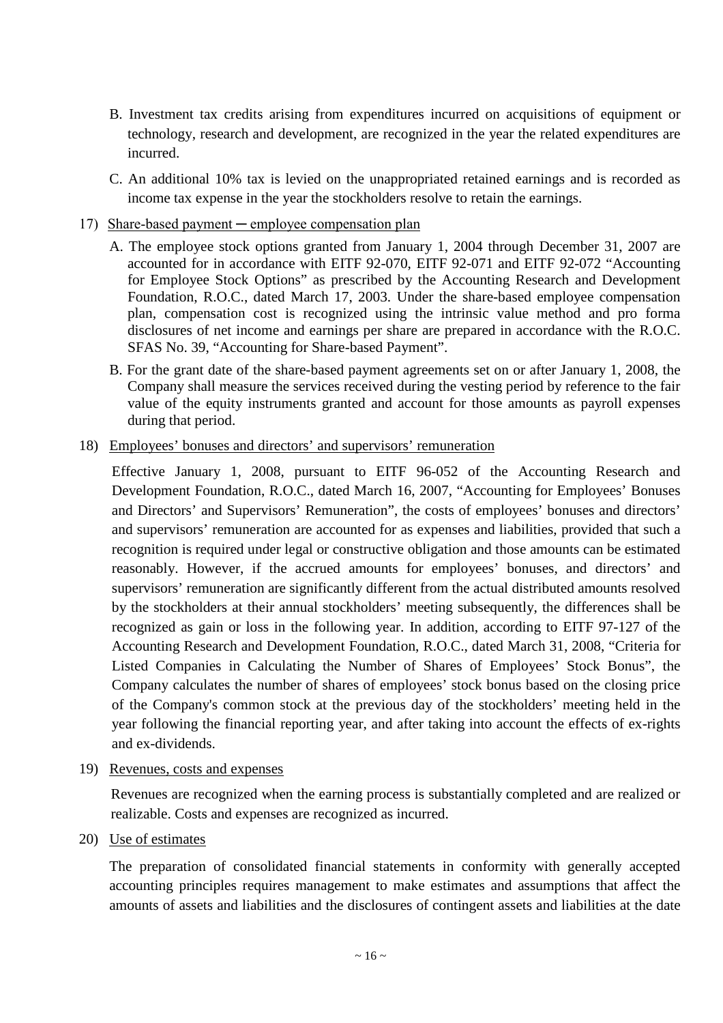- B. Investment tax credits arising from expenditures incurred on acquisitions of equipment or technology, research and development, are recognized in the year the related expenditures are incurred.
- C. An additional 10% tax is levied on the unappropriated retained earnings and is recorded as income tax expense in the year the stockholders resolve to retain the earnings.
- 17) Share-based payment employee compensation plan
	- A. The employee stock options granted from January 1, 2004 through December 31, 2007 are accounted for in accordance with EITF 92-070, EITF 92-071 and EITF 92-072 "Accounting for Employee Stock Options" as prescribed by the Accounting Research and Development Foundation, R.O.C., dated March 17, 2003. Under the share-based employee compensation plan, compensation cost is recognized using the intrinsic value method and pro forma disclosures of net income and earnings per share are prepared in accordance with the R.O.C. SFAS No. 39, "Accounting for Share-based Payment".
	- B. For the grant date of the share-based payment agreements set on or after January 1, 2008, the Company shall measure the services received during the vesting period by reference to the fair value of the equity instruments granted and account for those amounts as payroll expenses during that period.
- 18) Employees' bonuses and directors' and supervisors' remuneration

Effective January 1, 2008, pursuant to EITF 96-052 of the Accounting Research and Development Foundation, R.O.C., dated March 16, 2007, "Accounting for Employees' Bonuses and Directors' and Supervisors' Remuneration", the costs of employees' bonuses and directors' and supervisors' remuneration are accounted for as expenses and liabilities, provided that such a recognition is required under legal or constructive obligation and those amounts can be estimated reasonably. However, if the accrued amounts for employees' bonuses, and directors' and supervisors' remuneration are significantly different from the actual distributed amounts resolved by the stockholders at their annual stockholders' meeting subsequently, the differences shall be recognized as gain or loss in the following year. In addition, according to EITF 97-127 of the Accounting Research and Development Foundation, R.O.C., dated March 31, 2008, "Criteria for Listed Companies in Calculating the Number of Shares of Employees' Stock Bonus", the Company calculates the number of shares of employees' stock bonus based on the closing price of the Company's common stock at the previous day of the stockholders' meeting held in the year following the financial reporting year, and after taking into account the effects of ex-rights and ex-dividends.

19) Revenues, costs and expenses

Revenues are recognized when the earning process is substantially completed and are realized or realizable. Costs and expenses are recognized as incurred.

20) Use of estimates

The preparation of consolidated financial statements in conformity with generally accepted accounting principles requires management to make estimates and assumptions that affect the amounts of assets and liabilities and the disclosures of contingent assets and liabilities at the date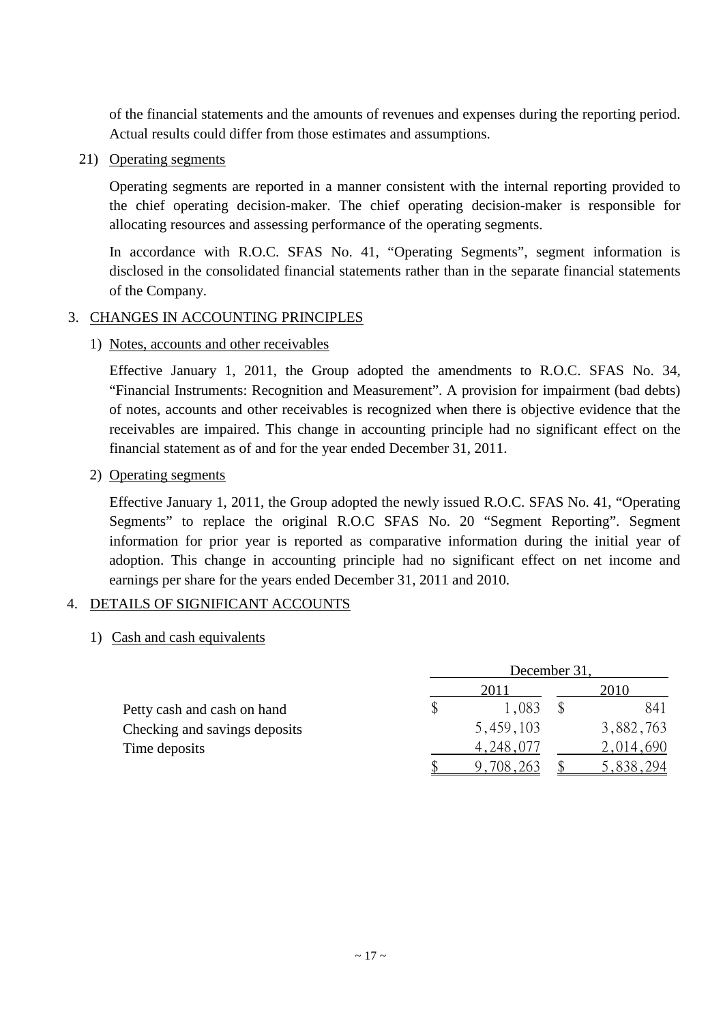of the financial statements and the amounts of revenues and expenses during the reporting period. Actual results could differ from those estimates and assumptions.

21) Operating segments

Operating segments are reported in a manner consistent with the internal reporting provided to the chief operating decision-maker. The chief operating decision-maker is responsible for allocating resources and assessing performance of the operating segments.

In accordance with R.O.C. SFAS No. 41, "Operating Segments", segment information is disclosed in the consolidated financial statements rather than in the separate financial statements of the Company.

## 3. CHANGES IN ACCOUNTING PRINCIPLES

## 1) Notes, accounts and other receivables

Effective January 1, 2011, the Group adopted the amendments to R.O.C. SFAS No. 34, "Financial Instruments: Recognition and Measurement". A provision for impairment (bad debts) of notes, accounts and other receivables is recognized when there is objective evidence that the receivables are impaired. This change in accounting principle had no significant effect on the financial statement as of and for the year ended December 31, 2011.

## 2) Operating segments

Effective January 1, 2011, the Group adopted the newly issued R.O.C. SFAS No. 41, "Operating Segments" to replace the original R.O.C SFAS No. 20 "Segment Reporting". Segment information for prior year is reported as comparative information during the initial year of adoption. This change in accounting principle had no significant effect on net income and earnings per share for the years ended December 31, 2011 and 2010.

## 4. DETAILS OF SIGNIFICANT ACCOUNTS

## 1) Cash and cash equivalents

|                               | December 31 |           |  |           |  |  |
|-------------------------------|-------------|-----------|--|-----------|--|--|
|                               |             | 201       |  | 2010      |  |  |
| Petty cash and cash on hand   |             | 1.083     |  | 841       |  |  |
| Checking and savings deposits |             | 5,459,103 |  | 3,882,763 |  |  |
| Time deposits                 |             | 4,248,077 |  | 2,014,690 |  |  |
|                               |             | 9,708,263 |  | 5,838,294 |  |  |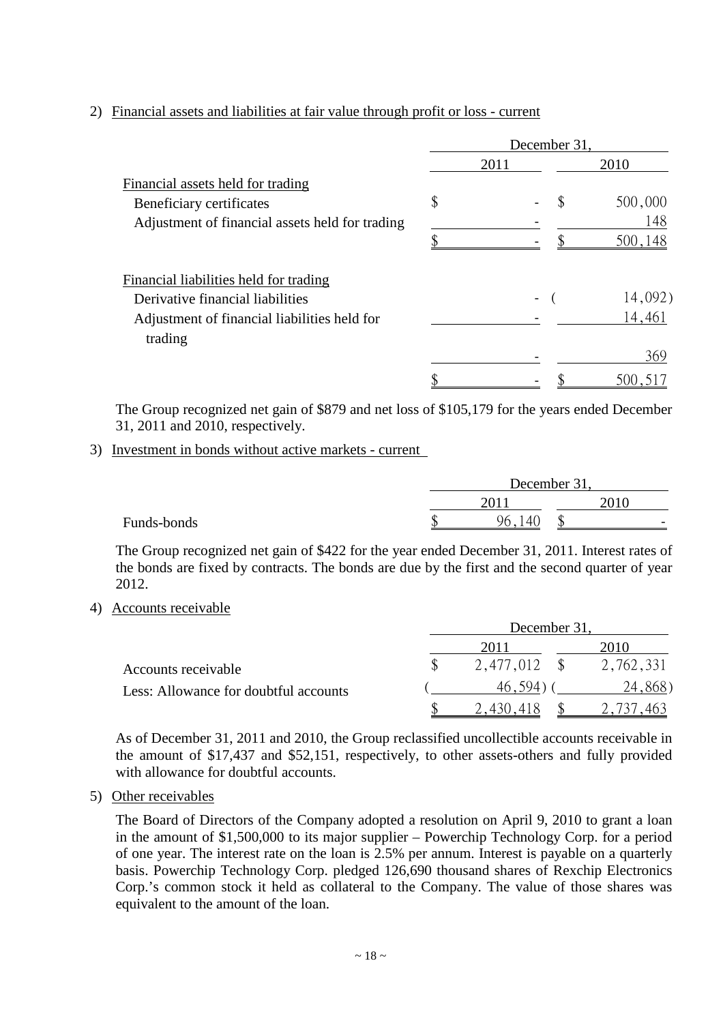## 2) Financial assets and liabilities at fair value through profit or loss - current

|                                                 | December 31, |      |    |         |  |
|-------------------------------------------------|--------------|------|----|---------|--|
|                                                 |              | 2011 |    | 2010    |  |
| Financial assets held for trading               |              |      |    |         |  |
| Beneficiary certificates                        | \$           |      | \$ | 500,000 |  |
| Adjustment of financial assets held for trading |              |      |    | 148     |  |
|                                                 |              |      |    | 500,148 |  |
| Financial liabilities held for trading          |              |      |    |         |  |
| Derivative financial liabilities                |              |      |    | 14,092) |  |
| Adjustment of financial liabilities held for    |              |      |    | 14,461  |  |
| trading                                         |              |      |    |         |  |
|                                                 |              |      |    | 369     |  |
|                                                 |              |      |    | 500,517 |  |

The Group recognized net gain of \$879 and net loss of \$105,179 for the years ended December 31, 2011 and 2010, respectively.

#### 3) Investment in bonds without active markets - current

|             |     | December 31,               |        |      |                          |
|-------------|-----|----------------------------|--------|------|--------------------------|
|             |     | 201                        |        | 2010 |                          |
| Funds-bonds | ιIJ | $\Delta \Gamma$<br>96<br>◡ | ጦ<br>J |      | $\overline{\phantom{0}}$ |

The Group recognized net gain of \$422 for the year ended December 31, 2011. Interest rates of the bonds are fixed by contracts. The bonds are due by the first and the second quarter of year 2012.

#### 4) Accounts receivable

|                                       | December 31 |  |           |  |  |
|---------------------------------------|-------------|--|-----------|--|--|
|                                       | 2011        |  | 2010      |  |  |
| Accounts receivable                   | 2,477,012   |  | 2,762,331 |  |  |
| Less: Allowance for doubtful accounts | 46.594.     |  | 24,868)   |  |  |
|                                       | .418<br>430 |  |           |  |  |

As of December 31, 2011 and 2010, the Group reclassified uncollectible accounts receivable in the amount of \$17,437 and \$52,151, respectively, to other assets-others and fully provided with allowance for doubtful accounts.

5) Other receivables

The Board of Directors of the Company adopted a resolution on April 9, 2010 to grant a loan in the amount of \$1,500,000 to its major supplier – Powerchip Technology Corp. for a period of one year. The interest rate on the loan is 2.5% per annum. Interest is payable on a quarterly basis. Powerchip Technology Corp. pledged 126,690 thousand shares of Rexchip Electronics Corp.'s common stock it held as collateral to the Company. The value of those shares was equivalent to the amount of the loan.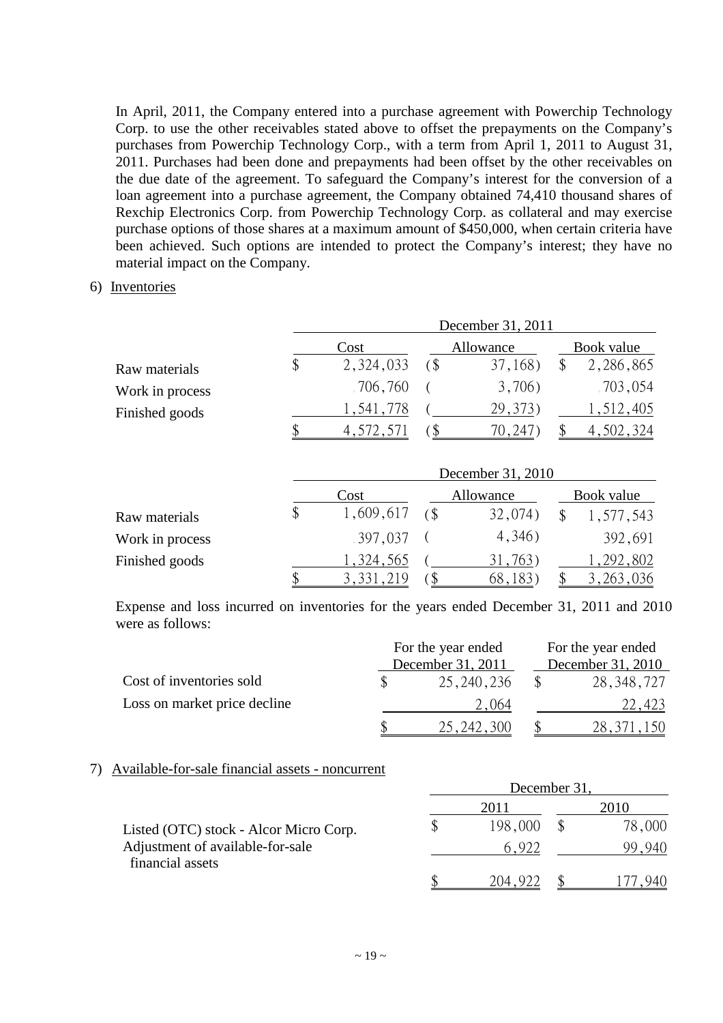In April, 2011, the Company entered into a purchase agreement with Powerchip Technology Corp. to use the other receivables stated above to offset the prepayments on the Company's purchases from Powerchip Technology Corp., with a term from April 1, 2011 to August 31, 2011. Purchases had been done and prepayments had been offset by the other receivables on the due date of the agreement. To safeguard the Company's interest for the conversion of a loan agreement into a purchase agreement, the Company obtained 74,410 thousand shares of Rexchip Electronics Corp. from Powerchip Technology Corp. as collateral and may exercise purchase options of those shares at a maximum amount of \$450,000, when certain criteria have been achieved. Such options are intended to protect the Company's interest; they have no material impact on the Company.

#### 6) Inventories

|                 | December 31, 2011 |           |                            |           |  |            |  |  |
|-----------------|-------------------|-----------|----------------------------|-----------|--|------------|--|--|
|                 |                   | Cost      |                            | Allowance |  | Book value |  |  |
| Raw materials   |                   | 2,324,033 | $\left( \text{\$} \right)$ | 37,168)   |  | 2,286,865  |  |  |
| Work in process |                   | 706,760   |                            | 3,706)    |  | ,703,054   |  |  |
| Finished goods  |                   | 1,541,778 |                            | 29, 373)  |  | .512,405   |  |  |
|                 |                   | 4,572,571 |                            | 70,247    |  | 4,502,324  |  |  |

|                 | December 31, 2010 |  |           |  |            |  |  |
|-----------------|-------------------|--|-----------|--|------------|--|--|
|                 | Cost              |  | Allowance |  | Book value |  |  |
| Raw materials   | 1,609,617         |  | 32,074)   |  | 1,577,543  |  |  |
| Work in process | 397,037           |  | 4,346)    |  | 392,691    |  |  |
| Finished goods  | 1,324,565         |  | 31,763)   |  | , 292, 802 |  |  |
|                 | 3,331,219         |  | ხ୪        |  | 263,036    |  |  |

Expense and loss incurred on inventories for the years ended December 31, 2011 and 2010 were as follows:

|                              | For the year ended |                   |  | For the year ended |
|------------------------------|--------------------|-------------------|--|--------------------|
|                              |                    | December 31, 2011 |  | December 31, 2010  |
| Cost of inventories sold     |                    | 25, 240, 236      |  | 28, 348, 727       |
| Loss on market price decline |                    | 2.064             |  | 22.423             |
|                              |                    | 25, 242, 300      |  | 28,311             |

#### 7) Available-for-sale financial assets - noncurrent

|                                        | December 31 |         |  |        |
|----------------------------------------|-------------|---------|--|--------|
|                                        |             | 2011    |  | 2010   |
| Listed (OTC) stock - Alcor Micro Corp. |             | 198,000 |  | 78,000 |
| Adjustment of available-for-sale       |             | 6922    |  |        |
| financial assets                       |             | - 204   |  |        |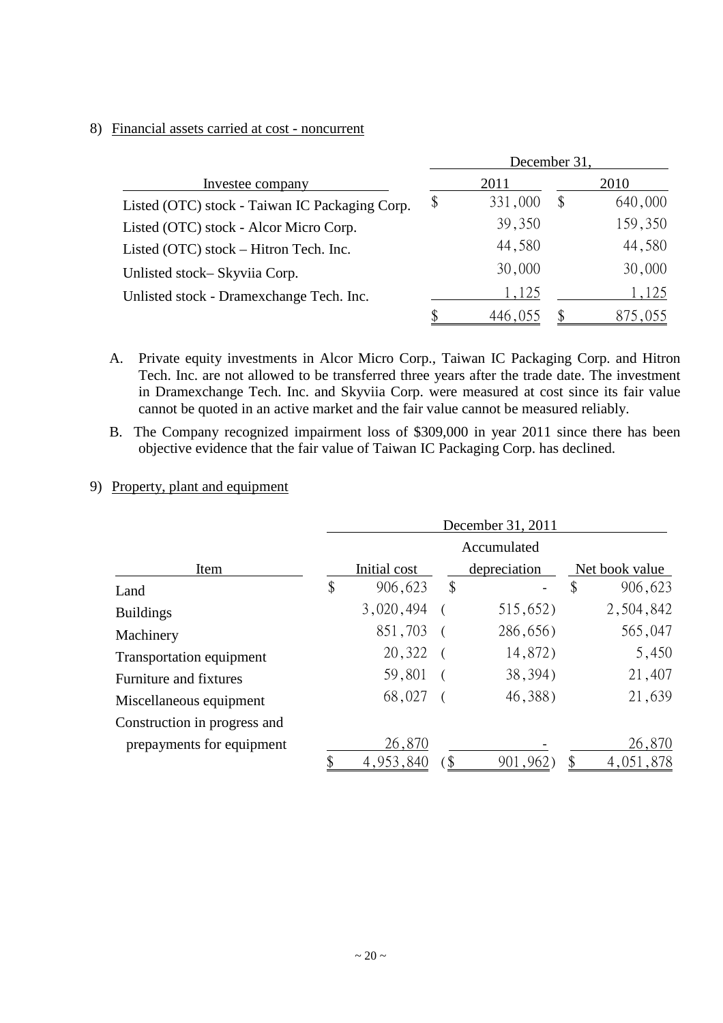#### 8) Financial assets carried at cost - noncurrent

|                                                |    | December 31, |       |         |
|------------------------------------------------|----|--------------|-------|---------|
| Investee company                               |    | 2011         |       | 2010    |
| Listed (OTC) stock - Taiwan IC Packaging Corp. | \$ | 331,000      | $\$\$ | 640,000 |
| Listed (OTC) stock - Alcor Micro Corp.         |    | 39,350       |       | 159,350 |
| Listed (OTC) stock – Hitron Tech. Inc.         |    | 44,580       |       | 44,580  |
| Unlisted stock-Skyviia Corp.                   |    | 30,000       |       | 30,000  |
| Unlisted stock - Dramexchange Tech. Inc.       |    | 1,125        |       | 1,125   |
|                                                |    | 446,055      |       | 875,055 |

A. Private equity investments in Alcor Micro Corp., Taiwan IC Packaging Corp. and Hitron Tech. Inc. are not allowed to be transferred three years after the trade date. The investment in Dramexchange Tech. Inc. and Skyviia Corp. were measured at cost since its fair value cannot be quoted in an active market and the fair value cannot be measured reliably.

B. The Company recognized impairment loss of \$309,000 in year 2011 since there has been objective evidence that the fair value of Taiwan IC Packaging Corp. has declined.

#### 9) Property, plant and equipment

|                              | December 31, 2011 |              |    |              |    |                |
|------------------------------|-------------------|--------------|----|--------------|----|----------------|
|                              |                   |              |    | Accumulated  |    |                |
| Item                         |                   | Initial cost |    | depreciation |    | Net book value |
| Land                         | \$                | 906,623      | \$ |              | \$ | 906,623        |
| <b>Buildings</b>             |                   | 3,020,494    |    | 515,652)     |    | 2,504,842      |
| Machinery                    |                   | 851,703      |    | 286,656)     |    | 565,047        |
| Transportation equipment     |                   | 20,322       |    | 14,872)      |    | 5,450          |
| Furniture and fixtures       |                   | 59,801       |    | 38, 394)     |    | 21,407         |
| Miscellaneous equipment      |                   | 68,027       |    | 46,388)      |    | 21,639         |
| Construction in progress and |                   |              |    |              |    |                |
| prepayments for equipment    |                   | 26,870       |    |              |    | 26,870         |
|                              |                   | 4,953,840    |    | 901,962      |    | 4,051,878      |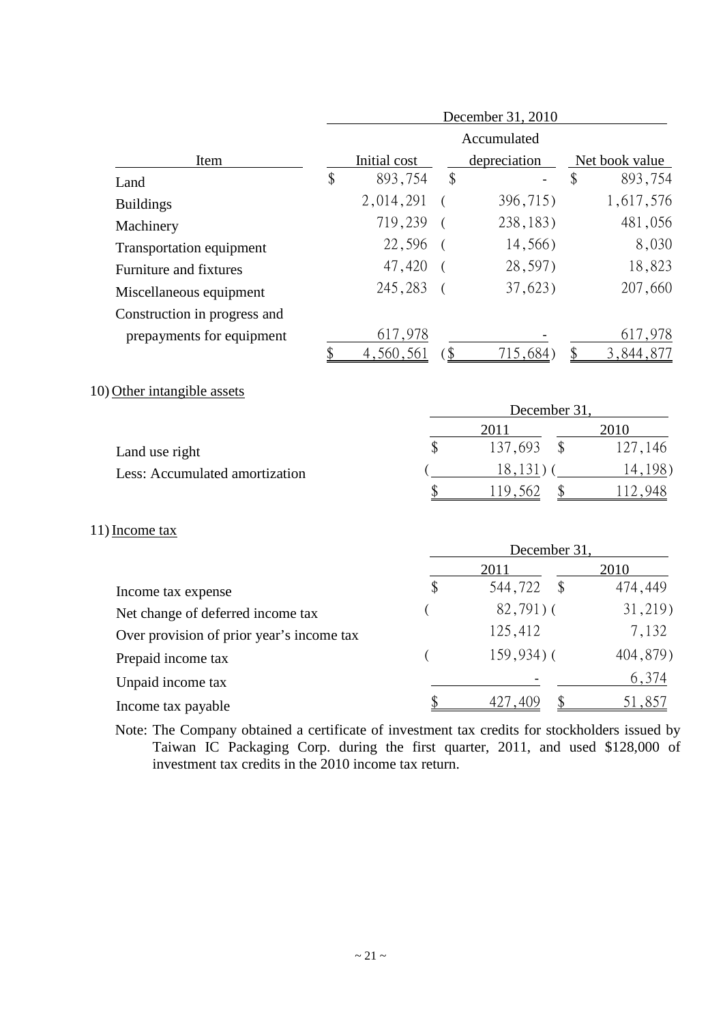|                              | December 31, 2010 |              |    |              |                |           |  |
|------------------------------|-------------------|--------------|----|--------------|----------------|-----------|--|
|                              |                   |              |    | Accumulated  |                |           |  |
| Item                         |                   | Initial cost |    | depreciation | Net book value |           |  |
| Land                         | \$                | 893,754      | \$ |              | \$             | 893,754   |  |
| <b>Buildings</b>             |                   | 2,014,291    |    | 396,715)     |                | 1,617,576 |  |
| Machinery                    |                   | 719,239      |    | 238, 183)    |                | 481,056   |  |
| Transportation equipment     |                   | 22,596       |    | 14,566)      |                | 8,030     |  |
| Furniture and fixtures       |                   | 47,420       |    | 28,597)      |                | 18,823    |  |
| Miscellaneous equipment      |                   | 245,283      |    | 37,623)      |                | 207,660   |  |
| Construction in progress and |                   |              |    |              |                |           |  |
| prepayments for equipment    |                   | 617,978      |    |              |                | 617,978   |  |
|                              |                   | 4,560,561    |    | 715,684)     | \$             | 3,844,877 |  |

10) Other intangible assets

|                                | December 31 |  |                        |  |
|--------------------------------|-------------|--|------------------------|--|
|                                | 2011        |  | 2010                   |  |
| Land use right                 | 137,693     |  | 127,146                |  |
| Less: Accumulated amortization | $8^{\circ}$ |  | 198)<br>$\overline{4}$ |  |
|                                | 19          |  |                        |  |

#### 11) Income tax

|                                           | December 31 |                          |          |  |
|-------------------------------------------|-------------|--------------------------|----------|--|
|                                           |             | 2011                     | 2010     |  |
| Income tax expense                        | \$          | 544,722<br>$\mathcal{S}$ | 474,449  |  |
| Net change of deferred income tax         |             | $82,791)$ (              | 31,219)  |  |
| Over provision of prior year's income tax |             | 125,412                  | 7,132    |  |
| Prepaid income tax                        |             | $159,934$ (              | 404,879) |  |
| Unpaid income tax                         |             |                          | 6,374    |  |
| Income tax payable                        |             | 409                      | 51.857   |  |

Note: The Company obtained a certificate of investment tax credits for stockholders issued by Taiwan IC Packaging Corp. during the first quarter, 2011, and used \$128,000 of investment tax credits in the 2010 income tax return.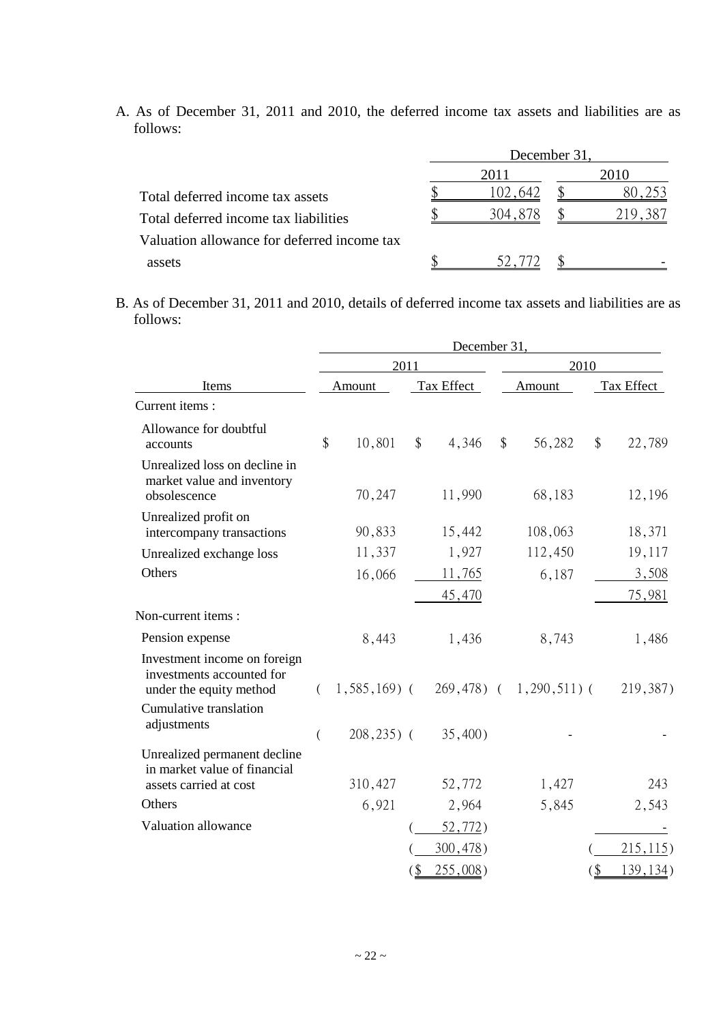A. As of December 31, 2011 and 2010, the deferred income tax assets and liabilities are as follows:

|                                             | December 31 |         |  |         |  |
|---------------------------------------------|-------------|---------|--|---------|--|
|                                             |             | 2011    |  | 2010    |  |
| Total deferred income tax assets            |             | 02.642  |  | 8U      |  |
| Total deferred income tax liabilities       |             | 304.878 |  | 219.387 |  |
| Valuation allowance for deferred income tax |             |         |  |         |  |
| assets                                      |             |         |  |         |  |

B. As of December 31, 2011 and 2010, details of deferred income tax assets and liabilities are as follows:

|                                                                                      | December 31,   |                |            |          |        |                                             |        |            |  |  |
|--------------------------------------------------------------------------------------|----------------|----------------|------------|----------|--------|---------------------------------------------|--------|------------|--|--|
|                                                                                      |                | 2011           |            |          |        | 2010                                        |        |            |  |  |
| Items                                                                                | Amount         |                | Tax Effect |          | Amount |                                             |        | Tax Effect |  |  |
| Current items:                                                                       |                |                |            |          |        |                                             |        |            |  |  |
| Allowance for doubtful<br>accounts                                                   | \$             | 10,801         | $\$\$      | 4,346    | \$     | 56,282                                      | $\$\$  | 22,789     |  |  |
| Unrealized loss on decline in<br>market value and inventory<br>obsolescence          |                | 70,247         |            | 11,990   |        | 68,183                                      |        | 12,196     |  |  |
| Unrealized profit on<br>intercompany transactions                                    |                | 90,833         |            | 15,442   |        | 108,063                                     |        | 18,371     |  |  |
| Unrealized exchange loss                                                             |                | 11,337         |            | 1,927    |        | 112,450                                     |        | 19,117     |  |  |
| Others                                                                               |                | 16,066         |            | 11,765   |        | 6,187                                       |        | 3,508      |  |  |
|                                                                                      |                |                |            | 45,470   |        |                                             |        | 75,981     |  |  |
| Non-current items:                                                                   |                |                |            |          |        |                                             |        |            |  |  |
| Pension expense                                                                      |                | 8,443          |            | 1,436    |        | 8,743                                       |        | 1,486      |  |  |
| Investment income on foreign<br>investments accounted for<br>under the equity method | €              |                |            |          |        | $1,585,169$ ( $269,478$ ) ( $1,290,511$ ) ( |        | 219,387)   |  |  |
| Cumulative translation<br>adjustments                                                | $\overline{(}$ | $208, 235$ ) ( |            | 35,400)  |        |                                             |        |            |  |  |
| Unrealized permanent decline<br>in market value of financial                         |                |                |            |          |        |                                             |        |            |  |  |
| assets carried at cost                                                               |                | 310,427        |            | 52,772   |        | 1,427                                       |        | 243        |  |  |
| Others                                                                               |                | 6,921          |            | 2,964    |        | 5,845                                       |        | 2,543      |  |  |
| Valuation allowance                                                                  |                |                |            | 52,772)  |        |                                             |        |            |  |  |
|                                                                                      |                |                |            | 300,478  |        |                                             |        | 215, 115)  |  |  |
|                                                                                      |                |                | (          | 255,008) |        |                                             | $($ \$ | 139, 134)  |  |  |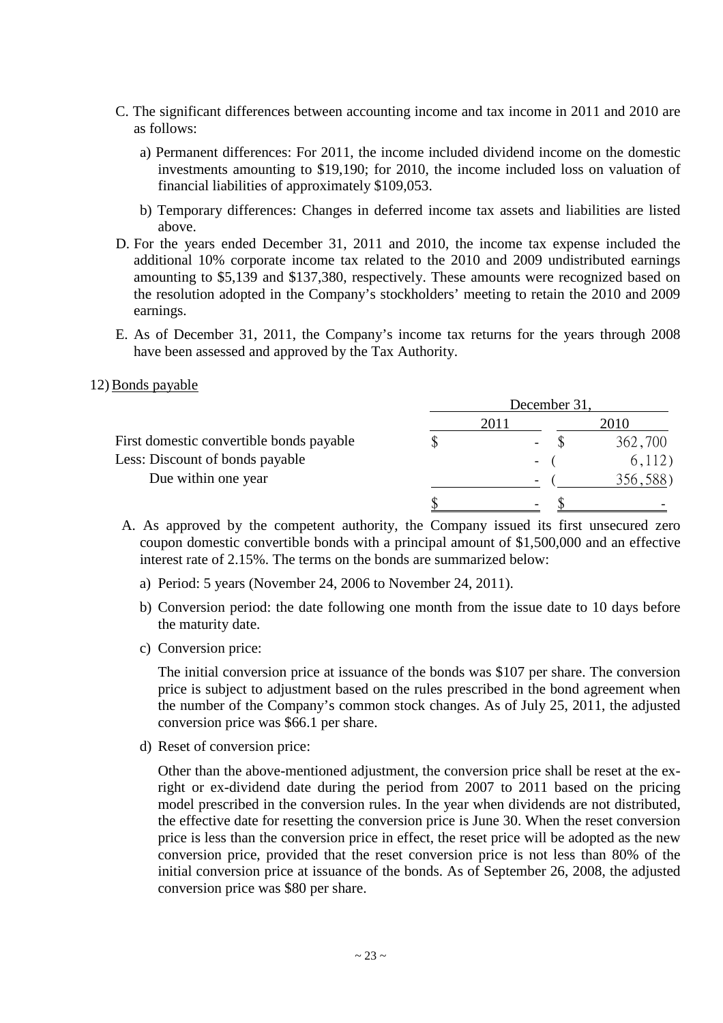- C. The significant differences between accounting income and tax income in 2011 and 2010 are as follows:
	- a) Permanent differences: For 2011, the income included dividend income on the domestic investments amounting to \$19,190; for 2010, the income included loss on valuation of financial liabilities of approximately \$109,053.
	- b) Temporary differences: Changes in deferred income tax assets and liabilities are listed above.
- D. For the years ended December 31, 2011 and 2010, the income tax expense included the additional 10% corporate income tax related to the 2010 and 2009 undistributed earnings amounting to \$5,139 and \$137,380, respectively. These amounts were recognized based on the resolution adopted in the Company's stockholders' meeting to retain the 2010 and 2009 earnings.
- E. As of December 31, 2011, the Company's income tax returns for the years through 2008 have been assessed and approved by the Tax Authority.

#### 12) Bonds payable

|                                          | December 31              |          |  |  |
|------------------------------------------|--------------------------|----------|--|--|
|                                          | 2011                     | 2010     |  |  |
| First domestic convertible bonds payable | $\overline{\phantom{m}}$ | 362,700  |  |  |
| Less: Discount of bonds payable          | $\overline{\phantom{a}}$ | 6,112)   |  |  |
| Due within one year                      | $\overline{\phantom{a}}$ | 356,588) |  |  |
|                                          | $\overline{\phantom{a}}$ |          |  |  |

- A. As approved by the competent authority, the Company issued its first unsecured zero coupon domestic convertible bonds with a principal amount of \$1,500,000 and an effective interest rate of 2.15%. The terms on the bonds are summarized below:
	- a) Period: 5 years (November 24, 2006 to November 24, 2011).
	- b) Conversion period: the date following one month from the issue date to 10 days before the maturity date.
	- c) Conversion price:

The initial conversion price at issuance of the bonds was \$107 per share. The conversion price is subject to adjustment based on the rules prescribed in the bond agreement when the number of the Company's common stock changes. As of July 25, 2011, the adjusted conversion price was \$66.1 per share.

d) Reset of conversion price:

Other than the above-mentioned adjustment, the conversion price shall be reset at the exright or ex-dividend date during the period from 2007 to 2011 based on the pricing model prescribed in the conversion rules. In the year when dividends are not distributed, the effective date for resetting the conversion price is June 30. When the reset conversion price is less than the conversion price in effect, the reset price will be adopted as the new conversion price, provided that the reset conversion price is not less than 80% of the initial conversion price at issuance of the bonds. As of September 26, 2008, the adjusted conversion price was \$80 per share.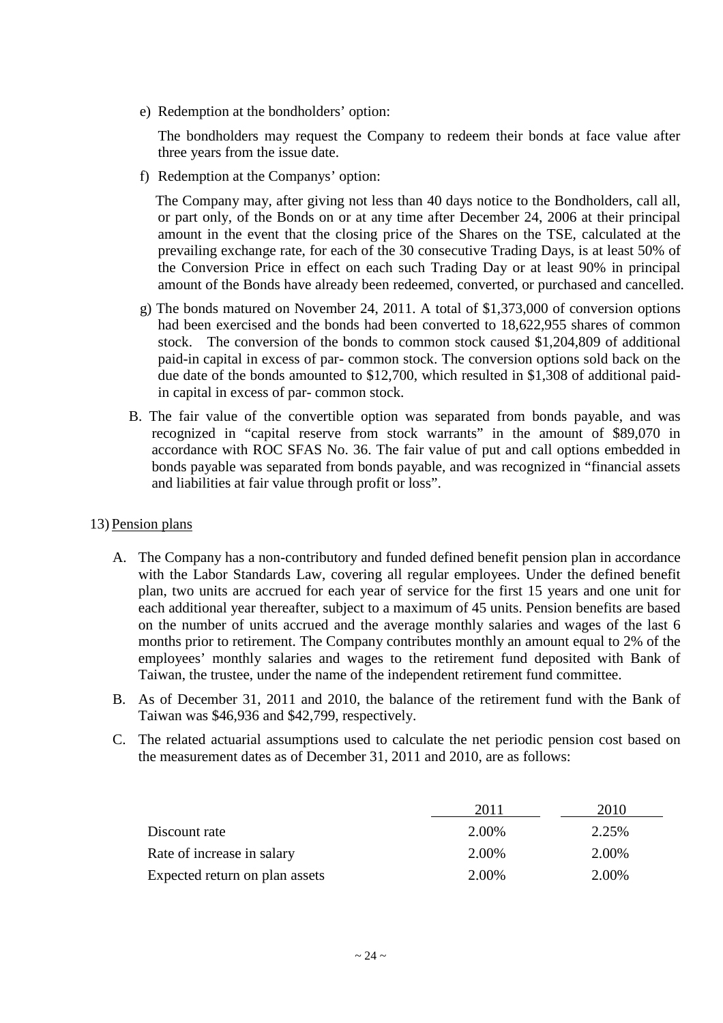e) Redemption at the bondholders' option:

The bondholders may request the Company to redeem their bonds at face value after three years from the issue date.

f) Redemption at the Companys' option:

The Company may, after giving not less than 40 days notice to the Bondholders, call all, or part only, of the Bonds on or at any time after December 24, 2006 at their principal amount in the event that the closing price of the Shares on the TSE, calculated at the prevailing exchange rate, for each of the 30 consecutive Trading Days, is at least 50% of the Conversion Price in effect on each such Trading Day or at least 90% in principal amount of the Bonds have already been redeemed, converted, or purchased and cancelled.

- g) The bonds matured on November 24, 2011. A total of \$1,373,000 of conversion options had been exercised and the bonds had been converted to 18,622,955 shares of common stock. The conversion of the bonds to common stock caused \$1,204,809 of additional paid-in capital in excess of par- common stock. The conversion options sold back on the due date of the bonds amounted to \$12,700, which resulted in \$1,308 of additional paidin capital in excess of par- common stock.
- B. The fair value of the convertible option was separated from bonds payable, and was recognized in "capital reserve from stock warrants" in the amount of \$89,070 in accordance with ROC SFAS No. 36. The fair value of put and call options embedded in bonds payable was separated from bonds payable, and was recognized in "financial assets and liabilities at fair value through profit or loss".

#### 13) Pension plans

- A. The Company has a non-contributory and funded defined benefit pension plan in accordance with the Labor Standards Law, covering all regular employees. Under the defined benefit plan, two units are accrued for each year of service for the first 15 years and one unit for each additional year thereafter, subject to a maximum of 45 units. Pension benefits are based on the number of units accrued and the average monthly salaries and wages of the last 6 months prior to retirement. The Company contributes monthly an amount equal to 2% of the employees' monthly salaries and wages to the retirement fund deposited with Bank of Taiwan, the trustee, under the name of the independent retirement fund committee.
- B. As of December 31, 2011 and 2010, the balance of the retirement fund with the Bank of Taiwan was \$46,936 and \$42,799, respectively.
- C. The related actuarial assumptions used to calculate the net periodic pension cost based on the measurement dates as of December 31, 2011 and 2010, are as follows:

|                                | 2011  | 2010  |
|--------------------------------|-------|-------|
| Discount rate                  | 2.00% | 2.25% |
| Rate of increase in salary     | 2.00% | 2.00% |
| Expected return on plan assets | 2.00% | 2.00% |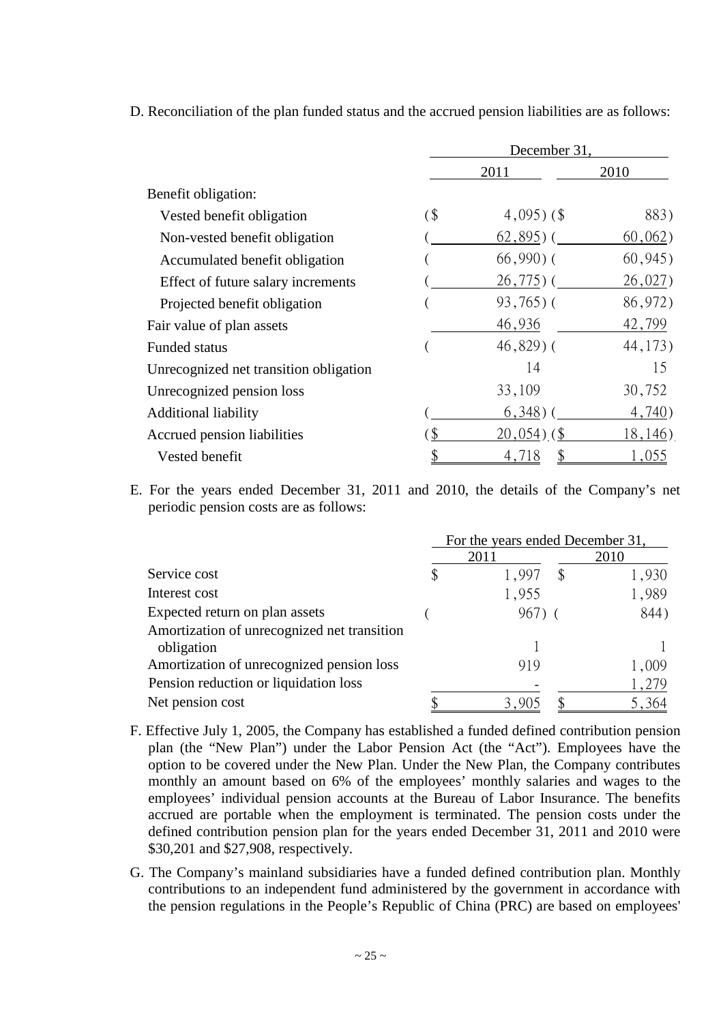D. Reconciliation of the plan funded status and the accrued pension liabilities are as follows:

|                                        | December 31, |                |          |  |
|----------------------------------------|--------------|----------------|----------|--|
|                                        |              | 2011           | 2010     |  |
| Benefit obligation:                    |              |                |          |  |
| Vested benefit obligation              | $\sqrt{3}$   | $4,095$ ) (\$  | 883)     |  |
| Non-vested benefit obligation          |              | $62,895$ ) (   | 60,062)  |  |
| Accumulated benefit obligation         |              | $66,990$ ) (   | 60,945)  |  |
| Effect of future salary increments     |              | $26,775$ ) (   | 26,027)  |  |
| Projected benefit obligation           |              | $93,765$ ) (   | 86,972)  |  |
| Fair value of plan assets              |              | 46,936         | 42,799   |  |
| <b>Funded status</b>                   |              | $46,829$ ) (   | 44, 173) |  |
| Unrecognized net transition obligation |              | 14             | 15       |  |
| Unrecognized pension loss              |              | 33,109         | 30,752   |  |
| <b>Additional liability</b>            |              | $6,348$ ) (    | 4,740)   |  |
| Accrued pension liabilities            |              | $20,054$ ) (\$ | 18,146)  |  |
| Vested benefit                         |              | 4,718          | 1,055    |  |

E. For the years ended December 31, 2011 and 2010, the details of the Company's net periodic pension costs are as follows:

|                                             | For the years ended December 31, |      |       |  |
|---------------------------------------------|----------------------------------|------|-------|--|
|                                             | 2011                             | 2010 |       |  |
| Service cost                                | 1,997                            |      | 1,930 |  |
| Interest cost                               | 1,955                            |      | 1,989 |  |
| Expected return on plan assets              | 967)                             |      | 844)  |  |
| Amortization of unrecognized net transition |                                  |      |       |  |
| obligation                                  |                                  |      |       |  |
| Amortization of unrecognized pension loss   | 919                              |      | 1,009 |  |
| Pension reduction or liquidation loss       |                                  |      | 1,279 |  |
| Net pension cost                            |                                  |      | 5,364 |  |

- F. Effective July 1, 2005, the Company has established a funded defined contribution pension plan (the "New Plan") under the Labor Pension Act (the "Act"). Employees have the option to be covered under the New Plan. Under the New Plan, the Company contributes monthly an amount based on 6% of the employees' monthly salaries and wages to the employees' individual pension accounts at the Bureau of Labor Insurance. The benefits accrued are portable when the employment is terminated. The pension costs under the defined contribution pension plan for the years ended December 31, 2011 and 2010 were \$30,201 and \$27,908, respectively.
- G. The Company's mainland subsidiaries have a funded defined contribution plan. Monthly contributions to an independent fund administered by the government in accordance with the pension regulations in the People's Republic of China (PRC) are based on employees'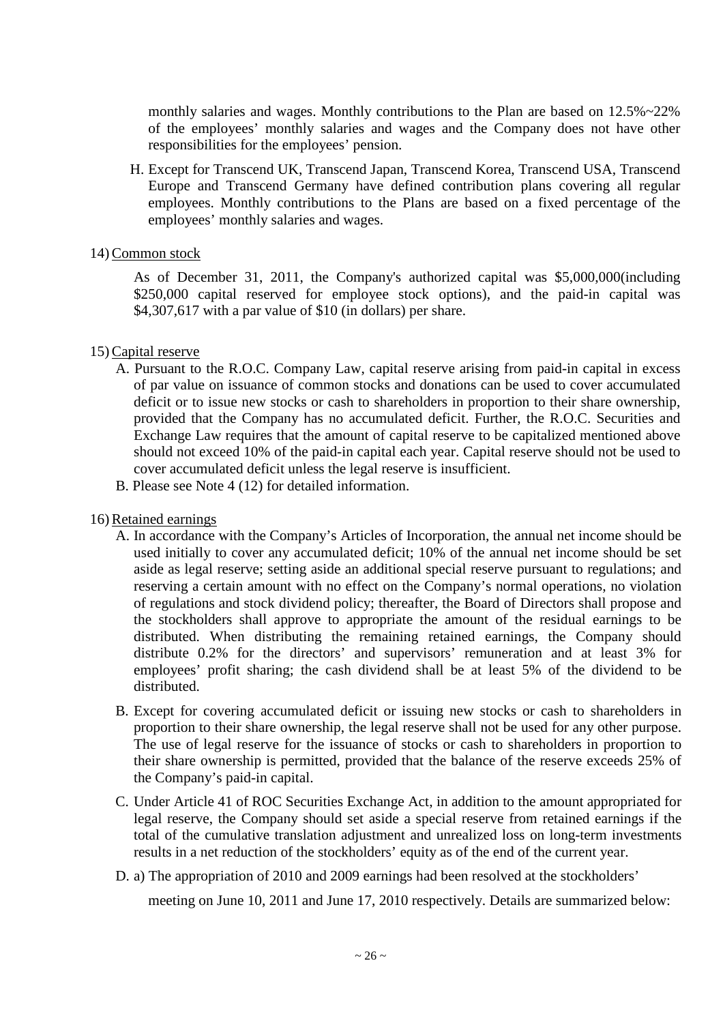monthly salaries and wages. Monthly contributions to the Plan are based on 12.5%~22% of the employees' monthly salaries and wages and the Company does not have other responsibilities for the employees' pension.

H. Except for Transcend UK, Transcend Japan, Transcend Korea, Transcend USA, Transcend Europe and Transcend Germany have defined contribution plans covering all regular employees. Monthly contributions to the Plans are based on a fixed percentage of the employees' monthly salaries and wages.

#### 14) Common stock

As of December 31, 2011, the Company's authorized capital was \$5,000,000(including \$250,000 capital reserved for employee stock options), and the paid-in capital was \$4,307,617 with a par value of \$10 (in dollars) per share.

#### 15) Capital reserve

- A. Pursuant to the R.O.C. Company Law, capital reserve arising from paid-in capital in excess of par value on issuance of common stocks and donations can be used to cover accumulated deficit or to issue new stocks or cash to shareholders in proportion to their share ownership, provided that the Company has no accumulated deficit. Further, the R.O.C. Securities and Exchange Law requires that the amount of capital reserve to be capitalized mentioned above should not exceed 10% of the paid-in capital each year. Capital reserve should not be used to cover accumulated deficit unless the legal reserve is insufficient.
- B. Please see Note 4 (12) for detailed information.

#### 16) Retained earnings

- A. In accordance with the Company's Articles of Incorporation, the annual net income should be used initially to cover any accumulated deficit; 10% of the annual net income should be set aside as legal reserve; setting aside an additional special reserve pursuant to regulations; and reserving a certain amount with no effect on the Company's normal operations, no violation of regulations and stock dividend policy; thereafter, the Board of Directors shall propose and the stockholders shall approve to appropriate the amount of the residual earnings to be distributed. When distributing the remaining retained earnings, the Company should distribute 0.2% for the directors' and supervisors' remuneration and at least 3% for employees' profit sharing; the cash dividend shall be at least 5% of the dividend to be distributed.
- B. Except for covering accumulated deficit or issuing new stocks or cash to shareholders in proportion to their share ownership, the legal reserve shall not be used for any other purpose. The use of legal reserve for the issuance of stocks or cash to shareholders in proportion to their share ownership is permitted, provided that the balance of the reserve exceeds 25% of the Company's paid-in capital.
- C. Under Article 41 of ROC Securities Exchange Act, in addition to the amount appropriated for legal reserve, the Company should set aside a special reserve from retained earnings if the total of the cumulative translation adjustment and unrealized loss on long-term investments results in a net reduction of the stockholders' equity as of the end of the current year.
- D. a) The appropriation of 2010 and 2009 earnings had been resolved at the stockholders'

meeting on June 10, 2011 and June 17, 2010 respectively. Details are summarized below: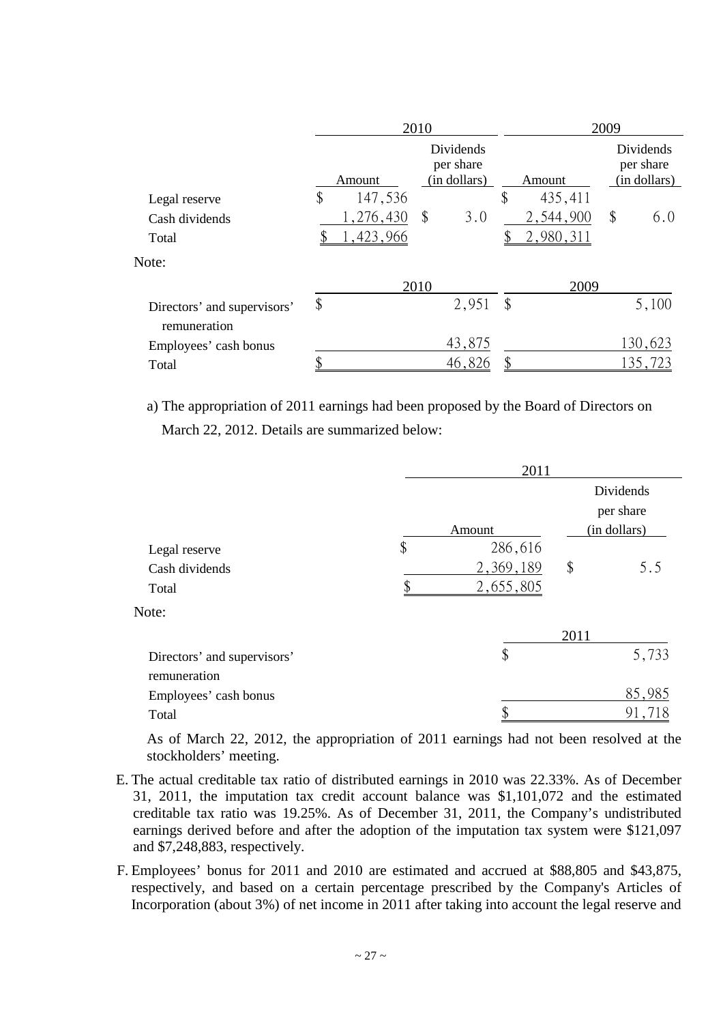|                                             |                                                  |           | 2010          |        | 2009                                   |    |         |
|---------------------------------------------|--------------------------------------------------|-----------|---------------|--------|----------------------------------------|----|---------|
|                                             | Dividends<br>per share<br>(in dollars)<br>Amount |           |               | Amount | Dividends<br>per share<br>(in dollars) |    |         |
| Legal reserve                               | \$                                               | 147,536   |               |        | \$<br>435,411                          |    |         |
| Cash dividends                              |                                                  | 1,276,430 | $\mathcal{S}$ | 3.0    | 2,544,900                              | \$ | 6.0     |
| Total                                       |                                                  | 1,423,966 |               |        | 2,980,311                              |    |         |
| Note:                                       |                                                  |           |               |        |                                        |    |         |
|                                             |                                                  |           | 2010          |        | 2009                                   |    |         |
| Directors' and supervisors'<br>remuneration | \$                                               |           |               | 2,951  | \$                                     |    | 5,100   |
| Employees' cash bonus                       |                                                  |           |               | 43,875 |                                        |    | 130,623 |
| Total                                       | Φ                                                |           |               | 46,826 |                                        |    | 135,723 |

a) The appropriation of 2011 earnings had been proposed by the Board of Directors on March 22, 2012. Details are summarized below:

|                             | 2011          |              |           |
|-----------------------------|---------------|--------------|-----------|
|                             |               |              | Dividends |
|                             |               |              | per share |
|                             | Amount        | (in dollars) |           |
| Legal reserve               | \$<br>286,616 |              |           |
| Cash dividends              | 2,369,189     | \$           | 5.5       |
| Total                       | 2,655,805     |              |           |
| Note:                       |               |              |           |
|                             |               | 2011         |           |
| Directors' and supervisors' | \$            |              | 5,733     |
| remuneration                |               |              |           |
| Employees' cash bonus       |               |              | 85,985    |
| Total                       |               |              | 91,       |

As of March 22, 2012, the appropriation of 2011 earnings had not been resolved at the stockholders' meeting.

- E. The actual creditable tax ratio of distributed earnings in 2010 was 22.33%. As of December 31, 2011, the imputation tax credit account balance was \$1,101,072 and the estimated creditable tax ratio was 19.25%. As of December 31, 2011, the Company's undistributed earnings derived before and after the adoption of the imputation tax system were \$121,097 and \$7,248,883, respectively.
- F. Employees' bonus for 2011 and 2010 are estimated and accrued at \$88,805 and \$43,875, respectively, and based on a certain percentage prescribed by the Company's Articles of Incorporation (about 3%) of net income in 2011 after taking into account the legal reserve and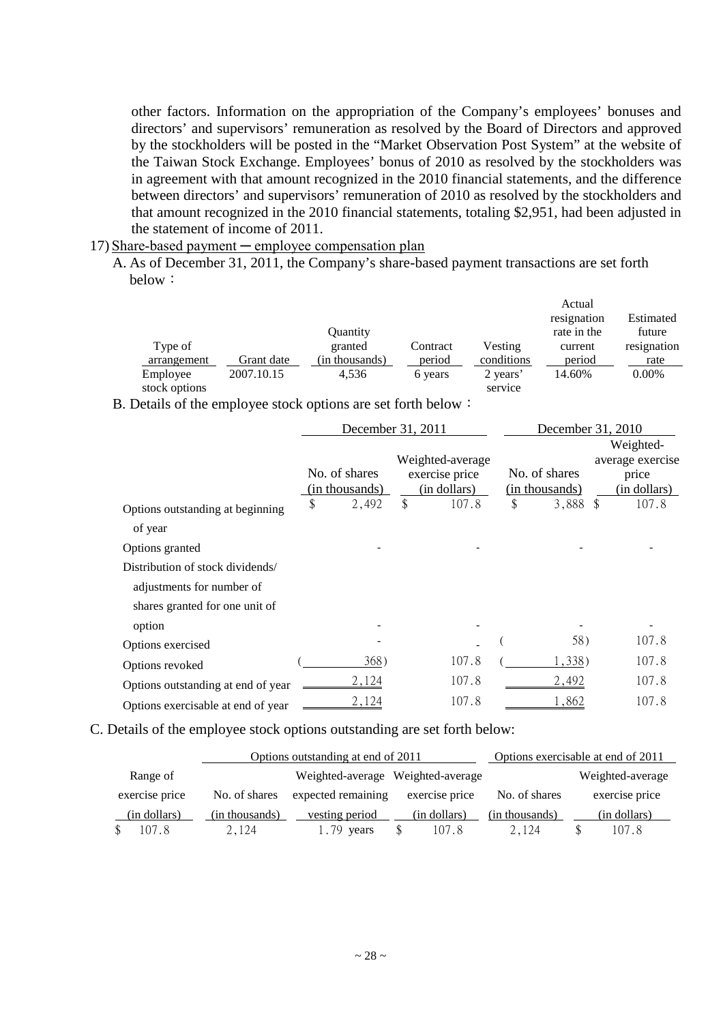other factors. Information on the appropriation of the Company's employees' bonuses and directors' and supervisors' remuneration as resolved by the Board of Directors and approved by the stockholders will be posted in the "Market Observation Post System" at the website of the Taiwan Stock Exchange. Employees' bonus of 2010 as resolved by the stockholders was in agreement with that amount recognized in the 2010 financial statements, and the difference between directors' and supervisors' remuneration of 2010 as resolved by the stockholders and that amount recognized in the 2010 financial statements, totaling \$2,951, had been adjusted in the statement of income of 2011.

#### 17) Share-based payment ─ employee compensation plan

A. As of December 31, 2011, the Company's share-based payment transactions are set forth below:

|               |            |                |          |            | Actual      |             |
|---------------|------------|----------------|----------|------------|-------------|-------------|
|               |            |                |          |            | resignation | Estimated   |
|               |            | Quantity       |          |            | rate in the | future      |
| Type of       |            | granted        | Contract | Vesting    | current     | resignation |
| arrangement   | Grant date | (in thousands) | period   | conditions | period      | rate        |
| Employee      | 2007.10.15 | 4.536          | 6 years  | 2 years'   | 14.60%      | $0.00\%$    |
| stock options |            |                |          | service    |             |             |

B. Details of the employee stock options are set forth below:

|                                    | December 31, 2011                                                                     |    |                                 | December 31, 2010                                      |       |  |  |
|------------------------------------|---------------------------------------------------------------------------------------|----|---------------------------------|--------------------------------------------------------|-------|--|--|
|                                    | Weighted-average<br>No. of shares<br>exercise price<br>(in thousands)<br>(in dollars) |    | No. of shares<br>(in thousands) | Weighted-<br>average exercise<br>price<br>(in dollars) |       |  |  |
| Options outstanding at beginning   | \$<br>2,492                                                                           | \$ | 107.8                           | \$<br>3,888 \$                                         | 107.8 |  |  |
| of year                            |                                                                                       |    |                                 |                                                        |       |  |  |
| Options granted                    |                                                                                       |    |                                 |                                                        |       |  |  |
| Distribution of stock dividends/   |                                                                                       |    |                                 |                                                        |       |  |  |
| adjustments for number of          |                                                                                       |    |                                 |                                                        |       |  |  |
| shares granted for one unit of     |                                                                                       |    |                                 |                                                        |       |  |  |
| option                             |                                                                                       |    |                                 |                                                        |       |  |  |
| Options exercised                  |                                                                                       |    |                                 | 58)                                                    | 107.8 |  |  |
| Options revoked                    | 368)                                                                                  |    | 107.8                           | 1,338)                                                 | 107.8 |  |  |
| Options outstanding at end of year | 2,124                                                                                 |    | 107.8                           | 2,492                                                  | 107.8 |  |  |
| Options exercisable at end of year | 2,124                                                                                 |    | 107.8                           | 1,862                                                  | 107.8 |  |  |

C. Details of the employee stock options outstanding are set forth below:

|                |                | Options outstanding at end of 2011 |                        |                | Options exercisable at end of 2011 |
|----------------|----------------|------------------------------------|------------------------|----------------|------------------------------------|
| Range of       |                | Weighted-average Weighted-average  |                        |                | Weighted-average                   |
| exercise price | No. of shares  | expected remaining                 | exercise price         | No. of shares  | exercise price                     |
| (in dollars)   | (in thousands) | vesting period                     | (in dollars)           | (in thousands) | (in dollars)                       |
| 107.8          | 2.124          | 1.79 vears                         | 107.8<br><sup>\$</sup> | 2,124          | 107.8<br>\$                        |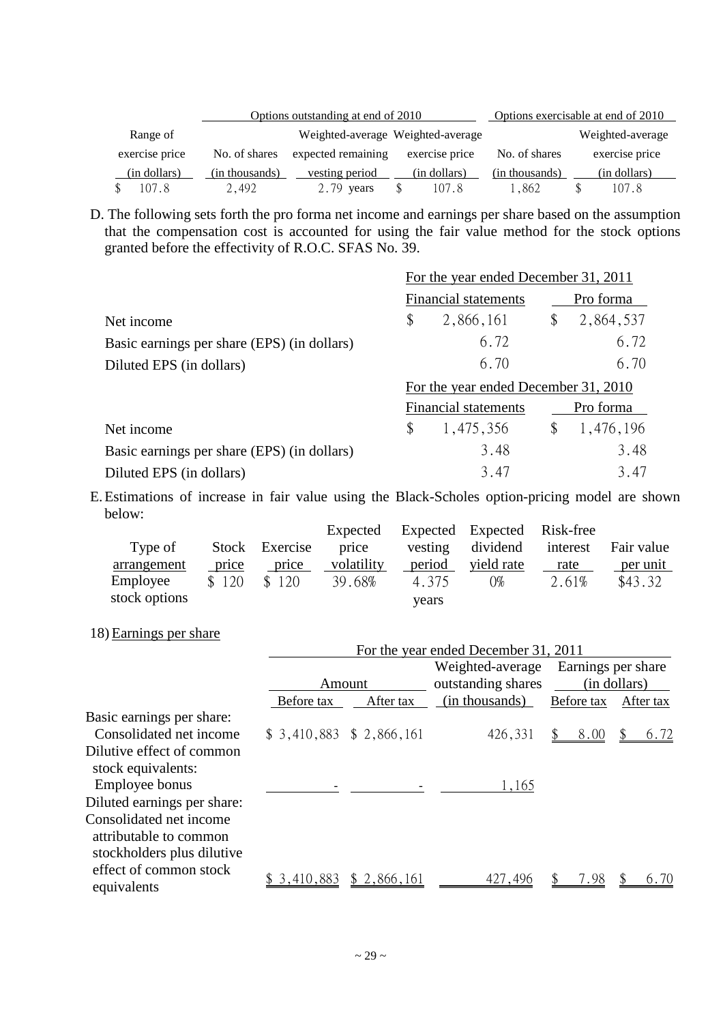|                |                | Options outstanding at end of 2010 |                                   |                | Options exercisable at end of 2010 |
|----------------|----------------|------------------------------------|-----------------------------------|----------------|------------------------------------|
| Range of       |                |                                    | Weighted-average Weighted-average |                | Weighted-average                   |
| exercise price | No. of shares  | expected remaining                 | exercise price                    | No. of shares  | exercise price                     |
| (in dollars)   | (in thousands) | vesting period                     | (in dollars)                      | (in thousands) | (in dollars)                       |
| 107.8          | 2.492          | $2.79$ years                       | 107.8<br>\$                       | 1.862          | 107.8                              |

D. The following sets forth the pro forma net income and earnings per share based on the assumption that the compensation cost is accounted for using the fair value method for the stock options granted before the effectivity of R.O.C. SFAS No. 39.

|                                             | For the year ended December 31, 2011 |                                      |           |           |  |  |  |
|---------------------------------------------|--------------------------------------|--------------------------------------|-----------|-----------|--|--|--|
|                                             |                                      | Financial statements                 | Pro forma |           |  |  |  |
| Net income                                  | \$                                   | 2,866,161                            | \$        | 2,864,537 |  |  |  |
| Basic earnings per share (EPS) (in dollars) |                                      | 6.72                                 |           | 6.72      |  |  |  |
| Diluted EPS (in dollars)                    |                                      | 6.70                                 |           | 6.70      |  |  |  |
|                                             |                                      | For the year ended December 31, 2010 |           |           |  |  |  |
|                                             |                                      | Financial statements                 |           | Pro forma |  |  |  |
| Net income                                  | \$                                   | 1,475,356                            | \$        | 1,476,196 |  |  |  |
| Basic earnings per share (EPS) (in dollars) |                                      | 3.48                                 |           | 3.48      |  |  |  |
| Diluted EPS (in dollars)                    |                                      | 3.47                                 |           | 3.47      |  |  |  |

E. Estimations of increase in fair value using the Black-Scholes option-pricing model are shown below:

|               |       |                | Expected   |         | Expected Expected Risk-free |          |            |
|---------------|-------|----------------|------------|---------|-----------------------------|----------|------------|
| Type of       |       | Stock Exercise | price      | vesting | dividend                    | interest | Fair value |
| arrangement   | price | price          | volatility | period  | yield rate                  | rate     | per unit   |
| Employee      | \$120 | \$120          | 39.68%     | 4.375   | 0%                          | 2.61%    | \$43.32    |
| stock options |       |                |            | years   |                             |          |            |

18) Earnings per share

|                             |                           |             | For the year ended December 31, 2011 |                    |              |
|-----------------------------|---------------------------|-------------|--------------------------------------|--------------------|--------------|
|                             |                           |             | Weighted-average                     | Earnings per share |              |
|                             | Amount                    |             | outstanding shares                   |                    | (in dollars) |
|                             | Before tax                | After tax   | (in thousands)                       | Before tax         | After tax    |
| Basic earnings per share:   |                           |             |                                      |                    |              |
| Consolidated net income     | $$3,410,883$ $$2,866,161$ |             | 426,331                              | 8.00               | 6.72         |
| Dilutive effect of common   |                           |             |                                      |                    |              |
| stock equivalents:          |                           |             |                                      |                    |              |
| Employee bonus              |                           |             | 1,165                                |                    |              |
| Diluted earnings per share: |                           |             |                                      |                    |              |
| Consolidated net income     |                           |             |                                      |                    |              |
| attributable to common      |                           |             |                                      |                    |              |
| stockholders plus dilutive  |                           |             |                                      |                    |              |
| effect of common stock      | \$3,410,883               | \$2,866,161 | 427,496                              | 7.98               | 6.70         |
| equivalents                 |                           |             |                                      |                    |              |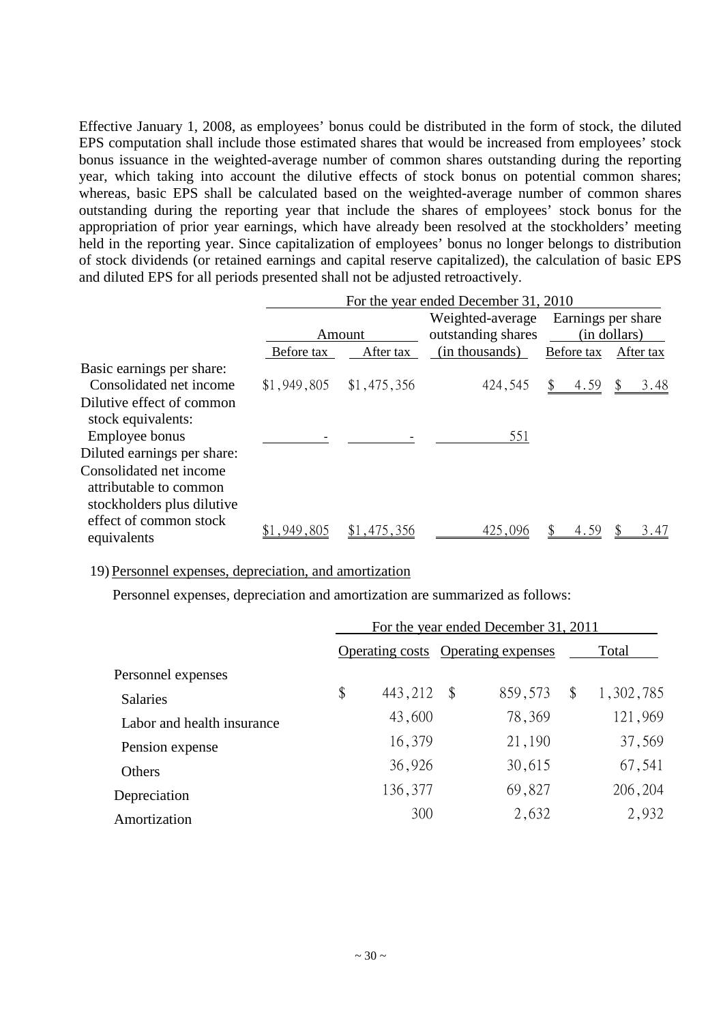Effective January 1, 2008, as employees' bonus could be distributed in the form of stock, the diluted EPS computation shall include those estimated shares that would be increased from employees' stock bonus issuance in the weighted-average number of common shares outstanding during the reporting year, which taking into account the dilutive effects of stock bonus on potential common shares; whereas, basic EPS shall be calculated based on the weighted-average number of common shares outstanding during the reporting year that include the shares of employees' stock bonus for the appropriation of prior year earnings, which have already been resolved at the stockholders' meeting held in the reporting year. Since capitalization of employees' bonus no longer belongs to distribution of stock dividends (or retained earnings and capital reserve capitalized), the calculation of basic EPS and diluted EPS for all periods presented shall not be adjusted retroactively.

|                                                                                 |            |                           | For the year ended December 31, 2010 |                    |              |  |
|---------------------------------------------------------------------------------|------------|---------------------------|--------------------------------------|--------------------|--------------|--|
|                                                                                 |            |                           | Weighted-average                     | Earnings per share |              |  |
|                                                                                 |            | Amount                    | outstanding shares                   |                    | (in dollars) |  |
|                                                                                 | Before tax | After tax                 | (in thousands)                       | Before tax         | After tax    |  |
| Basic earnings per share:                                                       |            |                           |                                      |                    |              |  |
| Consolidated net income                                                         |            | $$1,949,805$ $$1,475,356$ | 424,545                              | 4.59               | 3.48         |  |
| Dilutive effect of common<br>stock equivalents:                                 |            |                           |                                      |                    |              |  |
| Employee bonus                                                                  |            |                           | 551                                  |                    |              |  |
| Diluted earnings per share:                                                     |            |                           |                                      |                    |              |  |
| Consolidated net income<br>attributable to common<br>stockholders plus dilutive |            |                           |                                      |                    |              |  |
| effect of common stock<br>equivalents                                           | ,949,805   | 1,475,356                 | 425,096                              | 4.59               | 3.47         |  |

#### 19) Personnel expenses, depreciation, and amortization

Personnel expenses, depreciation and amortization are summarized as follows:

|                            | For the year ended December 31, 2011 |         |                         |                                    |    |           |  |  |
|----------------------------|--------------------------------------|---------|-------------------------|------------------------------------|----|-----------|--|--|
|                            |                                      |         |                         | Operating costs Operating expenses |    | Total     |  |  |
| Personnel expenses         |                                      |         |                         |                                    |    |           |  |  |
| <b>Salaries</b>            | \$                                   | 443,212 | $\sqrt[6]{\frac{1}{2}}$ | 859,573                            | \$ | 1,302,785 |  |  |
| Labor and health insurance |                                      | 43,600  |                         | 78,369                             |    | 121,969   |  |  |
| Pension expense            |                                      | 16,379  |                         | 21,190                             |    | 37,569    |  |  |
| Others                     |                                      | 36,926  |                         | 30,615                             |    | 67,541    |  |  |
| Depreciation               |                                      | 136,377 |                         | 69,827                             |    | 206,204   |  |  |
| Amortization               |                                      | 300     |                         | 2,632                              |    | 2,932     |  |  |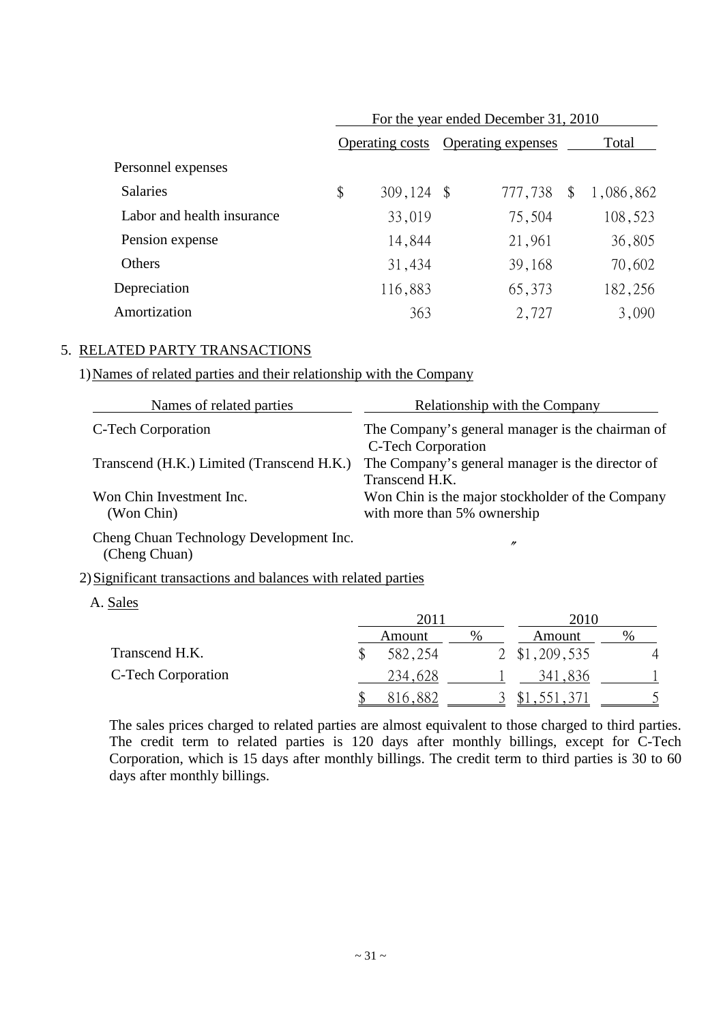|                            | For the year ended December 31, 2010 |         |               |                           |    |           |  |  |  |
|----------------------------|--------------------------------------|---------|---------------|---------------------------|----|-----------|--|--|--|
|                            | <b>Operating costs</b>               |         |               | <b>Operating expenses</b> |    | Total     |  |  |  |
| Personnel expenses         |                                      |         |               |                           |    |           |  |  |  |
| <b>Salaries</b>            | \$                                   | 309,124 | $\mathcal{S}$ | 777,738                   | \$ | 1,086,862 |  |  |  |
| Labor and health insurance |                                      | 33,019  |               | 75,504                    |    | 108,523   |  |  |  |
| Pension expense            |                                      | 14,844  |               | 21,961                    |    | 36,805    |  |  |  |
| Others                     |                                      | 31,434  |               | 39,168                    |    | 70,602    |  |  |  |
| Depreciation               |                                      | 116,883 |               | 65,373                    |    | 182,256   |  |  |  |
| Amortization               |                                      | 363     |               | 2,727                     |    | 3,090     |  |  |  |

#### 5. RELATED PARTY TRANSACTIONS

#### 1)Names of related parties and their relationship with the Company

| Names of related parties                                 | <b>Relationship with the Company</b>                                            |
|----------------------------------------------------------|---------------------------------------------------------------------------------|
| C-Tech Corporation                                       | The Company's general manager is the chairman of<br>C-Tech Corporation          |
| Transcend (H.K.) Limited (Transcend H.K.)                | The Company's general manager is the director of<br>Transcend H.K.              |
| Won Chin Investment Inc.<br>(Won Chin)                   | Won Chin is the major stockholder of the Company<br>with more than 5% ownership |
| Cheng Chuan Technology Development Inc.<br>(Cheng Chuan) | $\prime$                                                                        |

#### 2)Significant transactions and balances with related parties

A. Sales

|                    | 2011    |      | 2010            |      |  |
|--------------------|---------|------|-----------------|------|--|
|                    | Amount  | $\%$ | Amount          | $\%$ |  |
| Transcend H.K.     | 582,254 |      | 2 \$1,209,535   | 4    |  |
| C-Tech Corporation | 234,628 |      | -836<br>341     |      |  |
|                    | 816,882 |      | .321.371<br>ιD. |      |  |

The sales prices charged to related parties are almost equivalent to those charged to third parties. The credit term to related parties is 120 days after monthly billings, except for C-Tech Corporation, which is 15 days after monthly billings. The credit term to third parties is 30 to 60 days after monthly billings.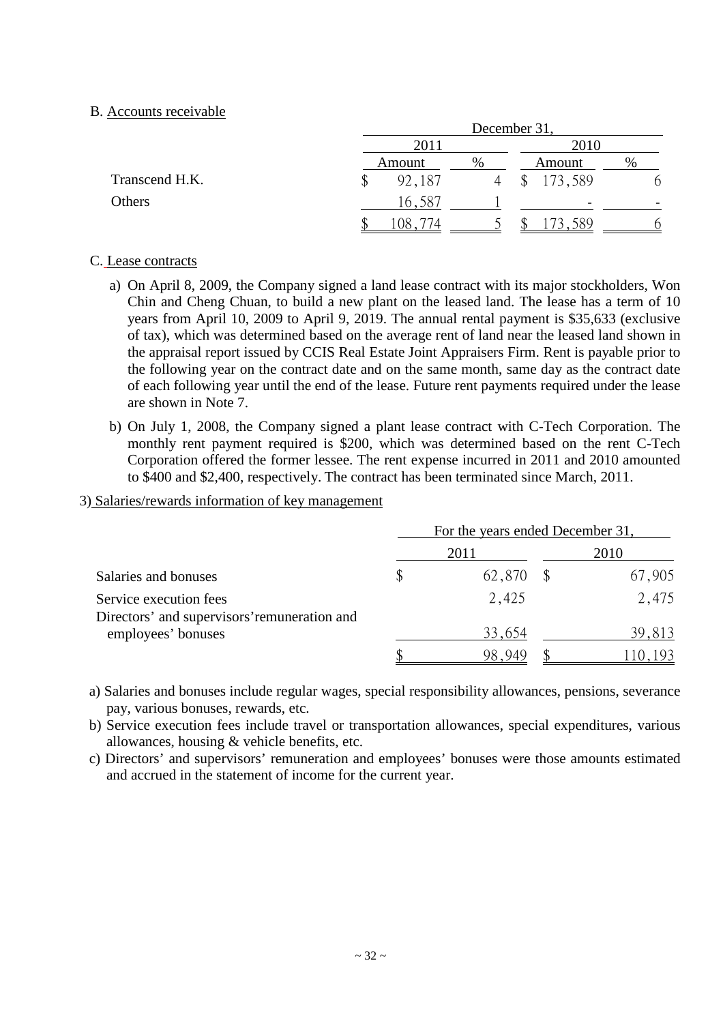#### B. Accounts receivable

|                |        | December 31. |                         |          |  |  |  |
|----------------|--------|--------------|-------------------------|----------|--|--|--|
|                | 2011   |              | 2010                    |          |  |  |  |
|                | Amount | $\%$         | Amount                  | %        |  |  |  |
| Transcend H.K. | 92,187 |              | 173,589<br>$\mathbb{S}$ | $\sigma$ |  |  |  |
| Others         | 16,587 |              | -                       |          |  |  |  |
|                | 08ء    |              | 173,589<br>۰D           | $\sigma$ |  |  |  |

## C. Lease contracts

- a) On April 8, 2009, the Company signed a land lease contract with its major stockholders, Won Chin and Cheng Chuan, to build a new plant on the leased land. The lease has a term of 10 years from April 10, 2009 to April 9, 2019. The annual rental payment is \$35,633 (exclusive of tax), which was determined based on the average rent of land near the leased land shown in the appraisal report issued by CCIS Real Estate Joint Appraisers Firm. Rent is payable prior to the following year on the contract date and on the same month, same day as the contract date of each following year until the end of the lease. Future rent payments required under the lease are shown in Note 7.
- b) On July 1, 2008, the Company signed a plant lease contract with C-Tech Corporation. The monthly rent payment required is \$200, which was determined based on the rent C-Tech Corporation offered the former lessee. The rent expense incurred in 2011 and 2010 amounted to \$400 and \$2,400, respectively. The contract has been terminated since March, 2011.

#### 3) Salaries/rewards information of key management

|                                                                        | For the years ended December 31, |        |      |        |  |
|------------------------------------------------------------------------|----------------------------------|--------|------|--------|--|
|                                                                        |                                  | 2011   | 2010 |        |  |
| Salaries and bonuses                                                   |                                  | 62,870 |      | 67,905 |  |
| Service execution fees<br>Directors' and supervisors' remuneration and |                                  | 2,425  |      | 2,475  |  |
| employees' bonuses                                                     |                                  | 33,654 |      | 39,813 |  |
|                                                                        |                                  |        |      |        |  |

- a) Salaries and bonuses include regular wages, special responsibility allowances, pensions, severance pay, various bonuses, rewards, etc.
- b) Service execution fees include travel or transportation allowances, special expenditures, various allowances, housing & vehicle benefits, etc.
- c) Directors' and supervisors' remuneration and employees' bonuses were those amounts estimated and accrued in the statement of income for the current year.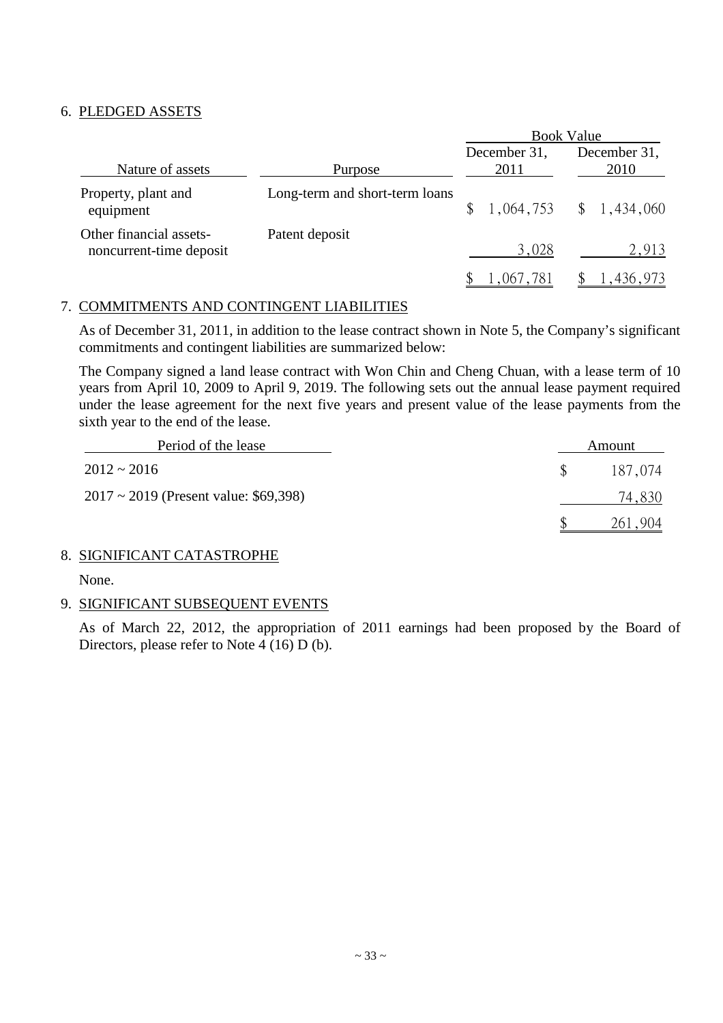## 6. PLEDGED ASSETS

|                                                    |                                | <b>Book Value</b>    |                           |  |  |
|----------------------------------------------------|--------------------------------|----------------------|---------------------------|--|--|
| Nature of assets                                   | Purpose                        | December 31,<br>2011 | December 31,<br>2010      |  |  |
| Property, plant and<br>equipment                   | Long-term and short-term loans |                      | $$1,064,753$ $$1,434,060$ |  |  |
| Other financial assets-<br>noncurrent-time deposit | Patent deposit                 | 3,028                | 2,913                     |  |  |
|                                                    |                                | 1,067,781            | 1,436,973                 |  |  |

#### 7. COMMITMENTS AND CONTINGENT LIABILITIES

As of December 31, 2011, in addition to the lease contract shown in Note 5, the Company's significant commitments and contingent liabilities are summarized below:

The Company signed a land lease contract with Won Chin and Cheng Chuan, with a lease term of 10 years from April 10, 2009 to April 9, 2019. The following sets out the annual lease payment required under the lease agreement for the next five years and present value of the lease payments from the sixth year to the end of the lease.

| Period of the lease                        | Amount  |
|--------------------------------------------|---------|
| $2012 \approx 2016$                        | 187,074 |
| $2017 \sim 2019$ (Present value: \$69,398) | 74,830  |
|                                            | 904     |

## 8. SIGNIFICANT CATASTROPHE

None.

## 9. SIGNIFICANT SUBSEQUENT EVENTS

As of March 22, 2012, the appropriation of 2011 earnings had been proposed by the Board of Directors, please refer to Note 4 (16) D (b).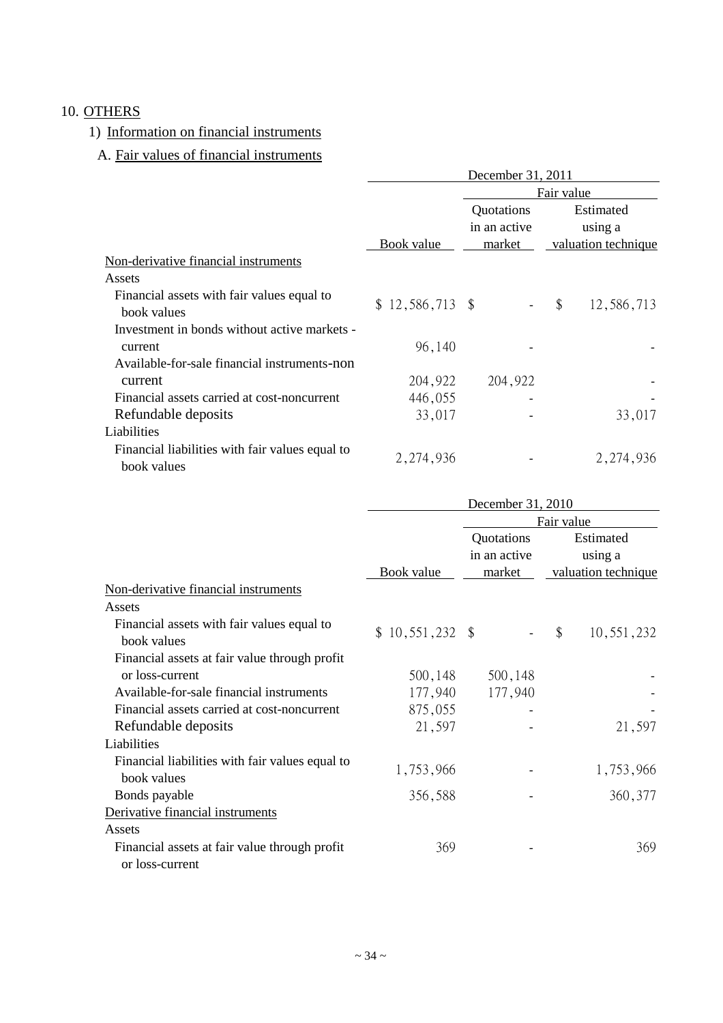## 10. OTHERS

# 1) Information on financial instruments

# A. Fair values of financial instruments

|                                                                | December 31, 2011 |                            |                      |  |  |  |
|----------------------------------------------------------------|-------------------|----------------------------|----------------------|--|--|--|
|                                                                | Fair value        |                            |                      |  |  |  |
|                                                                |                   | Quotations<br>in an active | Estimated<br>using a |  |  |  |
|                                                                | Book value        | market                     | valuation technique  |  |  |  |
| Non-derivative financial instruments                           |                   |                            |                      |  |  |  |
| Assets                                                         |                   |                            |                      |  |  |  |
| Financial assets with fair values equal to<br>book values      | $$12,586,713$ \\$ | $\overline{\phantom{a}}$   | \$<br>12,586,713     |  |  |  |
| Investment in bonds without active markets -                   |                   |                            |                      |  |  |  |
| current                                                        | 96,140            |                            |                      |  |  |  |
| Available-for-sale financial instruments-non                   |                   |                            |                      |  |  |  |
| current                                                        | 204,922           | 204,922                    |                      |  |  |  |
| Financial assets carried at cost-noncurrent                    | 446,055           |                            |                      |  |  |  |
| Refundable deposits                                            | 33,017            |                            | 33,017               |  |  |  |
| Liabilities                                                    |                   |                            |                      |  |  |  |
| Financial liabilities with fair values equal to<br>book values | 2,274,936         |                            | 2, 274, 936          |  |  |  |

|                                                           | December 31, 2010 |              |                             |  |  |  |
|-----------------------------------------------------------|-------------------|--------------|-----------------------------|--|--|--|
|                                                           | Fair value        |              |                             |  |  |  |
|                                                           |                   | Quotations   | Estimated                   |  |  |  |
|                                                           |                   | in an active | using a                     |  |  |  |
|                                                           | <b>Book</b> value | market       | valuation technique         |  |  |  |
| Non-derivative financial instruments                      |                   |              |                             |  |  |  |
| Assets                                                    |                   |              |                             |  |  |  |
| Financial assets with fair values equal to<br>book values | $$10,551,232$ \\$ |              | $\mathcal{S}$<br>10,551,232 |  |  |  |
| Financial assets at fair value through profit             |                   |              |                             |  |  |  |
| or loss-current                                           | 500,148           | 500,148      |                             |  |  |  |
| Available-for-sale financial instruments                  | 177,940           | 177,940      |                             |  |  |  |
| Financial assets carried at cost-noncurrent               | 875,055           |              |                             |  |  |  |
| Refundable deposits                                       | 21,597            |              | 21,597                      |  |  |  |
| Liabilities                                               |                   |              |                             |  |  |  |
| Financial liabilities with fair values equal to           |                   |              |                             |  |  |  |
| book values                                               | 1,753,966         |              | 1,753,966                   |  |  |  |
| Bonds payable                                             | 356,588           |              | 360, 377                    |  |  |  |
| Derivative financial instruments                          |                   |              |                             |  |  |  |
| Assets                                                    |                   |              |                             |  |  |  |
| Financial assets at fair value through profit             | 369               |              | 369                         |  |  |  |
| or loss-current                                           |                   |              |                             |  |  |  |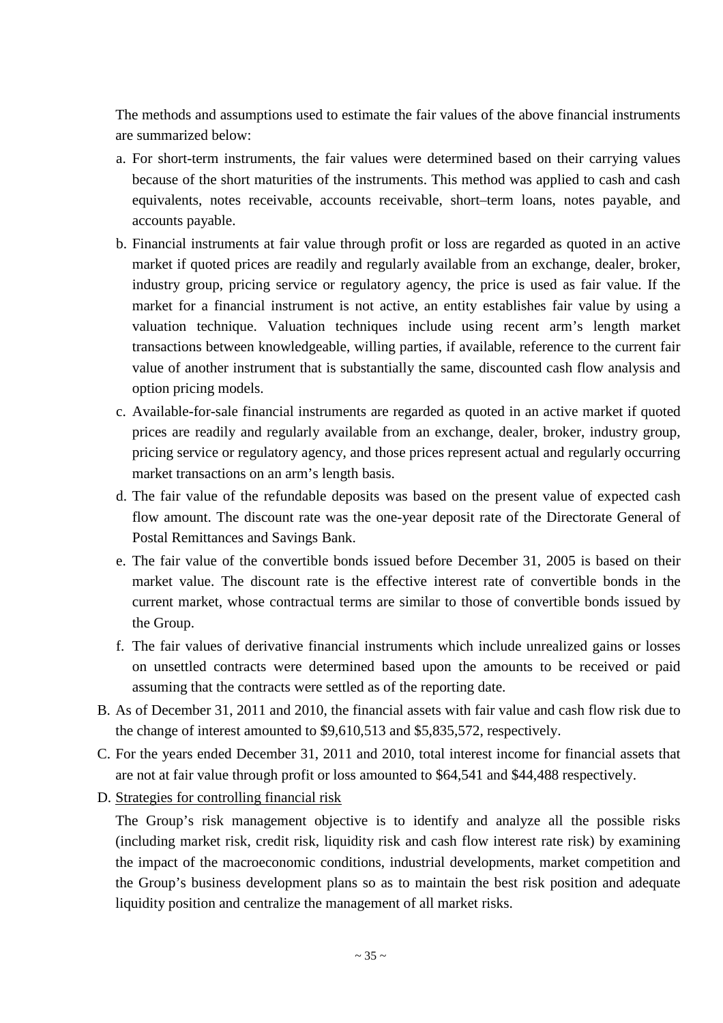The methods and assumptions used to estimate the fair values of the above financial instruments are summarized below:

- a. For short-term instruments, the fair values were determined based on their carrying values because of the short maturities of the instruments. This method was applied to cash and cash equivalents, notes receivable, accounts receivable, short–term loans, notes payable, and accounts payable.
- b. Financial instruments at fair value through profit or loss are regarded as quoted in an active market if quoted prices are readily and regularly available from an exchange, dealer, broker, industry group, pricing service or regulatory agency, the price is used as fair value. If the market for a financial instrument is not active, an entity establishes fair value by using a valuation technique. Valuation techniques include using recent arm's length market transactions between knowledgeable, willing parties, if available, reference to the current fair value of another instrument that is substantially the same, discounted cash flow analysis and option pricing models.
- c. Available-for-sale financial instruments are regarded as quoted in an active market if quoted prices are readily and regularly available from an exchange, dealer, broker, industry group, pricing service or regulatory agency, and those prices represent actual and regularly occurring market transactions on an arm's length basis.
- d. The fair value of the refundable deposits was based on the present value of expected cash flow amount. The discount rate was the one-year deposit rate of the Directorate General of Postal Remittances and Savings Bank.
- e. The fair value of the convertible bonds issued before December 31, 2005 is based on their market value. The discount rate is the effective interest rate of convertible bonds in the current market, whose contractual terms are similar to those of convertible bonds issued by the Group.
- f. The fair values of derivative financial instruments which include unrealized gains or losses on unsettled contracts were determined based upon the amounts to be received or paid assuming that the contracts were settled as of the reporting date.
- B. As of December 31, 2011 and 2010, the financial assets with fair value and cash flow risk due to the change of interest amounted to \$9,610,513 and \$5,835,572, respectively.
- C. For the years ended December 31, 2011 and 2010, total interest income for financial assets that are not at fair value through profit or loss amounted to \$64,541 and \$44,488 respectively.
- D. Strategies for controlling financial risk

The Group's risk management objective is to identify and analyze all the possible risks (including market risk, credit risk, liquidity risk and cash flow interest rate risk) by examining the impact of the macroeconomic conditions, industrial developments, market competition and the Group's business development plans so as to maintain the best risk position and adequate liquidity position and centralize the management of all market risks.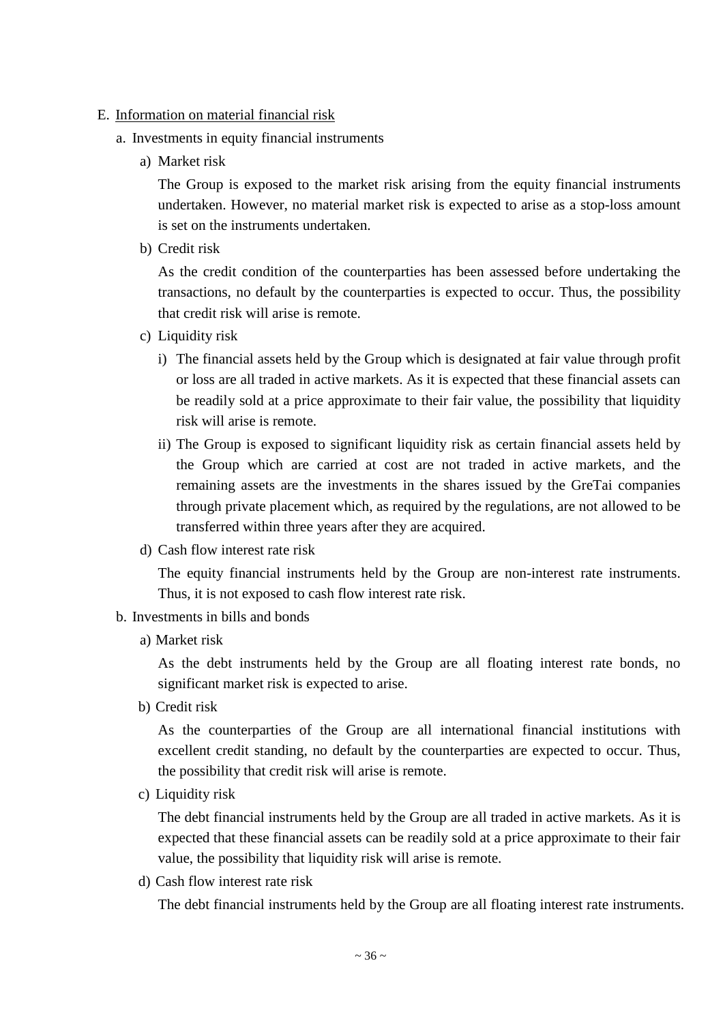#### E. Information on material financial risk

- a. Investments in equity financial instruments
	- a) Market risk

The Group is exposed to the market risk arising from the equity financial instruments undertaken. However, no material market risk is expected to arise as a stop-loss amount is set on the instruments undertaken.

b) Credit risk

As the credit condition of the counterparties has been assessed before undertaking the transactions, no default by the counterparties is expected to occur. Thus, the possibility that credit risk will arise is remote.

- c) Liquidity risk
	- i) The financial assets held by the Group which is designated at fair value through profit or loss are all traded in active markets. As it is expected that these financial assets can be readily sold at a price approximate to their fair value, the possibility that liquidity risk will arise is remote.
	- ii) The Group is exposed to significant liquidity risk as certain financial assets held by the Group which are carried at cost are not traded in active markets, and the remaining assets are the investments in the shares issued by the GreTai companies through private placement which, as required by the regulations, are not allowed to be transferred within three years after they are acquired.
- d) Cash flow interest rate risk

The equity financial instruments held by the Group are non-interest rate instruments. Thus, it is not exposed to cash flow interest rate risk.

- b. Investments in bills and bonds
	- a) Market risk

As the debt instruments held by the Group are all floating interest rate bonds, no significant market risk is expected to arise.

b) Credit risk

As the counterparties of the Group are all international financial institutions with excellent credit standing, no default by the counterparties are expected to occur. Thus, the possibility that credit risk will arise is remote.

c) Liquidity risk

The debt financial instruments held by the Group are all traded in active markets. As it is expected that these financial assets can be readily sold at a price approximate to their fair value, the possibility that liquidity risk will arise is remote.

d) Cash flow interest rate risk

The debt financial instruments held by the Group are all floating interest rate instruments.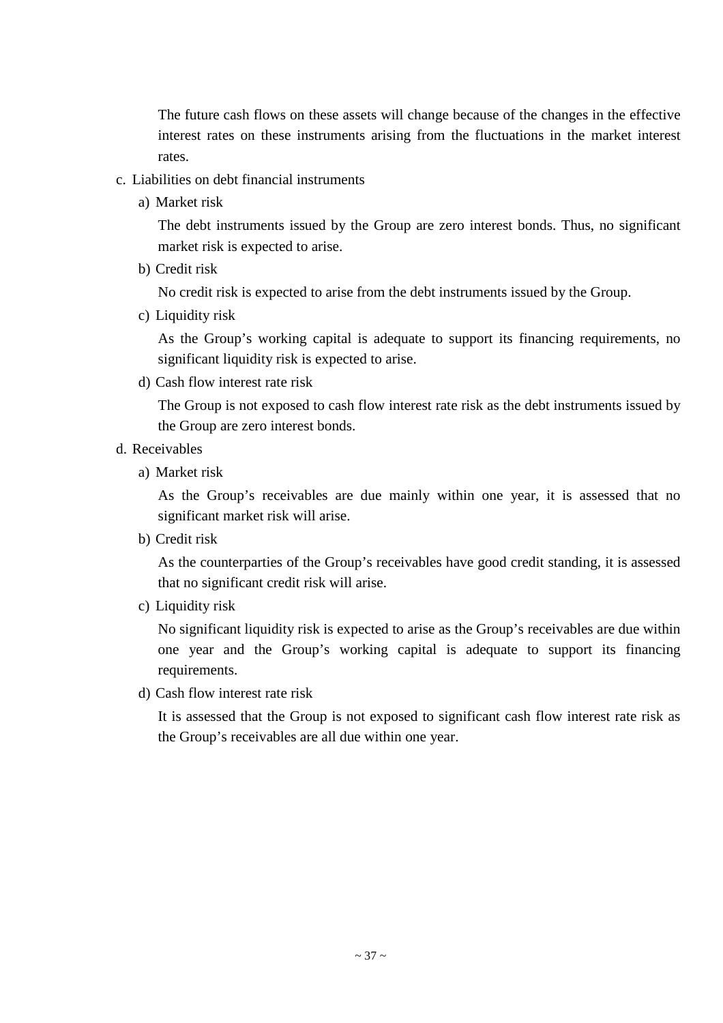The future cash flows on these assets will change because of the changes in the effective interest rates on these instruments arising from the fluctuations in the market interest rates.

- c. Liabilities on debt financial instruments
	- a) Market risk

The debt instruments issued by the Group are zero interest bonds. Thus, no significant market risk is expected to arise.

b) Credit risk

No credit risk is expected to arise from the debt instruments issued by the Group.

c) Liquidity risk

As the Group's working capital is adequate to support its financing requirements, no significant liquidity risk is expected to arise.

d) Cash flow interest rate risk

The Group is not exposed to cash flow interest rate risk as the debt instruments issued by the Group are zero interest bonds.

- d. Receivables
	- a) Market risk

As the Group's receivables are due mainly within one year, it is assessed that no significant market risk will arise.

b) Credit risk

As the counterparties of the Group's receivables have good credit standing, it is assessed that no significant credit risk will arise.

c) Liquidity risk

No significant liquidity risk is expected to arise as the Group's receivables are due within one year and the Group's working capital is adequate to support its financing requirements.

d) Cash flow interest rate risk

It is assessed that the Group is not exposed to significant cash flow interest rate risk as the Group's receivables are all due within one year.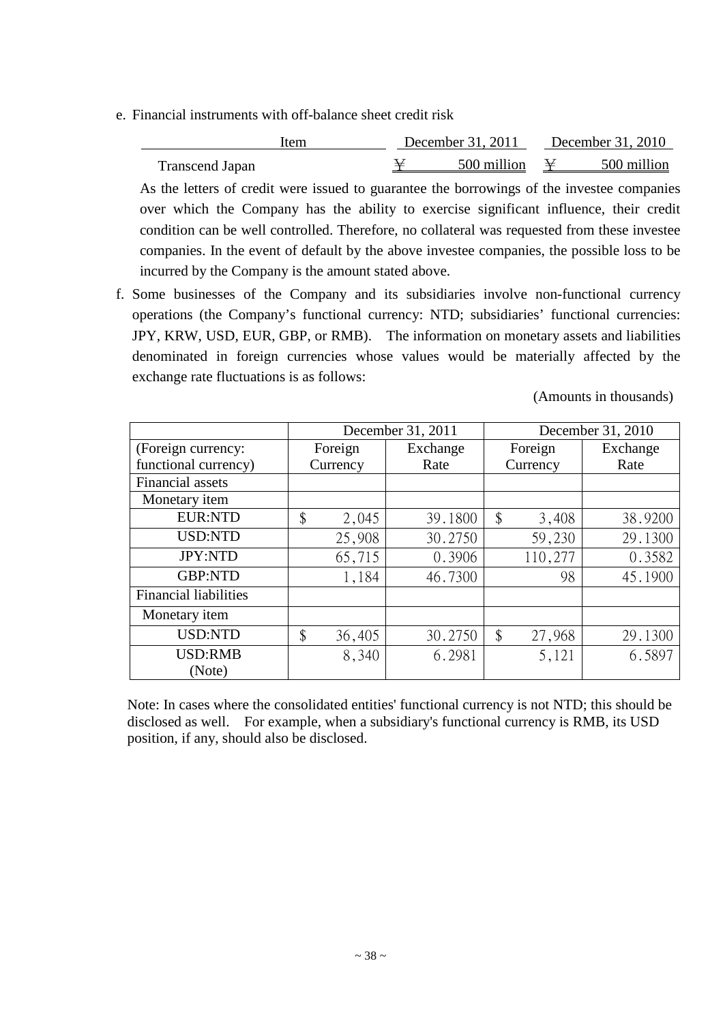e. Financial instruments with off-balance sheet credit risk

| Item            | December 31, 2011 | December 31, 2010 |             |  |
|-----------------|-------------------|-------------------|-------------|--|
| Transcend Japan | 500 million       |                   | 500 million |  |
|                 |                   |                   |             |  |

As the letters of credit were issued to guarantee the borrowings of the investee companies over which the Company has the ability to exercise significant influence, their credit condition can be well controlled. Therefore, no collateral was requested from these investee companies. In the event of default by the above investee companies, the possible loss to be incurred by the Company is the amount stated above.

f. Some businesses of the Company and its subsidiaries involve non-functional currency operations (the Company's functional currency: NTD; subsidiaries' functional currencies: JPY, KRW, USD, EUR, GBP, or RMB). The information on monetary assets and liabilities denominated in foreign currencies whose values would be materially affected by the exchange rate fluctuations is as follows:

(Amounts in thousands)

|                              |              | December 31, 2011 | December 31, 2010 |          |  |  |
|------------------------------|--------------|-------------------|-------------------|----------|--|--|
| (Foreign currency:           | Foreign      | Exchange          | Foreign           | Exchange |  |  |
| functional currency)         | Currency     | Rate              | Currency          | Rate     |  |  |
| Financial assets             |              |                   |                   |          |  |  |
| Monetary item                |              |                   |                   |          |  |  |
| <b>EUR:NTD</b>               | \$<br>2,045  | 39.1800           | \$<br>3,408       | 38.9200  |  |  |
| <b>USD:NTD</b>               | 25,908       | 30.2750           | 59,230            | 29.1300  |  |  |
| <b>JPY:NTD</b>               | 65,715       | 0.3906            | 110,277           | 0.3582   |  |  |
| <b>GBP:NTD</b>               | 1,184        | 46.7300           | 98                | 45.1900  |  |  |
| <b>Financial liabilities</b> |              |                   |                   |          |  |  |
| Monetary item                |              |                   |                   |          |  |  |
| <b>USD:NTD</b>               | \$<br>36,405 | 30.2750           | \$<br>27,968      | 29.1300  |  |  |
| <b>USD:RMB</b>               | 8,340        | 6.2981            | 5,121             | 6.5897   |  |  |
| (Note)                       |              |                   |                   |          |  |  |

Note: In cases where the consolidated entities' functional currency is not NTD; this should be disclosed as well. For example, when a subsidiary's functional currency is RMB, its USD position, if any, should also be disclosed.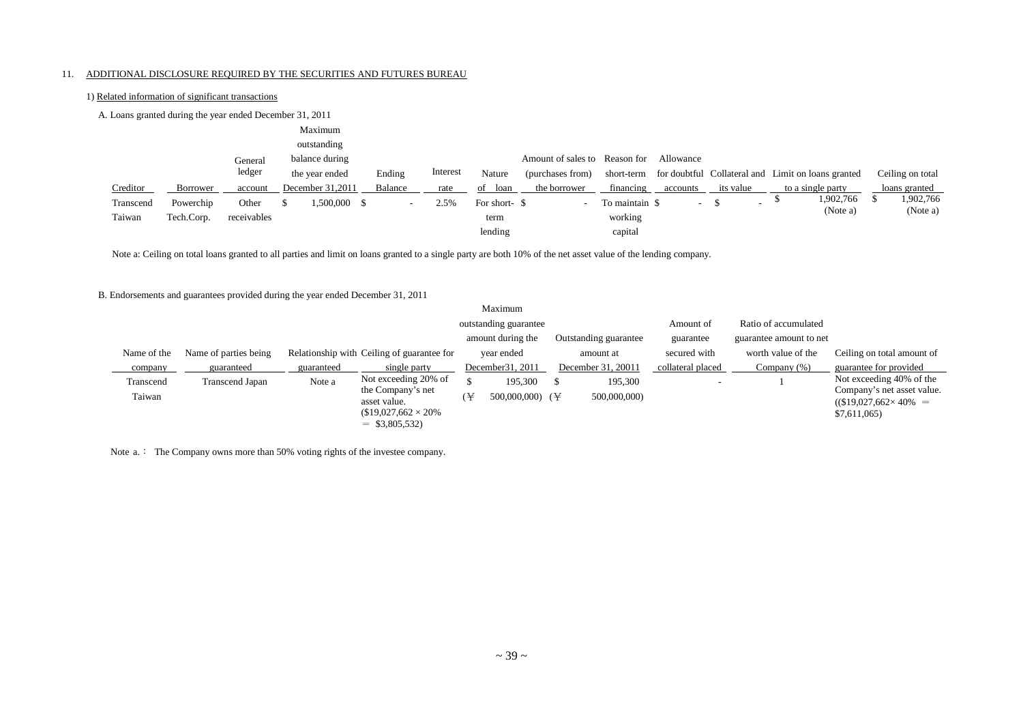#### 11. ADDITIONAL DISCLOSURE REQUIRED BY THE SECURITIES AND FUTURES BUREAU

1) Related information of significant transactions

#### A. Loans granted during the year ended December 31, 2011 Creditor Borrower General ledger account Maximum outstanding balance during the year ended December 31,2011 Ending Balance Interest rate Nature of loan Amount of sales to Reason for Allowance (purchases from) the borrower short-term financing for doubtful Collateral and Limit on loans granted accounts its value to a single party Ceiling on total loans granted Transcend Taiwan Powerchip Tech.Corp. **Other** receivables \$ 1,500,000 \$ - 2.5% For short- \$ term lending - To maintain \$ working capital  $\frac{1}{2}$  \$ 1,902,766 (Note a)  $\frac{1}{902.766}$ (Note a)

Note a: Ceiling on total loans granted to all parties and limit on loans granted to a single party are both 10% of the net asset value of the lending company.

#### B. Endorsements and guarantees provided during the year ended December 31, 2011

|             |                       |            |                                            |   | Maximum                       |  |                       |                   |                         |                                                               |
|-------------|-----------------------|------------|--------------------------------------------|---|-------------------------------|--|-----------------------|-------------------|-------------------------|---------------------------------------------------------------|
|             |                       |            |                                            |   | outstanding guarantee         |  |                       | Amount of         | Ratio of accumulated    |                                                               |
|             |                       |            |                                            |   | amount during the             |  | Outstanding guarantee | guarantee         | guarantee amount to net |                                                               |
| Name of the | Name of parties being |            | Relationship with Ceiling of guarantee for |   | year ended                    |  | amount at             | secured with      | worth value of the      | Ceiling on total amount of                                    |
| company     | guaranteed            | guaranteed | single party                               |   | December 31, 2011             |  | December 31, 20011    | collateral placed | Company $(\%)$          | guarantee for provided                                        |
| Transcend   | Transcend Japan       | Note a     | Not exceeding 20% of                       |   | 195,300                       |  | 195,300               |                   |                         | Not exceeding 40% of the                                      |
| Taiwan      |                       |            | the Company's net<br>asset value.          | ¥ | 500,000,000) ( $\overline{Y}$ |  | 500,000,000)          |                   |                         | Company's net asset value.<br>$((\$19,027,662 \times 40\%)$ = |
|             |                       |            | $$19,027,662 \times 20\%$                  |   |                               |  |                       |                   |                         | \$7,611,065                                                   |
|             |                       |            | $=$ \$3,805,532)                           |   |                               |  |                       |                   |                         |                                                               |

Note a.: The Company owns more than 50% voting rights of the investee company.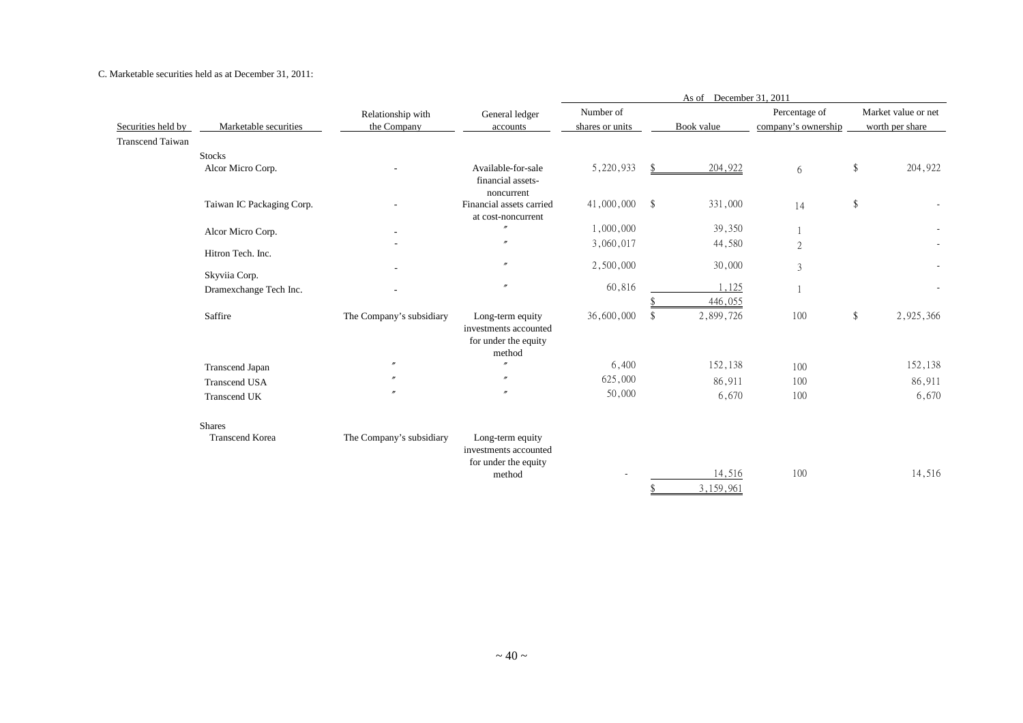C. Marketable securities held as at December 31, 2011:

|                         |                           |                          |                                                | December 31, 2011<br>As of |    |            |                     |        |                     |  |  |
|-------------------------|---------------------------|--------------------------|------------------------------------------------|----------------------------|----|------------|---------------------|--------|---------------------|--|--|
|                         |                           | Relationship with        | General ledger                                 | Number of                  |    |            | Percentage of       |        | Market value or net |  |  |
| Securities held by      | Marketable securities     | the Company              | accounts                                       | shares or units            |    | Book value | company's ownership |        | worth per share     |  |  |
| <b>Transcend Taiwan</b> |                           |                          |                                                |                            |    |            |                     |        |                     |  |  |
|                         | <b>Stocks</b>             |                          |                                                |                            |    |            |                     |        |                     |  |  |
|                         | Alcor Micro Corp.         |                          | Available-for-sale                             | 5,220,933                  |    | 204,922    | 6                   | \$     | 204,922             |  |  |
|                         |                           |                          | financial assets-                              |                            |    |            |                     |        |                     |  |  |
|                         |                           |                          | noncurrent                                     |                            |    |            |                     |        |                     |  |  |
|                         | Taiwan IC Packaging Corp. |                          | Financial assets carried<br>at cost-noncurrent | 41,000,000 \$              |    | 331,000    | 14                  | \$     |                     |  |  |
|                         | Alcor Micro Corp.         |                          | $^{\prime\prime}$                              | 1,000,000                  |    | 39,350     |                     |        |                     |  |  |
|                         |                           |                          | $^{\prime\prime}$                              | 3,060,017                  |    | 44,580     | $\mathfrak{2}$      |        |                     |  |  |
|                         | Hitron Tech. Inc.         |                          |                                                |                            |    |            |                     |        |                     |  |  |
|                         |                           |                          | $^{\prime\prime}$                              | 2,500,000                  |    | 30,000     | 3                   |        |                     |  |  |
|                         | Skyviia Corp.             |                          | $^{\prime\prime}$                              |                            |    |            |                     |        |                     |  |  |
|                         | Dramexchange Tech Inc.    |                          |                                                | 60,816                     |    | 1,125      |                     |        |                     |  |  |
|                         |                           |                          |                                                |                            |    | 446,055    |                     |        |                     |  |  |
|                         | Saffire                   | The Company's subsidiary | Long-term equity<br>investments accounted      | 36,600,000                 | \$ | 2,899,726  | 100                 | $\$\,$ | 2,925,366           |  |  |
|                         |                           |                          | for under the equity                           |                            |    |            |                     |        |                     |  |  |
|                         |                           |                          | method                                         |                            |    |            |                     |        |                     |  |  |
|                         | Transcend Japan           | $\prime\prime$           | $^{\prime\prime}$                              | 6,400                      |    | 152,138    | 100                 |        | 152,138             |  |  |
|                         | <b>Transcend USA</b>      |                          | $^{\prime\prime}$                              | 625,000                    |    | 86,911     | 100                 |        | 86,911              |  |  |
|                         | <b>Transcend UK</b>       |                          | $\mathbf{r}$                                   | 50,000                     |    | 6,670      | 100                 |        | 6,670               |  |  |
|                         |                           |                          |                                                |                            |    |            |                     |        |                     |  |  |
|                         | <b>Shares</b>             |                          |                                                |                            |    |            |                     |        |                     |  |  |
|                         | <b>Transcend Korea</b>    | The Company's subsidiary | Long-term equity                               |                            |    |            |                     |        |                     |  |  |
|                         |                           |                          | investments accounted                          |                            |    |            |                     |        |                     |  |  |
|                         |                           |                          | for under the equity                           |                            |    |            |                     |        |                     |  |  |
|                         |                           |                          | method                                         |                            |    | 14,516     | 100                 |        | 14,516              |  |  |
|                         |                           |                          |                                                |                            |    | 3,159,961  |                     |        |                     |  |  |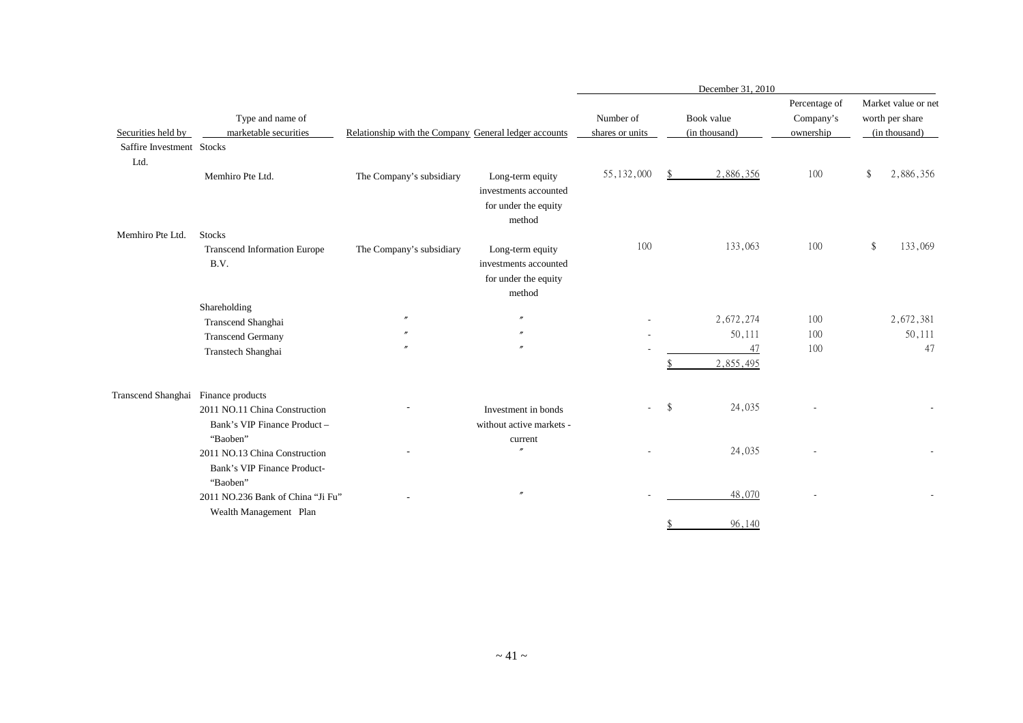|                           |                                                                          |                                                       |                                                                             | December 31, 2010            |    |                             |                                         |    |                                                         |  |  |
|---------------------------|--------------------------------------------------------------------------|-------------------------------------------------------|-----------------------------------------------------------------------------|------------------------------|----|-----------------------------|-----------------------------------------|----|---------------------------------------------------------|--|--|
| Securities held by        | Type and name of<br>marketable securities                                | Relationship with the Company General ledger accounts |                                                                             | Number of<br>shares or units |    | Book value<br>(in thousand) | Percentage of<br>Company's<br>ownership |    | Market value or net<br>worth per share<br>(in thousand) |  |  |
| Saffire Investment Stocks |                                                                          |                                                       |                                                                             |                              |    |                             |                                         |    |                                                         |  |  |
| Ltd.                      |                                                                          |                                                       |                                                                             |                              |    |                             |                                         |    |                                                         |  |  |
|                           | Memhiro Pte Ltd.                                                         | The Company's subsidiary                              | Long-term equity<br>investments accounted<br>for under the equity<br>method | 55, 132, 000                 |    | 2,886,356                   | 100                                     | \$ | 2,886,356                                               |  |  |
| Memhiro Pte Ltd.          | <b>Stocks</b>                                                            |                                                       |                                                                             |                              |    |                             |                                         |    |                                                         |  |  |
|                           | <b>Transcend Information Europe</b><br>B.V.                              | The Company's subsidiary                              | Long-term equity<br>investments accounted<br>for under the equity<br>method | 100                          |    | 133,063                     | 100                                     |    | 133,069                                                 |  |  |
|                           | Shareholding                                                             |                                                       |                                                                             |                              |    |                             |                                         |    |                                                         |  |  |
|                           | Transcend Shanghai                                                       |                                                       | $^{\prime\prime}$                                                           |                              |    | 2,672,274                   | 100                                     |    | 2,672,381                                               |  |  |
|                           | <b>Transcend Germany</b>                                                 |                                                       | $\prime\prime$                                                              |                              |    | 50,111                      | 100                                     |    | 50,111                                                  |  |  |
|                           | Transtech Shanghai                                                       |                                                       | $\prime\prime$                                                              |                              |    | 47<br>2,855,495             | 100                                     |    | 47                                                      |  |  |
| Transcend Shanghai        | Finance products                                                         |                                                       |                                                                             |                              |    |                             |                                         |    |                                                         |  |  |
|                           | 2011 NO.11 China Construction<br>Bank's VIP Finance Product-             |                                                       | Investment in bonds<br>without active markets -                             |                              | \$ | 24,035                      |                                         |    |                                                         |  |  |
|                           | "Baoben"<br>2011 NO.13 China Construction<br>Bank's VIP Finance Product- |                                                       | current                                                                     |                              |    | 24,035                      |                                         |    |                                                         |  |  |
|                           | "Baoben"<br>2011 NO.236 Bank of China "Ji Fu"<br>Wealth Management Plan  |                                                       | $^{\prime\prime}$                                                           |                              |    | 48,070                      |                                         |    |                                                         |  |  |
|                           |                                                                          |                                                       |                                                                             |                              | \$ | 96,140                      |                                         |    |                                                         |  |  |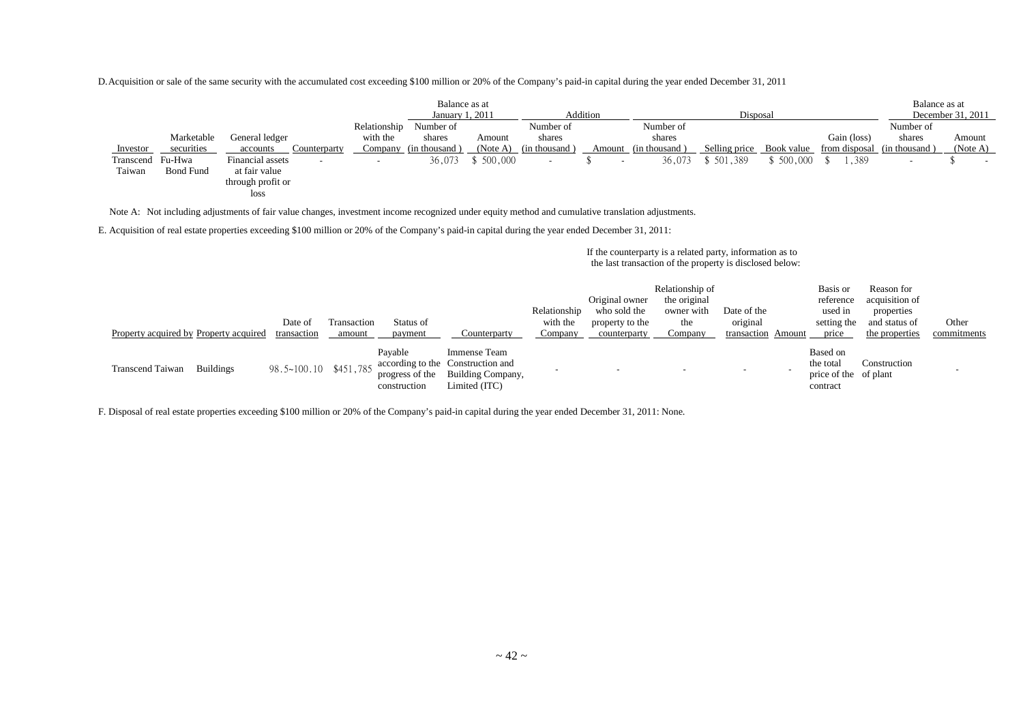D.Acquisition or sale of the same security with the accumulated cost exceeding \$100 million or 20% of the Company's paid-in capital during the year ended December 31, 2011

|                  |                  |                                              |              | Balance as at         |           |               |          |               |               |            |             | Balance as at               |                   |
|------------------|------------------|----------------------------------------------|--------------|-----------------------|-----------|---------------|----------|---------------|---------------|------------|-------------|-----------------------------|-------------------|
|                  |                  |                                              |              | January 1, 2011       |           |               | Addition |               | Disposal      |            |             |                             | December 31, 2011 |
|                  |                  |                                              | Relationship | Number of             |           | Number of     |          | Number of     |               |            |             | Number of                   |                   |
|                  | Marketable       | General ledger                               | with the     | shares                | Amount    | shares        |          | shares        |               |            | Gain (loss) | shares                      | Amount            |
| Investor         | securities       | accounts<br>Counterparty                     |              | Company (in thousand) | (Note A)  | (in thousand) | Amount   | (in thousand) | Selling price | Book value |             | from disposal (in thousand) | (Note A)          |
| Transcend Fu-Hwa |                  | Financial assets<br>$\overline{\phantom{a}}$ | $\sim$       | 36,073                | \$500,000 |               |          | 36,073        | 5 501,389     | 500,000    | . . 389     | -                           | $\sim$            |
| Taiwan           | <b>Bond Fund</b> | at fair value                                |              |                       |           |               |          |               |               |            |             |                             |                   |
|                  |                  | through profit or                            |              |                       |           |               |          |               |               |            |             |                             |                   |
|                  |                  | loss                                         |              |                       |           |               |          |               |               |            |             |                             |                   |

Note A: Not including adjustments of fair value changes, investment income recognized under equity method and cumulative translation adjustments.

E. Acquisition of real estate properties exceeding \$100 million or 20% of the Company's paid-in capital during the year ended December 31, 2011:

If the counterparty is a related party, information as to the last transaction of the property is disclosed below:

| Property acquired by Property acquired |                  | Date of<br>transaction | Transaction<br>amount | Status of<br>payment                       | Counterparty                                                                            | Relationship<br>with the<br>Company | Original owner<br>who sold the<br>property to the<br>counterparty | Relationship of<br>the original<br>owner with<br>the<br>Company | Date of the<br>original<br>transaction Amount | Basis or<br>reference<br>used in<br>setting the<br>price   | Reason for<br>acquisition of<br>properties<br>and status of<br>the properties | Other<br>commitments |
|----------------------------------------|------------------|------------------------|-----------------------|--------------------------------------------|-----------------------------------------------------------------------------------------|-------------------------------------|-------------------------------------------------------------------|-----------------------------------------------------------------|-----------------------------------------------|------------------------------------------------------------|-------------------------------------------------------------------------------|----------------------|
| Transcend Taiwan                       | <b>Buildings</b> | 98.5~100.10 \$451,785  |                       | Pavable<br>progress of the<br>construction | Immense Team<br>according to the Construction and<br>Building Company,<br>Limited (ITC) |                                     |                                                                   |                                                                 |                                               | Based on<br>the total<br>price of the of plant<br>contract | Construction                                                                  |                      |

F. Disposal of real estate properties exceeding \$100 million or 20% of the Company's paid-in capital during the year ended December 31, 2011: None.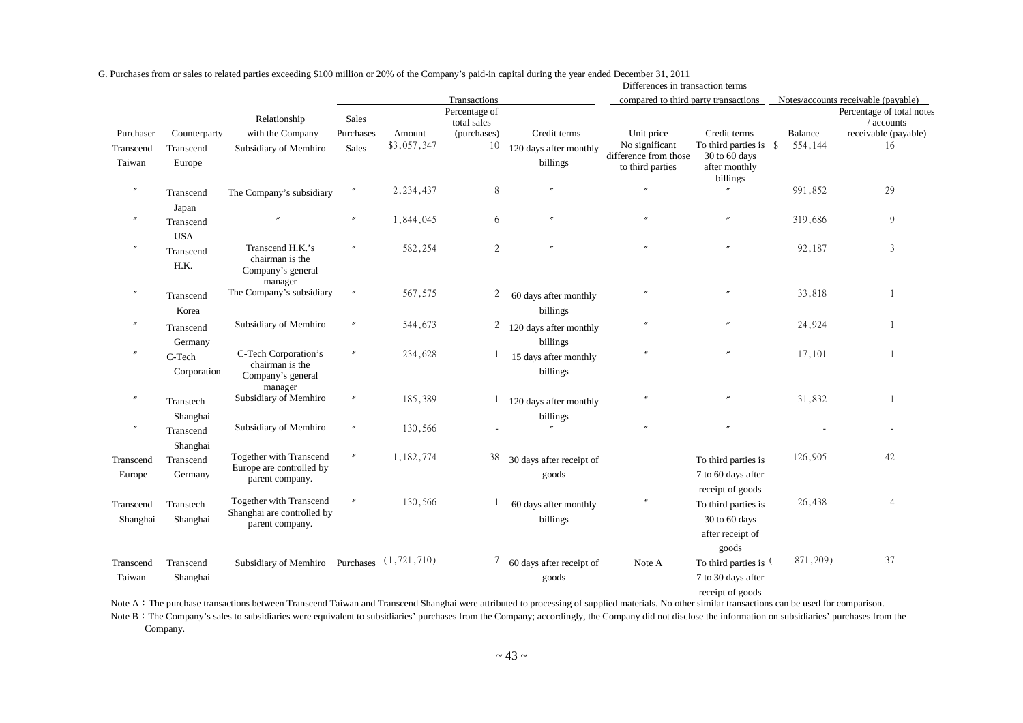|                       |                                   |                                                                          |                      |             |                              |                                    | Differences in transaction terms                            |                                                                          |           |                                         |
|-----------------------|-----------------------------------|--------------------------------------------------------------------------|----------------------|-------------|------------------------------|------------------------------------|-------------------------------------------------------------|--------------------------------------------------------------------------|-----------|-----------------------------------------|
|                       |                                   |                                                                          |                      |             | Transactions                 |                                    | compared to third party transactions                        |                                                                          |           | Notes/accounts receivable (payable)     |
|                       |                                   | Relationship                                                             | Sales                |             | Percentage of<br>total sales |                                    |                                                             |                                                                          |           | Percentage of total notes<br>/ accounts |
| Purchaser             | Counterparty                      | with the Company                                                         | Purchases            | Amount      | (purchases)                  | Credit terms                       | Unit price                                                  | Credit terms                                                             | Balance   | receivable (payable)                    |
| Transcend<br>Taiwan   | Transcend<br>Europe               | Subsidiary of Memhiro                                                    | Sales                | \$3,057,347 | 10                           | 120 days after monthly<br>billings | No significant<br>difference from those<br>to third parties | To third parties is $$$<br>30 to 60 days<br>after monthly<br>billings    | 554,144   | 16                                      |
| $\prime\prime$        | Transcend                         | The Company's subsidiary                                                 | $\prime\prime$       | 2, 234, 437 | $\,8\,$                      |                                    |                                                             | $^{\prime\prime}$                                                        | 991,852   | 29                                      |
|                       | Japan<br>Transcend<br><b>USA</b>  |                                                                          | $\prime\prime$       | 1,844,045   | 6                            |                                    |                                                             |                                                                          | 319,686   | 9                                       |
|                       | Transcend<br>H.K.                 | Transcend H.K.'s<br>chairman is the<br>Company's general<br>manager      | $\prime$             | 582,254     | $\mathfrak{2}$               |                                    |                                                             |                                                                          | 92,187    | 3                                       |
| $\prime\prime$        | Transcend<br>Korea                | The Company's subsidiary                                                 | $\theta$             | 567,575     | 2                            | 60 days after monthly<br>billings  | n                                                           |                                                                          | 33,818    |                                         |
|                       | Transcend<br>Germany              | Subsidiary of Memhiro                                                    | $\prime\prime$       | 544,673     | $\overline{2}$               | 120 days after monthly<br>billings |                                                             |                                                                          | 24,924    |                                         |
| $\prime\prime$        | C-Tech<br>Corporation             | C-Tech Corporation's<br>chairman is the<br>Company's general<br>manager  | $^{\prime\prime}$    | 234,628     |                              | 15 days after monthly<br>billings  |                                                             |                                                                          | 17,101    |                                         |
| $\prime\prime$        | Transtech                         | Subsidiary of Memhiro                                                    | $\prime\prime$       | 185,389     |                              | 120 days after monthly             |                                                             |                                                                          | 31,832    |                                         |
| $\prime\prime$        | Shanghai<br>Transcend<br>Shanghai | Subsidiary of Memhiro                                                    | $\theta$             | 130,566     |                              | billings                           | $\theta$                                                    |                                                                          |           |                                         |
| Transcend<br>Europe   | Transcend<br>Germany              | Together with Transcend<br>Europe are controlled by<br>parent company.   | $\pmb{\varkappa}$    | 1,182,774   | 38                           | 30 days after receipt of<br>goods  |                                                             | To third parties is<br>7 to 60 days after<br>receipt of goods            | 126,905   | 42                                      |
| Transcend<br>Shanghai | Transtech<br>Shanghai             | Together with Transcend<br>Shanghai are controlled by<br>parent company. | $\pmb{\prime\prime}$ | 130,566     |                              | 60 days after monthly<br>billings  | $\theta$                                                    | To third parties is<br>30 to 60 days<br>after receipt of                 | 26,438    | $\overline{4}$                          |
| Transcend<br>Taiwan   | Transcend<br>Shanghai             | Subsidiary of Memhiro Purchases (1,721,710)                              |                      |             | 7                            | 60 days after receipt of<br>goods  | Note A                                                      | goods<br>To third parties is (<br>7 to 30 days after<br>receipt of goods | 871, 209) | 37                                      |

G. Purchases from or sales to related parties exceeding \$100 million or 20% of the Company's paid-in capital during the year ended December 31, 2011

Note A: The purchase transactions between Transcend Taiwan and Transcend Shanghai were attributed to processing of supplied materials. No other similar transactions can be used for comparison.

Note B: The Company's sales to subsidiaries were equivalent to subsidiaries' purchases from the Company; accordingly, the Company did not disclose the information on subsidiaries' purchases from the Company.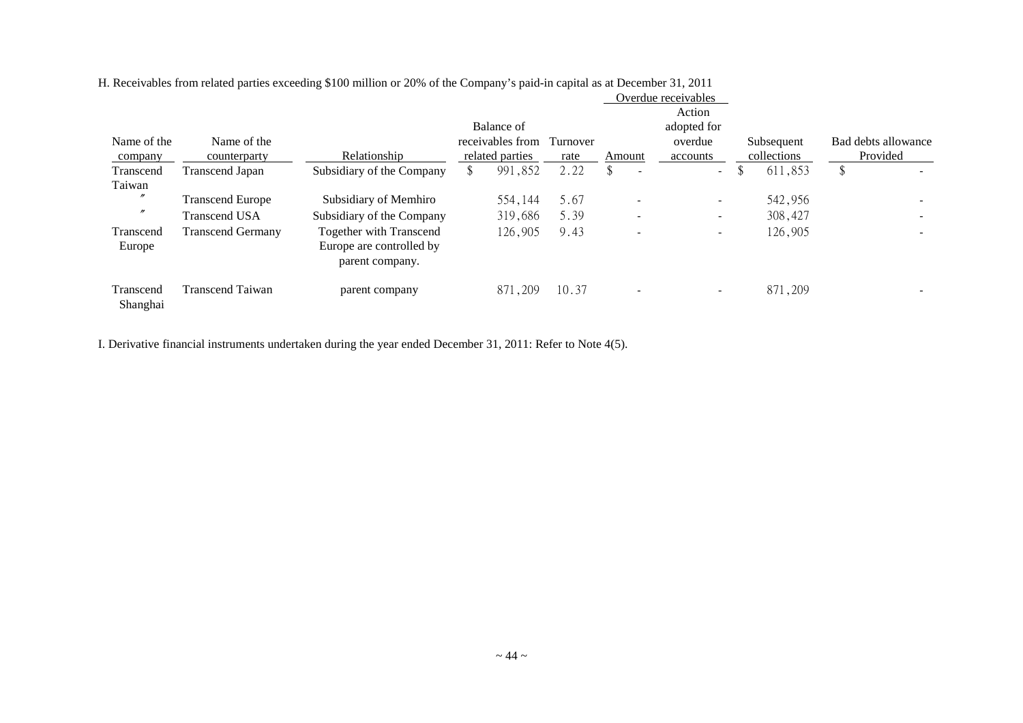|                       |                          |                                                                               |                  |          |                                | $\sigma$ , crugged rubbed values. |             |                     |  |
|-----------------------|--------------------------|-------------------------------------------------------------------------------|------------------|----------|--------------------------------|-----------------------------------|-------------|---------------------|--|
|                       |                          |                                                                               | Balance of       |          |                                | Action<br>adopted for             |             |                     |  |
| Name of the           | Name of the              |                                                                               | receivables from | Turnover |                                | overdue                           | Subsequent  | Bad debts allowance |  |
| company               | counterparty             | Relationship                                                                  | related parties  | rate     | Amount                         | accounts                          | collections | Provided            |  |
| Transcend             | <b>Transcend Japan</b>   | Subsidiary of the Company                                                     | 991,852<br>\$    | 2.22     | \$<br>$\overline{\phantom{a}}$ | $\sim$                            | 611,853     |                     |  |
| Taiwan                |                          |                                                                               |                  |          |                                |                                   |             |                     |  |
| $^{\prime\prime}$     | <b>Transcend Europe</b>  | Subsidiary of Memhiro                                                         | 554,144          | 5.67     | $\overline{\phantom{0}}$       | $\sim$                            | 542,956     |                     |  |
| $^{\prime\prime}$     | <b>Transcend USA</b>     | Subsidiary of the Company                                                     | 319,686          | 5.39     |                                | ۰                                 | 308,427     |                     |  |
| Transcend<br>Europe   | <b>Transcend Germany</b> | <b>Together with Transcend</b><br>Europe are controlled by<br>parent company. | 126,905          | 9.43     | $\overline{\phantom{a}}$       | $\overline{\phantom{a}}$          | 126,905     |                     |  |
| Transcend<br>Shanghai | <b>Transcend Taiwan</b>  | parent company                                                                | 871,209          | 10.37    | $\overline{\phantom{a}}$       | $\sim$                            | 871,209     |                     |  |

H. Receivables from related parties exceeding \$100 million or 20% of the Company's paid-in capital as at December 31, 2011 Overdue receivables

I. Derivative financial instruments undertaken during the year ended December 31, 2011: Refer to Note 4(5).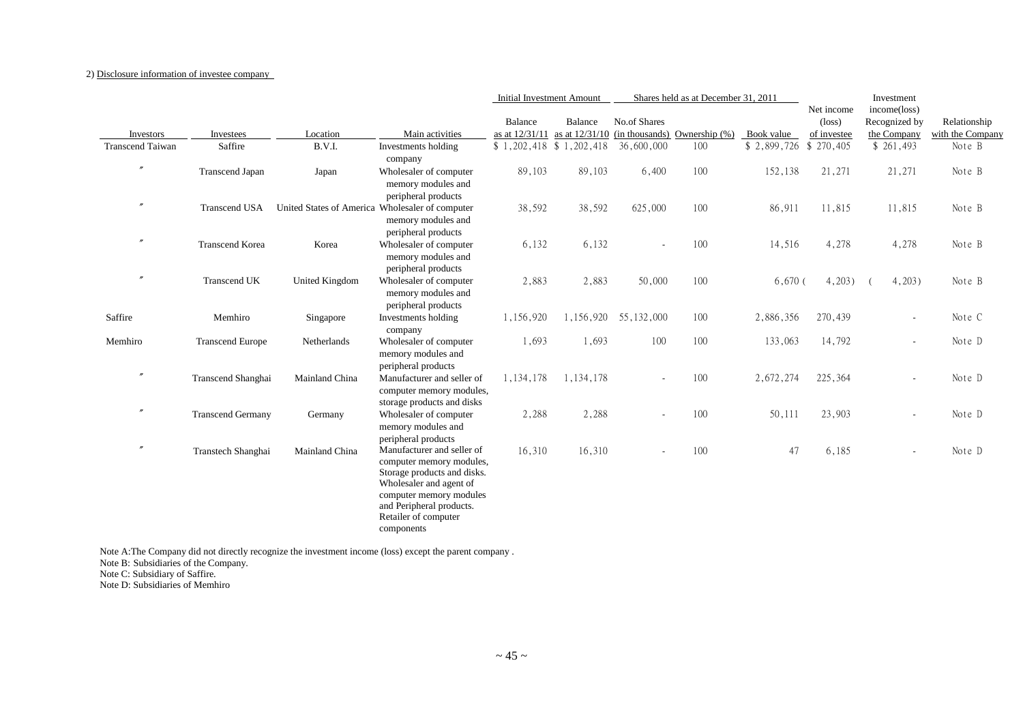#### 2) Disclosure information of investee company

|                         |                          |                                                 |                                                                                                                                                                                                               | <b>Initial Investment Amount</b> |                           |                          | Shares held as at December 31, 2011 |             |                                              | Investment                                   |                                  |
|-------------------------|--------------------------|-------------------------------------------------|---------------------------------------------------------------------------------------------------------------------------------------------------------------------------------------------------------------|----------------------------------|---------------------------|--------------------------|-------------------------------------|-------------|----------------------------------------------|----------------------------------------------|----------------------------------|
| Investors               | Investees                | Location                                        | Main activities                                                                                                                                                                                               | Balance<br>as at 12/31/11        | Balance<br>as at 12/31/10 | No.of Shares             | $(in thousands)$ Ownership $(\%)$   | Book value  | Net income<br>$(\text{loss})$<br>of investee | income(loss)<br>Recognized by<br>the Company | Relationship<br>with the Company |
| <b>Transcend Taiwan</b> | Saffire                  | B.V.I.                                          | Investments holding                                                                                                                                                                                           | $$1,202,418$ $$1,202,418$        |                           | 36,600,000               | 100                                 | \$2,899,726 | \$270,405                                    | \$261,493                                    | Note B                           |
|                         |                          |                                                 | company                                                                                                                                                                                                       |                                  |                           |                          |                                     |             |                                              |                                              |                                  |
| $^{\prime\prime}$       | Transcend Japan          | Japan                                           | Wholesaler of computer<br>memory modules and<br>peripheral products                                                                                                                                           | 89,103                           | 89,103                    | 6,400                    | 100                                 | 152,138     | 21,271                                       | 21,271                                       | Note B                           |
| $^{\prime\prime}$       | <b>Transcend USA</b>     | United States of America Wholesaler of computer | memory modules and<br>peripheral products                                                                                                                                                                     | 38,592                           | 38,592                    | 625,000                  | 100                                 | 86,911      | 11,815                                       | 11,815                                       | Note B                           |
| $^{\prime\prime}$       | <b>Transcend Korea</b>   | Korea                                           | Wholesaler of computer<br>memory modules and<br>peripheral products                                                                                                                                           | 6,132                            | 6,132                     | $\sim$                   | 100                                 | 14,516      | 4,278                                        | 4,278                                        | Note B                           |
| $^{\prime\prime}$       | <b>Transcend UK</b>      | United Kingdom                                  | Wholesaler of computer<br>memory modules and<br>peripheral products                                                                                                                                           | 2,883                            | 2,883                     | 50,000                   | 100                                 | $6,670$ (   | 4,203)                                       | 4,203)                                       | Note B                           |
| Saffire                 | Memhiro                  | Singapore                                       | Investments holding<br>company                                                                                                                                                                                | 1,156,920                        | 1,156,920                 | 55, 132, 000             | 100                                 | 2,886,356   | 270,439                                      | $\overline{\phantom{a}}$                     | Note C                           |
| Memhiro                 | <b>Transcend Europe</b>  | Netherlands                                     | Wholesaler of computer<br>memory modules and<br>peripheral products                                                                                                                                           | 1,693                            | 1,693                     | 100                      | 100                                 | 133,063     | 14,792                                       | $\sim$                                       | Note D                           |
| $^{\prime\prime}$       | Transcend Shanghai       | Mainland China                                  | Manufacturer and seller of<br>computer memory modules,<br>storage products and disks                                                                                                                          | 1,134,178                        | 1,134,178                 | $\overline{\phantom{a}}$ | 100                                 | 2,672,274   | 225,364                                      | $\qquad \qquad \blacksquare$                 | Note D                           |
| $^{\prime\prime}$       | <b>Transcend Germany</b> | Germany                                         | Wholesaler of computer<br>memory modules and<br>peripheral products                                                                                                                                           | 2,288                            | 2,288                     |                          | 100                                 | 50,111      | 23,903                                       | $\overline{\phantom{a}}$                     | Note D                           |
| $^{\prime\prime}$       | Transtech Shanghai       | Mainland China                                  | Manufacturer and seller of<br>computer memory modules,<br>Storage products and disks.<br>Wholesaler and agent of<br>computer memory modules<br>and Peripheral products.<br>Retailer of computer<br>components | 16,310                           | 16,310                    |                          | 100                                 | 47          | 6,185                                        | $\sim$                                       | Note D                           |

Note A:The Company did not directly recognize the investment income (loss) except the parent company .

Note B: Subsidiaries of the Company.

Note C: Subsidiary of Saffire.

Note D: Subsidiaries of Memhiro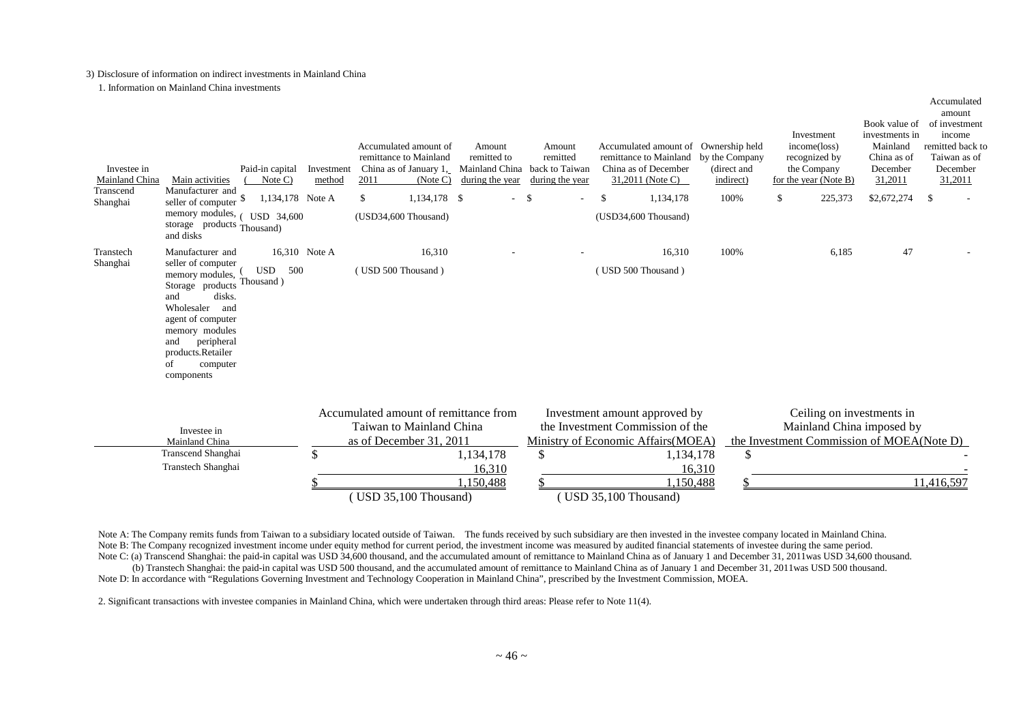#### 3) Disclosure of information on indirect investments in Mainland China

1. Information on Mainland China investments

| Investee in<br>Mainland China | Paid-in capital<br>Main activities<br>Note $C$ )                                                                                                                                                                                                                                        | Investment<br>method | Accumulated amount of<br>remittance to Mainland<br>China as of January 1,<br>2011<br>(Note C) | Amount<br>remitted to<br>Mainland China back to Taiwan<br>during the year | Amount<br>remitted<br>during the year | Accumulated amount of Ownership held<br>remittance to Mainland<br>China as of December<br>31,2011 (Note C)            | by the Company<br>(direct and<br>indirect) | Investment<br>income(loss)<br>recognized by<br>the Company<br>for the year (Note B) | Book value of<br>investments in<br>Mainland<br>China as of<br>December<br>31,2011 | amount<br>of investment<br>income<br>remitted back to<br>Taiwan as of<br>December<br>31,2011 |
|-------------------------------|-----------------------------------------------------------------------------------------------------------------------------------------------------------------------------------------------------------------------------------------------------------------------------------------|----------------------|-----------------------------------------------------------------------------------------------|---------------------------------------------------------------------------|---------------------------------------|-----------------------------------------------------------------------------------------------------------------------|--------------------------------------------|-------------------------------------------------------------------------------------|-----------------------------------------------------------------------------------|----------------------------------------------------------------------------------------------|
| Transcend<br>Shanghai         | Manufacturer and<br>1,134,178 Note A<br>seller of computer \$<br>memory modules,<br>USD 34,600<br>storage products Thousand)<br>and disks                                                                                                                                               |                      | \$<br>1,134,178 \$<br>(USD34,600 Thousand)                                                    | $-$ \$                                                                    |                                       | \$<br>1,134,178<br>(USD34,600 Thousand)                                                                               | 100%                                       | $\mathbb{S}$<br>225,373                                                             | \$2,672,274                                                                       | - \$                                                                                         |
| Transtech<br>Shanghai         | 16,310 Note A<br>Manufacturer and<br>seller of computer<br><b>USD</b><br>500<br>memory modules,<br>Thousand)<br>Storage products<br>disks.<br>and<br>Wholesaler<br>and<br>agent of computer<br>memory modules<br>peripheral<br>and<br>products.Retailer<br>of<br>computer<br>components |                      | 16,310<br>(USD 500 Thousand)                                                                  |                                                                           |                                       | 16,310<br>(USD 500 Thousand)                                                                                          | 100%                                       | 6,185                                                                               | 47                                                                                |                                                                                              |
|                               | Investee in<br>Mainland China<br>Transcend Shanghai<br>Transtech Shanghai                                                                                                                                                                                                               | $\mathcal{S}$        | Accumulated amount of remittance from<br>Taiwan to Mainland China<br>as of December 31, 2011  | 1,134,178<br>16.310                                                       | \$                                    | Investment amount approved by<br>the Investment Commission of the<br>Ministry of Economic Affairs (MOEA)<br>1,134,178 | \$<br>16.310                               | Mainland China imposed by<br>the Investment Commission of MOEA(Note D)              | Ceiling on investments in                                                         |                                                                                              |
|                               |                                                                                                                                                                                                                                                                                         |                      | (USD 35,100 Thousand)                                                                         | 1,150,488                                                                 |                                       | 1,150,488<br>(USD 35,100 Thousand)                                                                                    |                                            |                                                                                     |                                                                                   | 11,416,597                                                                                   |

Accumulated

Note A: The Company remits funds from Taiwan to a subsidiary located outside of Taiwan. The funds received by such subsidiary are then invested in the investee company located in Mainland China. Note B: The Company recognized investment income under equity method for current period, the investment income was measured by audited financial statements of investee during the same period. Note C: (a) Transcend Shanghai: the paid-in capital was USD 34,600 thousand, and the accumulated amount of remittance to Mainland China as of January 1 and December 31, 2011was USD 34,600 thousand.

(b) Transtech Shanghai: the paid-in capital was USD 500 thousand, and the accumulated amount of remittance to Mainland China as of January 1 and December 31, 2011was USD 500 thousand. Note D: In accordance with "Regulations Governing Investment and Technology Cooperation in Mainland China", prescribed by the Investment Commission, MOEA.

2. Significant transactions with investee companies in Mainland China, which were undertaken through third areas: Please refer to Note 11(4).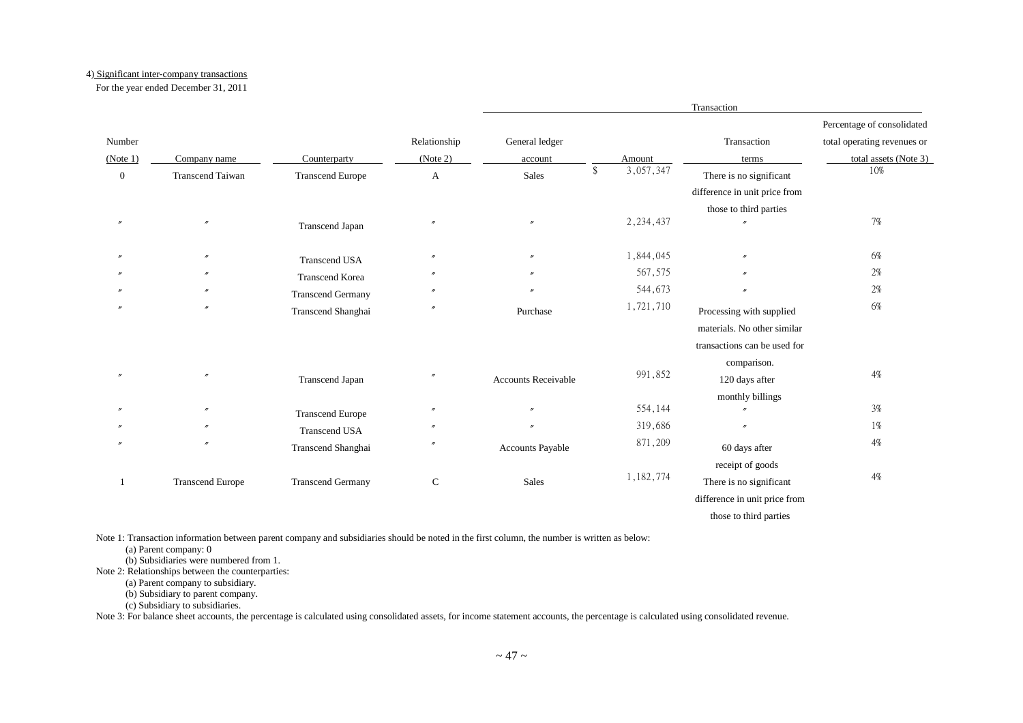#### 4) Significant inter-company transactions

For the year ended December 31, 2011

|                  |                         |                          |                   |                     |                 | Transaction                   |                             |
|------------------|-------------------------|--------------------------|-------------------|---------------------|-----------------|-------------------------------|-----------------------------|
|                  |                         |                          |                   |                     |                 |                               | Percentage of consolidated  |
| Number           |                         |                          | Relationship      | General ledger      |                 | Transaction                   | total operating revenues or |
| (Note 1)         | Company name            | Counterparty             | (Note 2)          | account             | Amount          | terms                         | total assets (Note 3)       |
| $\boldsymbol{0}$ | <b>Transcend Taiwan</b> | <b>Transcend Europe</b>  | $\mathbf{A}$      | Sales               | \$<br>3,057,347 | There is no significant       | 10%                         |
|                  |                         |                          |                   |                     |                 | difference in unit price from |                             |
|                  |                         |                          |                   |                     |                 | those to third parties        |                             |
|                  | $\overline{''}$         | Transcend Japan          | $^{\prime\prime}$ | $\mathbf{r}$        | 2, 234, 437     |                               | 7%                          |
|                  | $^{\prime\prime}$       | <b>Transcend USA</b>     |                   | $^{\prime\prime}$   | 1,844,045       |                               | 6%                          |
|                  |                         | <b>Transcend Korea</b>   |                   | $^{\prime\prime}$   | 567,575         |                               | 2%                          |
|                  |                         | <b>Transcend Germany</b> |                   |                     | 544,673         |                               | 2%                          |
|                  | $\prime\prime$          | Transcend Shanghai       | $^{\prime\prime}$ | Purchase            | 1,721,710       | Processing with supplied      | 6%                          |
|                  |                         |                          |                   |                     |                 | materials. No other similar   |                             |
|                  |                         |                          |                   |                     |                 | transactions can be used for  |                             |
|                  |                         |                          |                   |                     |                 | comparison.                   |                             |
|                  | $^{\prime\prime}$       | Transcend Japan          |                   | Accounts Receivable | 991,852         | 120 days after                | 4%                          |
|                  |                         |                          |                   |                     |                 | monthly billings              |                             |
|                  | $\prime\prime$          | <b>Transcend Europe</b>  | $^{\prime\prime}$ | $\mathbf{r}$        | 554,144         |                               | $3\%$                       |
|                  |                         | <b>Transcend USA</b>     |                   |                     | 319,686         |                               | 1%                          |
|                  | $\overline{''}$         | Transcend Shanghai       | $^{\prime\prime}$ | Accounts Payable    | 871,209         | 60 days after                 | 4%                          |
|                  |                         |                          |                   |                     |                 | receipt of goods              |                             |
|                  | <b>Transcend Europe</b> | <b>Transcend Germany</b> | $\mathsf{C}$      | Sales               | 1,182,774       | There is no significant       | $4\%$                       |
|                  |                         |                          |                   |                     |                 | difference in unit price from |                             |
|                  |                         |                          |                   |                     |                 | those to third parties        |                             |

Note 1: Transaction information between parent company and subsidiaries should be noted in the first column, the number is written as below:

(a) Parent company: 0

(b) Subsidiaries were numbered from 1.

Note 2: Relationships between the counterparties:

(a) Parent company to subsidiary.

(b) Subsidiary to parent company.

(c) Subsidiary to subsidiaries.

Note 3: For balance sheet accounts, the percentage is calculated using consolidated assets, for income statement accounts, the percentage is calculated using consolidated revenue.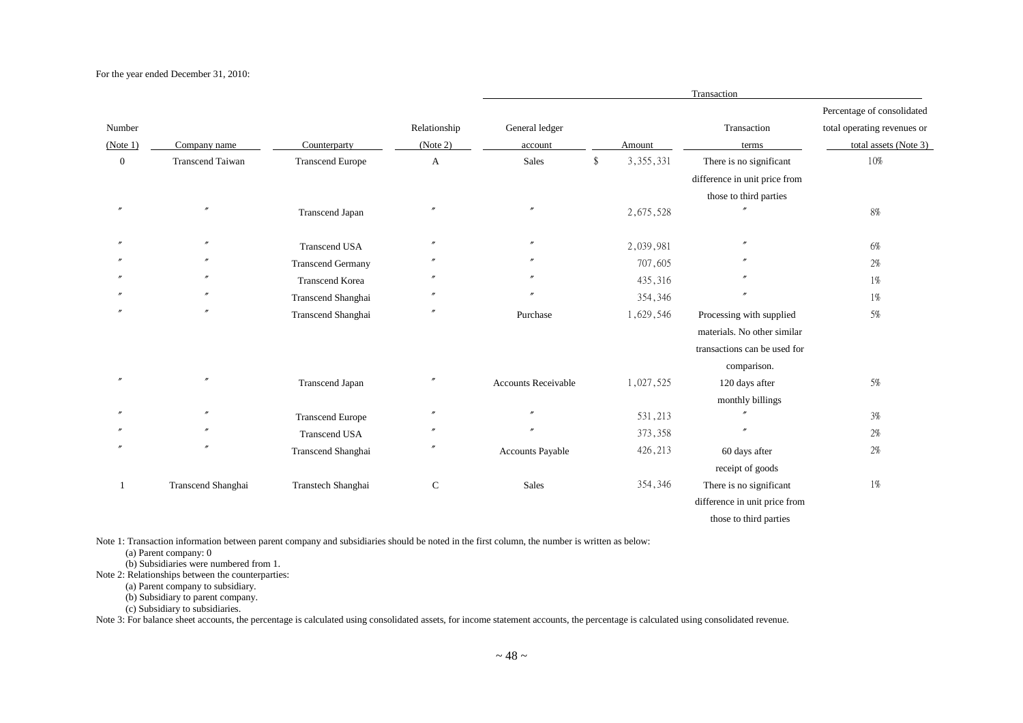#### For the year ended December 31, 2010:

|                |                         |                          |                   |                            |                   | Transaction                   |                             |
|----------------|-------------------------|--------------------------|-------------------|----------------------------|-------------------|-------------------------------|-----------------------------|
|                |                         |                          |                   |                            |                   |                               | Percentage of consolidated  |
| Number         |                         |                          | Relationship      | General ledger             |                   | Transaction                   | total operating revenues or |
| (Note 1)       | Company name            | Counterparty             | (Note 2)          | account                    | Amount            | terms                         | total assets (Note 3)       |
| $\overline{0}$ | <b>Transcend Taiwan</b> | <b>Transcend Europe</b>  | A                 | <b>Sales</b>               | \$<br>3, 355, 331 | There is no significant       | 10%                         |
|                |                         |                          |                   |                            |                   | difference in unit price from |                             |
|                |                         |                          |                   |                            |                   | those to third parties        |                             |
| $\overline{ }$ |                         | Transcend Japan          | n                 | $^{\prime\prime}$          | 2,675,528         |                               | 8%                          |
|                | $^{\prime\prime}$       | <b>Transcend USA</b>     | n                 | $^{\prime\prime}$          | 2,039,981         | $^{\prime\prime}$             | 6%                          |
|                | $^{\prime\prime}$       | <b>Transcend Germany</b> |                   |                            | 707,605           |                               | 2%                          |
|                | $^{\prime\prime}$       | <b>Transcend Korea</b>   |                   |                            | 435,316           |                               | 1%                          |
|                | $\prime\prime$          | Transcend Shanghai       |                   |                            | 354,346           |                               | 1%                          |
|                |                         | Transcend Shanghai       | n                 | Purchase                   | 1,629,546         | Processing with supplied      | 5%                          |
|                |                         |                          |                   |                            |                   | materials. No other similar   |                             |
|                |                         |                          |                   |                            |                   | transactions can be used for  |                             |
|                |                         |                          |                   |                            |                   | comparison.                   |                             |
|                | $^{\prime\prime}$       | Transcend Japan          | n                 | <b>Accounts Receivable</b> | 1,027,525         | 120 days after                | 5%                          |
|                |                         |                          |                   |                            |                   | monthly billings              |                             |
|                | $\prime\prime$          | <b>Transcend Europe</b>  | $^{\prime\prime}$ | $\prime$                   | 531,213           | $^{\prime\prime}$             | 3%                          |
|                | $^{\prime\prime}$       | <b>Transcend USA</b>     | $^{\prime\prime}$ | $\prime$                   | 373,358           |                               | 2%                          |
|                |                         | Transcend Shanghai       |                   | Accounts Payable           | 426,213           | 60 days after                 | 2%                          |
|                |                         |                          |                   |                            |                   | receipt of goods              |                             |
|                | Transcend Shanghai      | Transtech Shanghai       | $\mathsf{C}$      | Sales                      | 354,346           | There is no significant       | 1%                          |
|                |                         |                          |                   |                            |                   | difference in unit price from |                             |
|                |                         |                          |                   |                            |                   | those to third parties        |                             |

Note 1: Transaction information between parent company and subsidiaries should be noted in the first column, the number is written as below:

(a) Parent company: 0

(b) Subsidiaries were numbered from 1.

Note 2: Relationships between the counterparties:

(a) Parent company to subsidiary.

(b) Subsidiary to parent company.

(c) Subsidiary to subsidiaries.

Note 3: For balance sheet accounts, the percentage is calculated using consolidated assets, for income statement accounts, the percentage is calculated using consolidated revenue.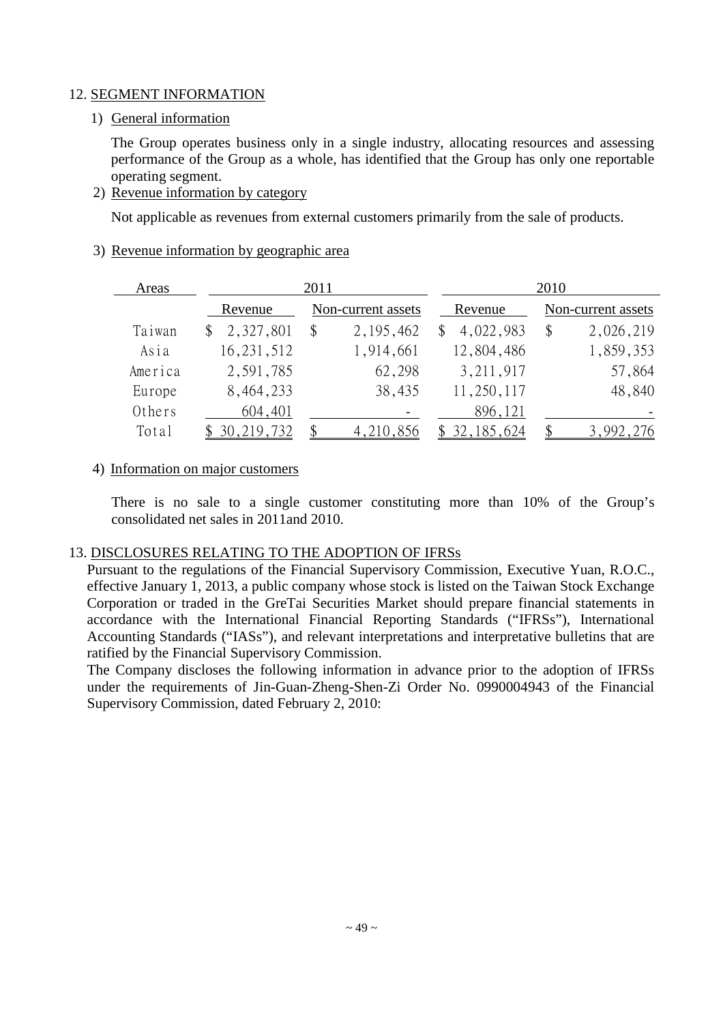## 12. SEGMENT INFORMATION

## 1) General information

The Group operates business only in a single industry, allocating resources and assessing performance of the Group as a whole, has identified that the Group has only one reportable operating segment.

2) Revenue information by category

Not applicable as revenues from external customers primarily from the sale of products.

#### 3) Revenue information by geographic area

| Areas   |              | 2011 |                    | 2010            |    |                    |  |  |
|---------|--------------|------|--------------------|-----------------|----|--------------------|--|--|
|         | Revenue      |      | Non-current assets | Revenue         |    | Non-current assets |  |  |
| Taiwan  | 2,327,801    | \$   | 2, 195, 462        | 4,022,983<br>\$ | \$ | 2,026,219          |  |  |
| Asia    | 16, 231, 512 |      | 1,914,661          | 12,804,486      |    | 1,859,353          |  |  |
| America | 2,591,785    |      | 62,298             | 3, 211, 917     |    | 57,864             |  |  |
| Europe  | 8,464,233    |      | 38,435             | 11,250,117      |    | 48,840             |  |  |
| Others  | 604,401      |      |                    | 896,121         |    |                    |  |  |
| Total   | 30, 219, 732 |      | 4,210,856          | 32, 185, 624    |    | 3,992,276          |  |  |

#### 4) Information on major customers

There is no sale to a single customer constituting more than 10% of the Group's consolidated net sales in 2011and 2010.

## 13. DISCLOSURES RELATING TO THE ADOPTION OF IFRSs

Pursuant to the regulations of the Financial Supervisory Commission, Executive Yuan, R.O.C., effective January 1, 2013, a public company whose stock is listed on the Taiwan Stock Exchange Corporation or traded in the GreTai Securities Market should prepare financial statements in accordance with the International Financial Reporting Standards ("IFRSs"), International Accounting Standards ("IASs"), and relevant interpretations and interpretative bulletins that are ratified by the Financial Supervisory Commission.

The Company discloses the following information in advance prior to the adoption of IFRSs under the requirements of Jin-Guan-Zheng-Shen-Zi Order No. 0990004943 of the Financial Supervisory Commission, dated February 2, 2010: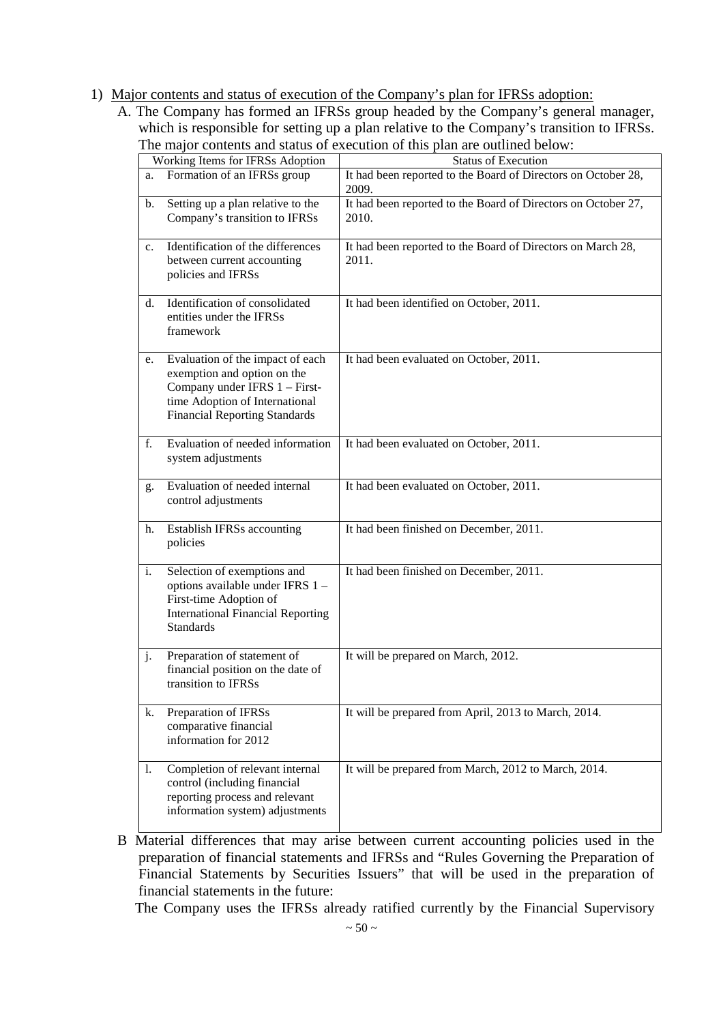- 1) Major contents and status of execution of the Company's plan for IFRSs adoption:
	- A. The Company has formed an IFRSs group headed by the Company's general manager, which is responsible for setting up a plan relative to the Company's transition to IFRSs. The major contents and status of execution of this plan are outlined below:

|                | Working Items for IFRSs Adoption                                                                                                                                           | Status of Execution                                                    |
|----------------|----------------------------------------------------------------------------------------------------------------------------------------------------------------------------|------------------------------------------------------------------------|
| a.             | Formation of an IFRSs group                                                                                                                                                | It had been reported to the Board of Directors on October 28,<br>2009. |
| $\mathbf{b}$ . | Setting up a plan relative to the<br>Company's transition to IFRSs                                                                                                         | It had been reported to the Board of Directors on October 27,<br>2010. |
| $c_{\cdot}$    | Identification of the differences<br>between current accounting<br>policies and IFRSs                                                                                      | It had been reported to the Board of Directors on March 28,<br>2011.   |
| d.             | Identification of consolidated<br>entities under the IFRSs<br>framework                                                                                                    | It had been identified on October, 2011.                               |
| e.             | Evaluation of the impact of each<br>exemption and option on the<br>Company under IFRS 1 - First-<br>time Adoption of International<br><b>Financial Reporting Standards</b> | It had been evaluated on October, 2011.                                |
| f.             | Evaluation of needed information<br>system adjustments                                                                                                                     | It had been evaluated on October, 2011.                                |
| g.             | Evaluation of needed internal<br>control adjustments                                                                                                                       | It had been evaluated on October, 2011.                                |
| h.             | Establish IFRSs accounting<br>policies                                                                                                                                     | It had been finished on December, 2011.                                |
| i.             | Selection of exemptions and<br>options available under IFRS 1-<br>First-time Adoption of<br><b>International Financial Reporting</b><br><b>Standards</b>                   | It had been finished on December, 2011.                                |
| j <sub>1</sub> | Preparation of statement of<br>financial position on the date of<br>transition to IFRSs                                                                                    | It will be prepared on March, 2012.                                    |
| k.             | Preparation of IFRSs<br>comparative financial<br>information for 2012                                                                                                      | It will be prepared from April, 2013 to March, 2014.                   |
| 1.             | Completion of relevant internal<br>control (including financial<br>reporting process and relevant<br>information system) adjustments                                       | It will be prepared from March, 2012 to March, 2014.                   |

B Material differences that may arise between current accounting policies used in the preparation of financial statements and IFRSs and "Rules Governing the Preparation of Financial Statements by Securities Issuers" that will be used in the preparation of financial statements in the future:

The Company uses the IFRSs already ratified currently by the Financial Supervisory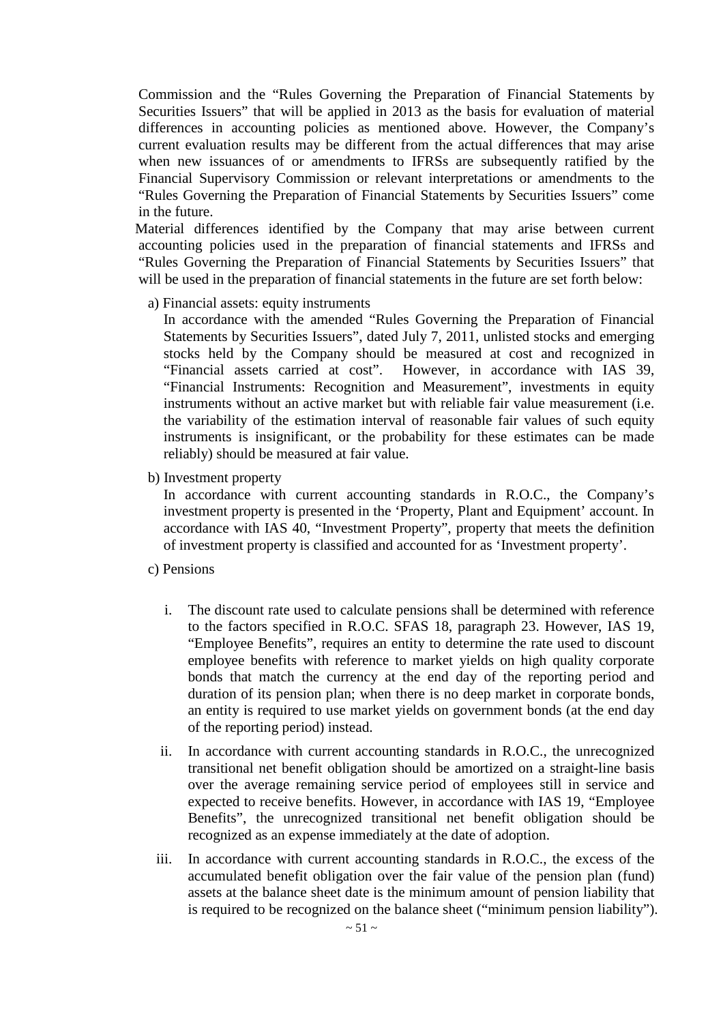Commission and the "Rules Governing the Preparation of Financial Statements by Securities Issuers" that will be applied in 2013 as the basis for evaluation of material differences in accounting policies as mentioned above. However, the Company's current evaluation results may be different from the actual differences that may arise when new issuances of or amendments to IFRSs are subsequently ratified by the Financial Supervisory Commission or relevant interpretations or amendments to the "Rules Governing the Preparation of Financial Statements by Securities Issuers" come in the future.

Material differences identified by the Company that may arise between current accounting policies used in the preparation of financial statements and IFRSs and "Rules Governing the Preparation of Financial Statements by Securities Issuers" that will be used in the preparation of financial statements in the future are set forth below:

a) Financial assets: equity instruments

In accordance with the amended "Rules Governing the Preparation of Financial Statements by Securities Issuers", dated July 7, 2011, unlisted stocks and emerging stocks held by the Company should be measured at cost and recognized in "Financial assets carried at cost". However, in accordance with IAS 39, "Financial Instruments: Recognition and Measurement", investments in equity instruments without an active market but with reliable fair value measurement (i.e. the variability of the estimation interval of reasonable fair values of such equity instruments is insignificant, or the probability for these estimates can be made reliably) should be measured at fair value.

b) Investment property

In accordance with current accounting standards in R.O.C., the Company's investment property is presented in the 'Property, Plant and Equipment' account. In accordance with IAS 40, "Investment Property", property that meets the definition of investment property is classified and accounted for as 'Investment property'.

- c) Pensions
	- i. The discount rate used to calculate pensions shall be determined with reference to the factors specified in R.O.C. SFAS 18, paragraph 23. However, IAS 19, "Employee Benefits", requires an entity to determine the rate used to discount employee benefits with reference to market yields on high quality corporate bonds that match the currency at the end day of the reporting period and duration of its pension plan; when there is no deep market in corporate bonds, an entity is required to use market yields on government bonds (at the end day of the reporting period) instead.
	- ii. In accordance with current accounting standards in R.O.C., the unrecognized transitional net benefit obligation should be amortized on a straight-line basis over the average remaining service period of employees still in service and expected to receive benefits. However, in accordance with IAS 19, "Employee Benefits", the unrecognized transitional net benefit obligation should be recognized as an expense immediately at the date of adoption.
	- iii. In accordance with current accounting standards in R.O.C., the excess of the accumulated benefit obligation over the fair value of the pension plan (fund) assets at the balance sheet date is the minimum amount of pension liability that is required to be recognized on the balance sheet ("minimum pension liability").